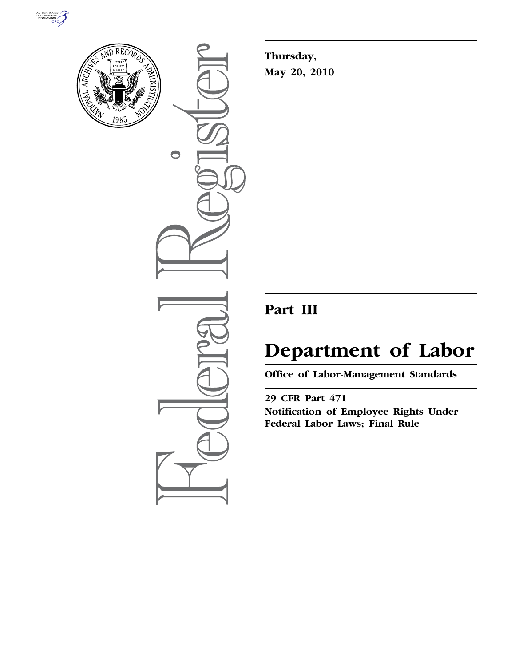



 $\bullet$ 

**Thursday, May 20, 2010** 

## **Part III**

# **Department of Labor**

**Office of Labor-Management Standards** 

**29 CFR Part 471 Notification of Employee Rights Under Federal Labor Laws; Final Rule**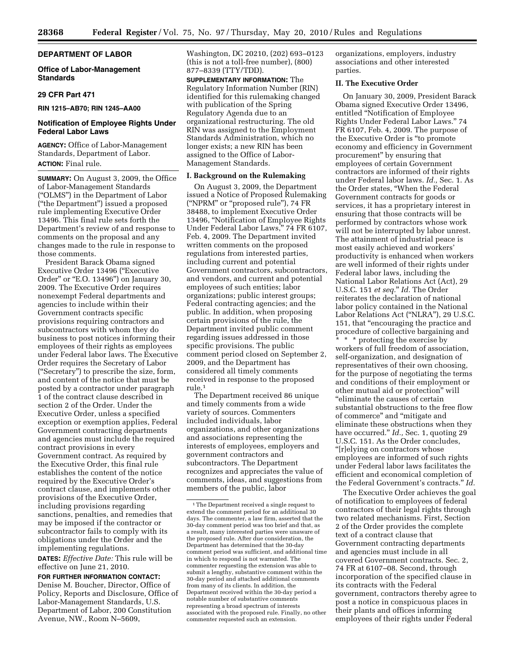## **DEPARTMENT OF LABOR**

**Office of Labor-Management Standards** 

## **29 CFR Part 471**

**RIN 1215–AB70; RIN 1245–AA00** 

## **Notification of Employee Rights Under Federal Labor Laws**

**AGENCY:** Office of Labor-Management Standards, Department of Labor. **ACTION:** Final rule.

**SUMMARY:** On August 3, 2009, the Office of Labor-Management Standards (''OLMS'') in the Department of Labor (''the Department'') issued a proposed rule implementing Executive Order 13496. This final rule sets forth the Department's review of and response to comments on the proposal and any changes made to the rule in response to those comments.

President Barack Obama signed Executive Order 13496 (''Executive Order'' or ''E.O. 13496'') on January 30, 2009. The Executive Order requires nonexempt Federal departments and agencies to include within their Government contracts specific provisions requiring contractors and subcontractors with whom they do business to post notices informing their employees of their rights as employees under Federal labor laws. The Executive Order requires the Secretary of Labor (''Secretary'') to prescribe the size, form, and content of the notice that must be posted by a contractor under paragraph 1 of the contract clause described in section 2 of the Order. Under the Executive Order, unless a specified exception or exemption applies, Federal Government contracting departments and agencies must include the required contract provisions in every Government contract. As required by the Executive Order, this final rule establishes the content of the notice required by the Executive Order's contract clause, and implements other provisions of the Executive Order, including provisions regarding sanctions, penalties, and remedies that may be imposed if the contractor or subcontractor fails to comply with its obligations under the Order and the implementing regulations.

**DATES:** *Effective Date:* This rule will be effective on June 21, 2010.

**FOR FURTHER INFORMATION CONTACT:**  Denise M. Boucher, Director, Office of Policy, Reports and Disclosure, Office of Labor-Management Standards, U.S. Department of Labor, 200 Constitution Avenue, NW., Room N–5609,

Washington, DC 20210, (202) 693–0123 (this is not a toll-free number), (800) 877–8339 (TTY/TDD).

**SUPPLEMENTARY INFORMATION:** The Regulatory Information Number (RIN) identified for this rulemaking changed with publication of the Spring Regulatory Agenda due to an organizational restructuring. The old RIN was assigned to the Employment Standards Administration, which no longer exists; a new RIN has been assigned to the Office of Labor-Management Standards.

#### **I. Background on the Rulemaking**

On August 3, 2009, the Department issued a Notice of Proposed Rulemaking (''NPRM'' or ''proposed rule''), 74 FR 38488, to implement Executive Order 13496, ''Notification of Employee Rights Under Federal Labor Laws,'' 74 FR 6107, Feb. 4, 2009. The Department invited written comments on the proposed regulations from interested parties, including current and potential Government contractors, subcontractors, and vendors, and current and potential employees of such entities; labor organizations; public interest groups; Federal contracting agencies; and the public. In addition, when proposing certain provisions of the rule, the Department invited public comment regarding issues addressed in those specific provisions. The public comment period closed on September 2, 2009, and the Department has considered all timely comments received in response to the proposed rule.1

The Department received 86 unique and timely comments from a wide variety of sources. Commenters included individuals, labor organizations, and other organizations and associations representing the interests of employees, employers and government contractors and subcontractors. The Department recognizes and appreciates the value of comments, ideas, and suggestions from members of the public, labor

organizations, employers, industry associations and other interested parties.

## **II. The Executive Order**

On January 30, 2009, President Barack Obama signed Executive Order 13496, entitled ''Notification of Employee Rights Under Federal Labor Laws.'' 74 FR 6107, Feb. 4, 2009. The purpose of the Executive Order is ''to promote economy and efficiency in Government procurement'' by ensuring that employees of certain Government contractors are informed of their rights under Federal labor laws. *Id.,* Sec. 1. As the Order states, ''When the Federal Government contracts for goods or services, it has a proprietary interest in ensuring that those contracts will be performed by contractors whose work will not be interrupted by labor unrest. The attainment of industrial peace is most easily achieved and workers' productivity is enhanced when workers are well informed of their rights under Federal labor laws, including the National Labor Relations Act (Act), 29 U.S.C. 151 *et seq.*'' *Id.* The Order reiterates the declaration of national labor policy contained in the National Labor Relations Act (''NLRA''), 29 U.S.C. 151, that ''encouraging the practice and procedure of collective bargaining and

\* \* \* protecting the exercise by workers of full freedom of association, self-organization, and designation of representatives of their own choosing, for the purpose of negotiating the terms and conditions of their employment or other mutual aid or protection'' will ''eliminate the causes of certain substantial obstructions to the free flow of commerce'' and ''mitigate and eliminate these obstructions when they have occurred." *Id.*, Sec. 1, quoting 29 U.S.C. 151. As the Order concludes, ''[r]elying on contractors whose employees are informed of such rights under Federal labor laws facilitates the efficient and economical completion of the Federal Government's contracts.'' *Id.* 

The Executive Order achieves the goal of notification to employees of federal contractors of their legal rights through two related mechanisms. First, Section 2 of the Order provides the complete text of a contract clause that Government contracting departments and agencies must include in all covered Government contracts. Sec. 2, 74 FR at 6107–08. Second, through incorporation of the specified clause in its contracts with the Federal government, contractors thereby agree to post a notice in conspicuous places in their plants and offices informing employees of their rights under Federal

<sup>1</sup>The Department received a single request to extend the comment period for an additional 30 days. The commenter, a law firm, asserted that the 30-day comment period was too brief and that, as a result, many interested parties were unaware of the proposed rule. After due consideration, the Department has determined that the 30-day comment period was sufficient, and additional time in which to respond is not warranted. The commenter requesting the extension was able to submit a lengthy, substantive comment within the 30-day period and attached additional comments from many of its clients. In addition, the Department received within the 30-day period a notable number of substantive comments representing a broad spectrum of interests associated with the proposed rule. Finally, no other commenter requested such an extension.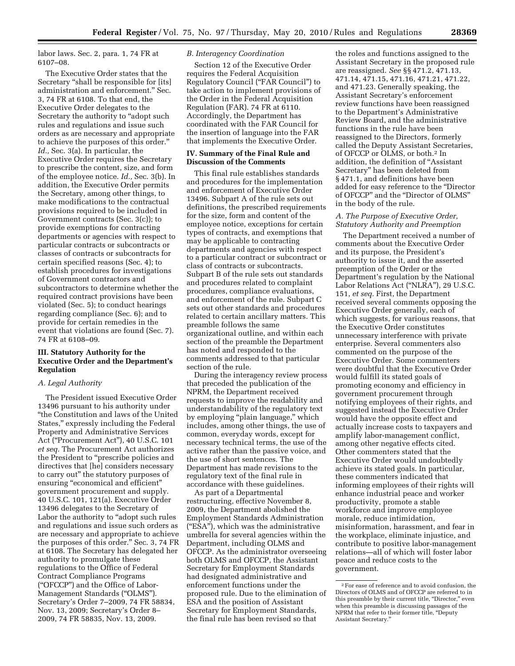labor laws. Sec. 2, para. 1, 74 FR at 6107–08.

The Executive Order states that the Secretary "shall be responsible for [its] administration and enforcement.'' Sec. 3, 74 FR at 6108. To that end, the Executive Order delegates to the Secretary the authority to "adopt such" rules and regulations and issue such orders as are necessary and appropriate to achieve the purposes of this order.'' *Id.,* Sec. 3(a). In particular, the Executive Order requires the Secretary to prescribe the content, size, and form of the employee notice. *Id.,* Sec. 3(b). In addition, the Executive Order permits the Secretary, among other things, to make modifications to the contractual provisions required to be included in Government contracts (Sec. 3(c)); to provide exemptions for contracting departments or agencies with respect to particular contracts or subcontracts or classes of contracts or subcontracts for certain specified reasons (Sec. 4); to establish procedures for investigations of Government contractors and subcontractors to determine whether the required contract provisions have been violated (Sec. 5); to conduct hearings regarding compliance (Sec. 6); and to provide for certain remedies in the event that violations are found (Sec. 7). 74 FR at 6108–09.

## **III. Statutory Authority for the Executive Order and the Department's Regulation**

## *A. Legal Authority*

The President issued Executive Order 13496 pursuant to his authority under ''the Constitution and laws of the United States,'' expressly including the Federal Property and Administrative Services Act (''Procurement Act''), 40 U.S.C. 101 *et seq.* The Procurement Act authorizes the President to ''prescribe policies and directives that [he] considers necessary to carry out'' the statutory purposes of ensuring "economical and efficient" government procurement and supply. 40 U.S.C. 101, 121(a). Executive Order 13496 delegates to the Secretary of Labor the authority to "adopt such rules and regulations and issue such orders as are necessary and appropriate to achieve the purposes of this order.'' Sec. 3, 74 FR at 6108. The Secretary has delegated her authority to promulgate these regulations to the Office of Federal Contract Compliance Programs (''OFCCP'') and the Office of Labor-Management Standards (''OLMS''). Secretary's Order 7–2009, 74 FR 58834, Nov. 13, 2009; Secretary's Order 8– 2009, 74 FR 58835, Nov. 13, 2009.

## *B. Interagency Coordination*

Section 12 of the Executive Order requires the Federal Acquisition Regulatory Council (''FAR Council'') to take action to implement provisions of the Order in the Federal Acquisition Regulation (FAR). 74 FR at 6110. Accordingly, the Department has coordinated with the FAR Council for the insertion of language into the FAR that implements the Executive Order.

## **IV. Summary of the Final Rule and Discussion of the Comments**

This final rule establishes standards and procedures for the implementation and enforcement of Executive Order 13496. Subpart A of the rule sets out definitions, the prescribed requirements for the size, form and content of the employee notice, exceptions for certain types of contracts, and exemptions that may be applicable to contracting departments and agencies with respect to a particular contract or subcontract or class of contracts or subcontracts. Subpart B of the rule sets out standards and procedures related to complaint procedures, compliance evaluations, and enforcement of the rule. Subpart C sets out other standards and procedures related to certain ancillary matters. This preamble follows the same organizational outline, and within each section of the preamble the Department has noted and responded to the comments addressed to that particular section of the rule.

During the interagency review process that preceded the publication of the NPRM, the Department received requests to improve the readability and understandability of the regulatory text by employing ''plain language,'' which includes, among other things, the use of common, everyday words, except for necessary technical terms, the use of the active rather than the passive voice, and the use of short sentences. The Department has made revisions to the regulatory text of the final rule in accordance with these guidelines.

As part of a Departmental restructuring, effective November 8, 2009, the Department abolished the Employment Standards Administration (''ESA''), which was the administrative umbrella for several agencies within the Department, including OLMS and OFCCP. As the administrator overseeing both OLMS and OFCCP, the Assistant Secretary for Employment Standards had designated administrative and enforcement functions under the proposed rule. Due to the elimination of ESA and the position of Assistant Secretary for Employment Standards, the final rule has been revised so that

the roles and functions assigned to the Assistant Secretary in the proposed rule are reassigned. *See* §§ 471.2, 471.13, 471.14, 471.15, 471.16, 471.21, 471.22, and 471.23. Generally speaking, the Assistant Secretary's enforcement review functions have been reassigned to the Department's Administrative Review Board, and the administrative functions in the rule have been reassigned to the Directors, formerly called the Deputy Assistant Secretaries, of OFCCP or OLMS, or both.2 In addition, the definition of ''Assistant Secretary'' has been deleted from § 471.1, and definitions have been added for easy reference to the ''Director of OFCCP'' and the ''Director of OLMS'' in the body of the rule.

## *A. The Purpose of Executive Order, Statutory Authority and Preemption*

The Department received a number of comments about the Executive Order and its purpose, the President's authority to issue it, and the asserted preemption of the Order or the Department's regulation by the National Labor Relations Act (''NLRA''), 29 U.S.C. 151, *et seq.* First, the Department received several comments opposing the Executive Order generally, each of which suggests, for various reasons, that the Executive Order constitutes unnecessary interference with private enterprise. Several commenters also commented on the purpose of the Executive Order. Some commenters were doubtful that the Executive Order would fulfill its stated goals of promoting economy and efficiency in government procurement through notifying employees of their rights, and suggested instead the Executive Order would have the opposite effect and actually increase costs to taxpayers and amplify labor-management conflict, among other negative effects cited. Other commenters stated that the Executive Order would undoubtedly achieve its stated goals. In particular, these commenters indicated that informing employees of their rights will enhance industrial peace and worker productivity, promote a stable workforce and improve employee morale, reduce intimidation, misinformation, harassment, and fear in the workplace, eliminate injustice, and contribute to positive labor-management relations—all of which will foster labor peace and reduce costs to the government.

<sup>2</sup>For ease of reference and to avoid confusion, the Directors of OLMS and of OFCCP are referred to in this preamble by their current title, "Director," even when this preamble is discussing passages of the NPRM that refer to their former title, ''Deputy Assistant Secretary.''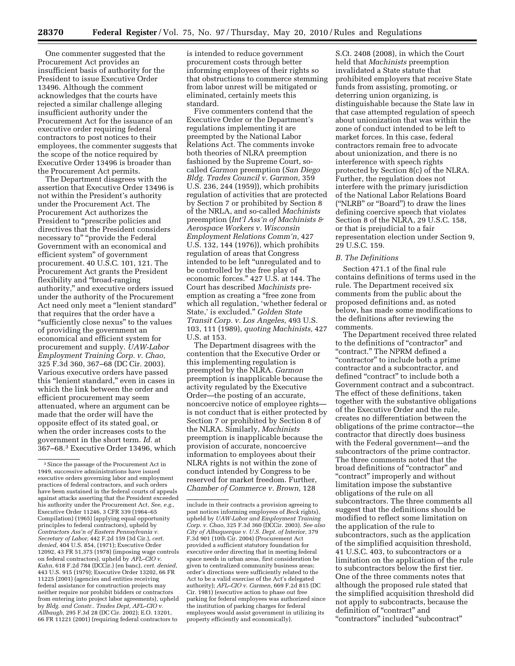One commenter suggested that the Procurement Act provides an insufficient basis of authority for the President to issue Executive Order 13496. Although the comment acknowledges that the courts have rejected a similar challenge alleging insufficient authority under the Procurement Act for the issuance of an executive order requiring federal contractors to post notices to their employees, the commenter suggests that the scope of the notice required by Executive Order 13496 is broader than the Procurement Act permits.

The Department disagrees with the assertion that Executive Order 13496 is not within the President's authority under the Procurement Act. The Procurement Act authorizes the President to "prescribe policies and directives that the President considers necessary to'' ''provide the Federal Government with an economical and efficient system'' of government procurement. 40 U.S.C. 101, 121. The Procurement Act grants the President flexibility and ''broad-ranging authority,'' and executive orders issued under the authority of the Procurement Act need only meet a ''lenient standard'' that requires that the order have a ''sufficiently close nexus'' to the values of providing the government an economical and efficient system for procurement and supply. *UAW-Labor Employment Training Corp. v. Chao,*  325 F.3d 360, 367–68 (DC Cir. 2003). Various executive orders have passed this "lenient standard," even in cases in which the link between the order and efficient procurement may seem attenuated, where an argument can be made that the order will have the opposite effect of its stated goal, or when the order increases costs to the government in the short term. *Id.* at 367–68.3 Executive Order 13496, which

is intended to reduce government procurement costs through better informing employees of their rights so that obstructions to commerce stemming from labor unrest will be mitigated or eliminated, certainly meets this standard.

Five commenters contend that the Executive Order or the Department's regulations implementing it are preempted by the National Labor Relations Act*.* The comments invoke both theories of NLRA preemption fashioned by the Supreme Court, socalled *Garmon* preemption (*San Diego Bldg. Trades Council v. Garmon,* 359 U.S. 236, 244 (1959)), which prohibits regulation of activities that are protected by Section 7 or prohibited by Section 8 of the NRLA, and so-called *Machinists*  preemption (*Int'l Ass'n of Machinists & Aerospace Workers v. Wisconsin Employment Relations Comm'n,* 427 U.S. 132, 144 (1976)), which prohibits regulation of areas that Congress intended to be left ''unregulated and to be controlled by the free play of economic forces.'' 427 U.S. at 144. The Court has described *Machinists* preemption as creating a ''free zone from which all regulation, 'whether federal or State,' is excluded.'' *Golden State Transit Corp. v. Los Angeles,* 493 U.S. 103, 111 (1989), *quoting Machinists,* 427 U.S. at 153.

The Department disagrees with the contention that the Executive Order or this implementing regulation is preempted by the NLRA. *Garmon*  preemption is inapplicable because the activity regulated by the Executive Order—the posting of an accurate, noncoercive notice of employee rights is not conduct that is either protected by Section 7 or prohibited by Section 8 of the NLRA. Similarly, *Machinists*  preemption is inapplicable because the provision of accurate, noncoercive information to employees about their NLRA rights is not within the zone of conduct intended by Congress to be reserved for market freedom. Further, *Chamber of Commerce v. Brown,* 128

S.Ct. 2408 (2008), in which the Court held that *Machinists* preemption invalidated a State statute that prohibited employers that receive State funds from assisting, promoting, or deterring union organizing, is distinguishable because the State law in that case attempted regulation of speech about unionization that was within the zone of conduct intended to be left to market forces. In this case, federal contractors remain free to advocate about unionization, and there is no interference with speech rights protected by Section 8(c) of the NLRA. Further, the regulation does not interfere with the primary jurisdiction of the National Labor Relations Board (''NLRB'' or ''Board'') to draw the lines defining coercive speech that violates Section 8 of the NLRA, 29 U.S.C. 158, or that is prejudicial to a fair representation election under Section 9, 29 U.S.C. 159.

## *B. The Definitions*

Section 471.1 of the final rule contains definitions of terms used in the rule. The Department received six comments from the public about the proposed definitions and, as noted below, has made some modifications to the definitions after reviewing the comments.

The Department received three related to the definitions of ''contractor'' and "contract." The NPRM defined a "contractor" to include both a prime contractor and a subcontractor, and defined "contract" to include both a Government contract and a subcontract. The effect of these definitions, taken together with the substantive obligations of the Executive Order and the rule, creates no differentiation between the obligations of the prime contractor—the contractor that directly does business with the Federal government—and the subcontractors of the prime contractor. The three comments noted that the broad definitions of ''contractor'' and ''contract'' improperly and without limitation impose the substantive obligations of the rule on all subcontractors. The three comments all suggest that the definitions should be modified to reflect some limitation on the application of the rule to subcontractors, such as the application of the simplified acquisition threshold, 41 U.S.C. 403, to subcontractors or a limitation on the application of the rule to subcontractors below the first tier. One of the three comments notes that although the proposed rule stated that the simplified acquisition threshold did not apply to subcontracts, because the definition of "contract" and ''contractors'' included ''subcontract''

<sup>3</sup>Since the passage of the Procurement Act in 1949, successive administrations have issued executive orders governing labor and employment practices of federal contractors, and such orders have been sustained in the federal courts of appeals against attacks asserting that the President exceeded his authority under the Procurement Act. *See, e.g.,*  Executive Order 11246, 3 CFR 339 (1964–65 Compilation) (1965) (applying equal opportunity principles to federal contractors), upheld by *Contractors Ass'n of Eastern Pennsylvania v. Secretary of Labor,* 442 F.2d 159 (3d Cir.), *cert. denied,* 404 U.S. 854, (1971); Executive Order 12092, 43 FR 51,375 (1978) (imposing wage controls on federal contractors), upheld by *AFL–CIO v. Kahn,* 618 F.2d 784 (DCCir.) (en banc), *cert. denied,*  443 U.S. 915 (1979); Executive Order 13202, 66 FR 11225 (2001) (agencies and entities receiving federal assistance for construction projects may neither require nor prohibit bidders or contractors from entering into project labor agreements), upheld by *Bldg. and Constr.. Trades Dept, AFL–CIO v. Allbaugh,* 295 F.3d 28 (DC Cir. 2002); E.O. 13201, 66 FR 11221 (2001) (requiring federal contractors to

include in their contracts a provision agreeing to post notices informing employees of *Beck* rights), upheld by *UAW-Labor and Employment Training Corp. v. Chao,* 325 F.3d 360 (DCCir. 2003). *See also City of Albuquerque v. U.S. Dept. of Interior,* 379 F.3d 901 (10th Cir. 2004) (Procurement Act provided a sufficient statutory foundation for executive order directing that in meeting federal space needs in urban areas, first consideration be given to centralized community business areas; order's directions were sufficiently related to the Act to be a valid exercise of the Act's delegated authority); *AFL–CIO v. Carmen,* 669 F.2d 815 (DC Cir. 1981) (executive action to phase out free parking for federal employees was authorized since the institution of parking charges for federal employees would assist government in utilizing its property efficiently and economically).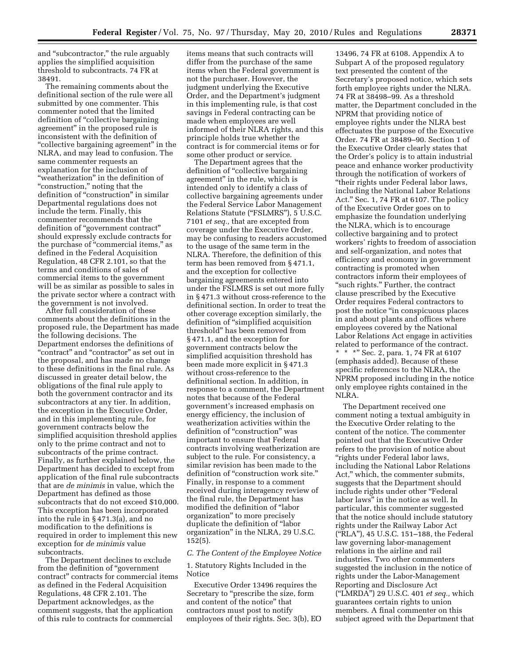and ''subcontractor,'' the rule arguably applies the simplified acquisition threshold to subcontracts. 74 FR at 38491.

The remaining comments about the definitional section of the rule were all submitted by one commenter. This commenter noted that the limited definition of "collective bargaining" agreement'' in the proposed rule is inconsistent with the definition of ''collective bargaining agreement'' in the NLRA, and may lead to confusion. The same commenter requests an explanation for the inclusion of ''weatherization'' in the definition of "construction," noting that the definition of "construction" in similar Departmental regulations does not include the term. Finally, this commenter recommends that the definition of ''government contract'' should expressly exclude contracts for the purchase of "commercial items," as defined in the Federal Acquisition Regulation, 48 CFR 2.101, so that the terms and conditions of sales of commercial items to the government will be as similar as possible to sales in the private sector where a contract with the government is not involved.

After full consideration of these comments about the definitions in the proposed rule, the Department has made the following decisions. The Department endorses the definitions of ''contract'' and ''contractor'' as set out in the proposal, and has made no change to these definitions in the final rule. As discussed in greater detail below, the obligations of the final rule apply to both the government contractor and its subcontractors at any tier. In addition, the exception in the Executive Order, and in this implementing rule, for government contracts below the simplified acquisition threshold applies only to the prime contract and not to subcontracts of the prime contract. Finally, as further explained below, the Department has decided to except from application of the final rule subcontracts that are *de minimis* in value, which the Department has defined as those subcontracts that do not exceed \$10,000. This exception has been incorporated into the rule in § 471.3(a), and no modification to the definitions is required in order to implement this new exception for *de minimis* value subcontracts.

The Department declines to exclude from the definition of "government contract'' contracts for commercial items as defined in the Federal Acquisition Regulations, 48 CFR 2.101. The Department acknowledges, as the comment suggests, that the application of this rule to contracts for commercial

items means that such contracts will differ from the purchase of the same items when the Federal government is not the purchaser. However, the judgment underlying the Executive Order, and the Department's judgment in this implementing rule, is that cost savings in Federal contracting can be made when employees are well informed of their NLRA rights, and this principle holds true whether the contract is for commercial items or for some other product or service.

The Department agrees that the definition of ''collective bargaining agreement'' in the rule, which is intended only to identify a class of collective bargaining agreements under the Federal Service Labor Management Relations Statute (''FSLMRS''), 5 U.S.C. 7101 *et seq.,* that are excepted from coverage under the Executive Order, may be confusing to readers accustomed to the usage of the same term in the NLRA. Therefore, the definition of this term has been removed from § 471.1, and the exception for collective bargaining agreements entered into under the FSLMRS is set out more fully in § 471.3 without cross-reference to the definitional section. In order to treat the other coverage exception similarly, the definition of "simplified acquisition threshold'' has been removed from § 471.1, and the exception for government contracts below the simplified acquisition threshold has been made more explicit in § 471.3 without cross-reference to the definitional section. In addition, in response to a comment, the Department notes that because of the Federal government's increased emphasis on energy efficiency, the inclusion of weatherization activities within the definition of "construction" was important to ensure that Federal contracts involving weatherization are subject to the rule. For consistency, a similar revision has been made to the definition of "construction work site." Finally, in response to a comment received during interagency review of the final rule, the Department has modified the definition of ''labor organization'' to more precisely duplicate the definition of ''labor organization'' in the NLRA, 29 U.S.C. 152(5).

#### *C. The Content of the Employee Notice*

1. Statutory Rights Included in the Notice

Executive Order 13496 requires the Secretary to "prescribe the size, form and content of the notice'' that contractors must post to notify employees of their rights. Sec. 3(b), EO

13496, 74 FR at 6108. Appendix A to Subpart A of the proposed regulatory text presented the content of the Secretary's proposed notice, which sets forth employee rights under the NLRA. 74 FR at 38498–99. As a threshold matter, the Department concluded in the NPRM that providing notice of employee rights under the NLRA best effectuates the purpose of the Executive Order. 74 FR at 38489–90. Section 1 of the Executive Order clearly states that the Order's policy is to attain industrial peace and enhance worker productivity through the notification of workers of ''their rights under Federal labor laws, including the National Labor Relations Act.'' Sec. 1, 74 FR at 6107. The policy of the Executive Order goes on to emphasize the foundation underlying the NLRA, which is to encourage collective bargaining and to protect workers' rights to freedom of association and self-organization, and notes that efficiency and economy in government contracting is promoted when contractors inform their employees of ''such rights.'' Further, the contract clause prescribed by the Executive Order requires Federal contractors to post the notice ''in conspicuous places in and about plants and offices where employees covered by the National Labor Relations Act engage in activities related to performance of the contract. \* \* \*" Sec. 2, para. 1, 74 FR at 6107 (emphasis added). Because of these specific references to the NLRA, the NPRM proposed including in the notice only employee rights contained in the NLRA.

The Department received one comment noting a textual ambiguity in the Executive Order relating to the content of the notice. The commenter pointed out that the Executive Order refers to the provision of notice about ''rights under Federal labor laws, including the National Labor Relations Act,'' which, the commenter submits, suggests that the Department should include rights under other "Federal" labor laws'' in the notice as well. In particular, this commenter suggested that the notice should include statutory rights under the Railway Labor Act (''RLA''), 45 U.S.C. 151–188, the Federal law governing labor-management relations in the airline and rail industries. Two other commenters suggested the inclusion in the notice of rights under the Labor-Management Reporting and Disclosure Act (''LMRDA'') 29 U.S.C. 401 *et seq.,* which guarantees certain rights to union members. A final commenter on this subject agreed with the Department that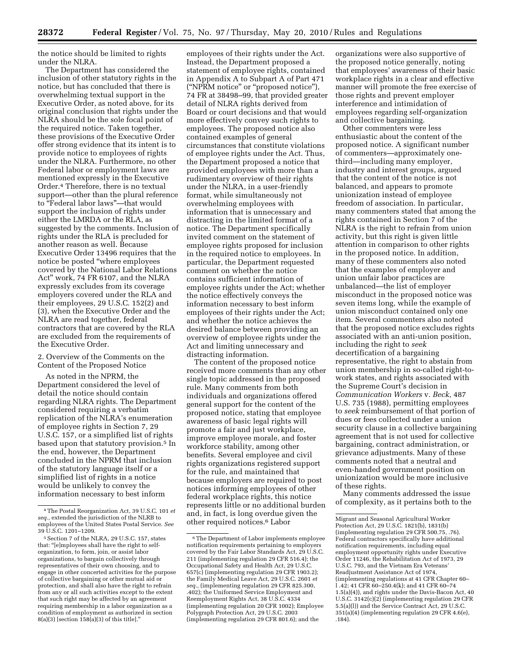the notice should be limited to rights under the NLRA.

The Department has considered the inclusion of other statutory rights in the notice, but has concluded that there is overwhelming textual support in the Executive Order, as noted above, for its original conclusion that rights under the NLRA should be the sole focal point of the required notice. Taken together, these provisions of the Executive Order offer strong evidence that its intent is to provide notice to employees of rights under the NLRA. Furthermore, no other Federal labor or employment laws are mentioned expressly in the Executive Order.4 Therefore, there is no textual support—other than the plural reference to ''Federal labor laws''—that would support the inclusion of rights under either the LMRDA or the RLA, as suggested by the comments. Inclusion of rights under the RLA is precluded for another reason as well. Because Executive Order 13496 requires that the notice be posted ''where employees covered by the National Labor Relations Act'' work, 74 FR 6107, and the NLRA expressly excludes from its coverage employers covered under the RLA and their employees, 29 U.S.C. 152(2) and (3), when the Executive Order and the NLRA are read together, federal contractors that are covered by the RLA are excluded from the requirements of the Executive Order.

2. Overview of the Comments on the Content of the Proposed Notice

As noted in the NPRM, the Department considered the level of detail the notice should contain regarding NLRA rights. The Department considered requiring a verbatim replication of the NLRA's enumeration of employee rights in Section 7, 29 U.S.C. 157, or a simplified list of rights based upon that statutory provision.<sup>5</sup> In the end, however, the Department concluded in the NPRM that inclusion of the statutory language itself or a simplified list of rights in a notice would be unlikely to convey the information necessary to best inform

employees of their rights under the Act. Instead, the Department proposed a statement of employee rights, contained in Appendix A to Subpart A of Part 471 (''NPRM notice'' or ''proposed notice''), 74 FR at 38498–99, that provided greater detail of NLRA rights derived from Board or court decisions and that would more effectively convey such rights to employees. The proposed notice also contained examples of general circumstances that constitute violations of employee rights under the Act. Thus, the Department proposed a notice that provided employees with more than a rudimentary overview of their rights under the NLRA, in a user-friendly format, while simultaneously not overwhelming employees with information that is unnecessary and distracting in the limited format of a notice. The Department specifically invited comment on the statement of employee rights proposed for inclusion in the required notice to employees. In particular, the Department requested comment on whether the notice contains sufficient information of employee rights under the Act; whether the notice effectively conveys the information necessary to best inform employees of their rights under the Act; and whether the notice achieves the desired balance between providing an overview of employee rights under the Act and limiting unnecessary and distracting information.

The content of the proposed notice received more comments than any other single topic addressed in the proposed rule. Many comments from both individuals and organizations offered general support for the content of the proposed notice, stating that employee awareness of basic legal rights will promote a fair and just workplace, improve employee morale, and foster workforce stability, among other benefits. Several employee and civil rights organizations registered support for the rule, and maintained that because employers are required to post notices informing employees of other federal workplace rights, this notice represents little or no additional burden and, in fact, is long overdue given the other required notices.6 Labor

organizations were also supportive of the proposed notice generally, noting that employees' awareness of their basic workplace rights in a clear and effective manner will promote the free exercise of those rights and prevent employer interference and intimidation of employees regarding self-organization and collective bargaining.

Other commenters were less enthusiastic about the content of the proposed notice. A significant number of commenters—approximately onethird—including many employer, industry and interest groups, argued that the content of the notice is not balanced, and appears to promote unionization instead of employee freedom of association. In particular, many commenters stated that among the rights contained in Section 7 of the NLRA is the right to refrain from union activity, but this right is given little attention in comparison to other rights in the proposed notice. In addition, many of these commenters also noted that the examples of employer and union unfair labor practices are unbalanced—the list of employer misconduct in the proposed notice was seven items long, while the example of union misconduct contained only one item. Several commenters also noted that the proposed notice excludes rights associated with an anti-union position, including the right to *seek*  decertification of a bargaining representative, the right to abstain from union membership in so-called right-towork states, and rights associated with the Supreme Court's decision in *Communication Workers* v. *Beck,* 487 U.S. 735 (1988), permitting employees to *seek* reimbursement of that portion of dues or fees collected under a union security clause in a collective bargaining agreement that is not used for collective bargaining, contract administration, or grievance adjustments. Many of these comments noted that a neutral and even-handed government position on unionization would be more inclusive of these rights.

Many comments addressed the issue of complexity, as it pertains both to the

<sup>4</sup>The Postal Reorganization Act, 39 U.S.C. 101 *et seq.,* extended the jurisdiction of the NLRB to employees of the United States Postal Service. *See*  39 U.S.C. 1201–1209.

<sup>5</sup>Section 7 of the NLRA, 29 U.S.C. 157, states that: "[e]mployees shall have the right to selforganization, to form, join, or assist labor organizations, to bargain collectively through representatives of their own choosing, and to engage in other concerted activities for the purpose of collective bargaining or other mutual aid or protection, and shall also have the right to refrain from any or all such activities except to the extent that such right may be affected by an agreement requiring membership in a labor organization as a condition of employment as authorized in section  $8(a)(3)$  [section 158 $(a)(3)$  of this title]."

<sup>6</sup>The Department of Labor implements employee notification requirements pertaining to employers covered by the Fair Labor Standards Act, 29 U.S.C. 211 (implementing regulation 29 CFR 516.4); the Occupational Safety and Health Act, 29 U.S.C. 657(c) (implementing regulation 29 CFR 1903.2); the Family Medical Leave Act, 29 U.S.C. 2601 *et seq.,* (implementing regulation 29 CFR 825.300, .402); the Uniformed Service Employment and Reemployment Rights Act, 38 U.S.C. 4334 (implementing regulation 20 CFR 1002); Employee Polygraph Protection Act, 29 U.S.C. 2003 (implementing regulation 29 CFR 801.6); and the

Migrant and Seasonal Agricultural Worker Protection Act, 29 U.S.C. 1821(b), 1831(b) (implementing regulation 29 CFR 500.75, .76). Federal contractors specifically have additional notification requirements, including equal employment opportunity rights under Executive Order 11246, the Rehabilitation Act of 1973, 29 U.S.C. 793, and the Vietnam Era Veterans' Readjustment Assistance Act of 1974, (implementing regulations at 41 CFR Chapter 60– l .42; 41 CFR 60–250.4(k); and 41 CFR 60–74 1.5(a)(4)), and rights under the Davis-Bacon Act, 40 U.S.C. 3142(c)(2) (implementing regulation 29 CFR 5.5(a)(l)) and the Service Contract Act, 29 U.S.C. 351(a)(4) (implementing regulation 29 CFR 4.6(e), .184).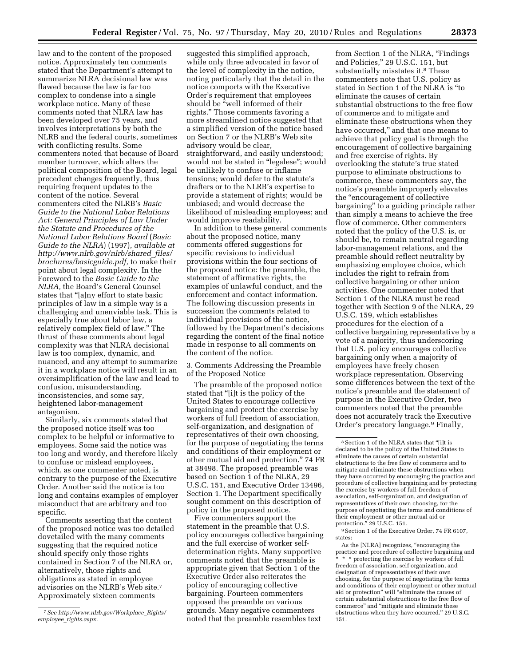law and to the content of the proposed notice. Approximately ten comments stated that the Department's attempt to summarize NLRA decisional law was flawed because the law is far too complex to condense into a single workplace notice. Many of these comments noted that NLRA law has been developed over 75 years, and involves interpretations by both the NLRB and the federal courts, sometimes with conflicting results. Some commenters noted that because of Board member turnover, which alters the political composition of the Board, legal precedent changes frequently, thus requiring frequent updates to the content of the notice. Several commenters cited the NLRB's *Basic Guide to the National Labor Relations Act: General Principles of Law Under the Statute and Procedures of the National Labor Relations Board* (*Basic Guide to the NLRA*) (1997), *available at http://www.nlrb.gov/nlrb/shared*\_*files/ brochures/basicguide.pdf,* to make their point about legal complexity. In the Foreword to the *Basic Guide to the NLRA,* the Board's General Counsel states that ''[a]ny effort to state basic principles of law in a simple way is a challenging and unenviable task. This is especially true about labor law, a relatively complex field of law.'' The thrust of these comments about legal complexity was that NLRA decisional law is too complex, dynamic, and nuanced, and any attempt to summarize it in a workplace notice will result in an oversimplification of the law and lead to confusion, misunderstanding, inconsistencies, and some say, heightened labor-management antagonism.

Similarly, six comments stated that the proposed notice itself was too complex to be helpful or informative to employees. Some said the notice was too long and wordy, and therefore likely to confuse or mislead employees, which, as one commenter noted, is contrary to the purpose of the Executive Order. Another said the notice is too long and contains examples of employer misconduct that are arbitrary and too specific.

Comments asserting that the content of the proposed notice was too detailed dovetailed with the many comments suggesting that the required notice should specify only those rights contained in Section 7 of the NLRA or, alternatively, those rights and obligations as stated in employee advisories on the NLRB's Web site.7 Approximately sixteen comments

suggested this simplified approach, while only three advocated in favor of the level of complexity in the notice, noting particularly that the detail in the notice comports with the Executive Order's requirement that employees should be ''well informed of their rights.'' Those comments favoring a more streamlined notice suggested that a simplified version of the notice based on Section 7 or the NLRB's Web site advisory would be clear, straightforward, and easily understood; would not be stated in ''legalese''; would be unlikely to confuse or inflame tensions; would defer to the statute's drafters or to the NLRB's expertise to provide a statement of rights; would be unbiased; and would decrease the likelihood of misleading employees; and would improve readability.

In addition to these general comments about the proposed notice, many comments offered suggestions for specific revisions to individual provisions within the four sections of the proposed notice: the preamble, the statement of affirmative rights, the examples of unlawful conduct, and the enforcement and contact information. The following discussion presents in succession the comments related to individual provisions of the notice, followed by the Department's decisions regarding the content of the final notice made in response to all comments on the content of the notice.

3. Comments Addressing the Preamble of the Proposed Notice

The preamble of the proposed notice stated that "[i]t is the policy of the United States to encourage collective bargaining and protect the exercise by workers of full freedom of association, self-organization, and designation of representatives of their own choosing, for the purpose of negotiating the terms and conditions of their employment or other mutual aid and protection.'' 74 FR at 38498. The proposed preamble was based on Section 1 of the NLRA, 29 U.S.C. 151, and Executive Order 13496, Section 1. The Department specifically sought comment on this description of policy in the proposed notice.

Five commenters support the statement in the preamble that U.S. policy encourages collective bargaining and the full exercise of worker selfdetermination rights. Many supportive comments noted that the preamble is appropriate given that Section 1 of the Executive Order also reiterates the policy of encouraging collective bargaining. Fourteen commenters opposed the preamble on various grounds. Many negative commenters noted that the preamble resembles text

from Section 1 of the NLRA, "Findings and Policies,'' 29 U.S.C. 151, but substantially misstates it.<sup>8</sup> These commenters note that U.S. policy as stated in Section 1 of the NLRA is ''to eliminate the causes of certain substantial obstructions to the free flow of commerce and to mitigate and eliminate these obstructions when they have occurred,'' and that one means to achieve that policy goal is through the encouragement of collective bargaining and free exercise of rights. By overlooking the statute's true stated purpose to eliminate obstructions to commerce, these commenters say, the notice's preamble improperly elevates the ''encouragement of collective bargaining'' to a guiding principle rather than simply a means to achieve the free flow of commerce. Other commenters noted that the policy of the U.S. is, or should be, to remain neutral regarding labor-management relations, and the preamble should reflect neutrality by emphasizing employee choice, which includes the right to refrain from collective bargaining or other union activities. One commenter noted that Section 1 of the NLRA must be read together with Section 9 of the NLRA, 29 U.S.C. 159, which establishes procedures for the election of a collective bargaining representative by a vote of a majority, thus underscoring that U.S. policy encourages collective bargaining only when a majority of employees have freely chosen workplace representation. Observing some differences between the text of the notice's preamble and the statement of purpose in the Executive Order, two commenters noted that the preamble does not accurately track the Executive Order's precatory language.9 Finally,

9Section 1 of the Executive Order, 74 FR 6107, states:

As the [NLRA] recognizes, "encouraging the practice and procedure of collective bargaining and \* protecting the exercise by workers of full freedom of association, self organization, and designation of representatives of their own choosing, for the purpose of negotiating the terms and conditions of their employment or other mutual aid or protection'' will ''eliminate the causes of certain substantial obstructions to the free flow of commerce'' and ''mitigate and eliminate these obstructions when they have occurred.'' 29 U.S.C. 151.

<sup>7</sup>*See http://www.nlrb.gov/Workplace*\_*Rights/ employee*\_*rights.aspx.* 

<sup>8</sup>Section 1 of the NLRA states that ''[i]t is declared to be the policy of the United States to eliminate the causes of certain substantial obstructions to the free flow of commerce and to mitigate and eliminate these obstructions when they have occurred by encouraging the practice and procedure of collective bargaining and by protecting the exercise by workers of full freedom of association, self-organization, and designation of representatives of their own choosing, for the purpose of negotiating the terms and conditions of their employment or other mutual aid or protection.'' 29 U.S.C. 151.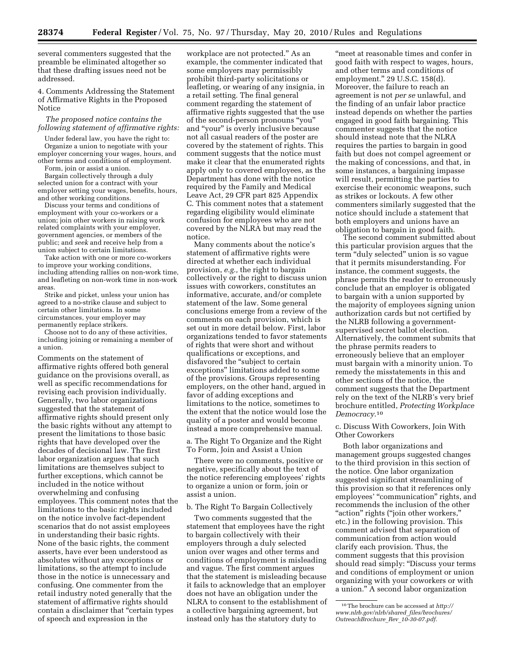several commenters suggested that the preamble be eliminated altogether so that these drafting issues need not be addressed.

4. Comments Addressing the Statement of Affirmative Rights in the Proposed Notice

*The proposed notice contains the following statement of affirmative rights:* 

Under federal law, you have the right to: Organize a union to negotiate with your employer concerning your wages, hours, and other terms and conditions of employment.

Form, join or assist a union.

Bargain collectively through a duly selected union for a contract with your employer setting your wages, benefits, hours, and other working conditions.

Discuss your terms and conditions of employment with your co-workers or a union; join other workers in raising work related complaints with your employer, government agencies, or members of the public; and *seek* and receive help from a union subject to certain limitations.

Take action with one or more co-workers to improve your working conditions, including attending rallies on non-work time, and leafleting on non-work time in non-work areas.

Strike and picket, unless your union has agreed to a no-strike clause and subject to certain other limitations. In some circumstances, your employer may permanently replace strikers.

Choose not to do any of these activities, including joining or remaining a member of a union.

Comments on the statement of affirmative rights offered both general guidance on the provisions overall, as well as specific recommendations for revising each provision individually. Generally, two labor organizations suggested that the statement of affirmative rights should present only the basic rights without any attempt to present the limitations to those basic rights that have developed over the decades of decisional law. The first labor organization argues that such limitations are themselves subject to further exceptions, which cannot be included in the notice without overwhelming and confusing employees. This comment notes that the limitations to the basic rights included on the notice involve fact-dependent scenarios that do not assist employees in understanding their basic rights. None of the basic rights, the comment asserts, have ever been understood as absolutes without any exceptions or limitations, so the attempt to include those in the notice is unnecessary and confusing. One commenter from the retail industry noted generally that the statement of affirmative rights should contain a disclaimer that ''certain types of speech and expression in the

workplace are not protected.'' As an example, the commenter indicated that some employers may permissibly prohibit third-party solicitations or leafleting, or wearing of any insignia, in a retail setting. The final general comment regarding the statement of affirmative rights suggested that the use of the second-person pronouns ''you'' and "your" is overly inclusive because not all casual readers of the poster are covered by the statement of rights. This comment suggests that the notice must make it clear that the enumerated rights apply only to covered employees, as the Department has done with the notice required by the Family and Medical Leave Act, 29 CFR part 825 Appendix C. This comment notes that a statement regarding eligibility would eliminate confusion for employees who are not covered by the NLRA but may read the notice.

Many comments about the notice's statement of affirmative rights were directed at whether each individual provision, *e.g.,* the right to bargain collectively or the right to discuss union issues with coworkers, constitutes an informative, accurate, and/or complete statement of the law. Some general conclusions emerge from a review of the comments on each provision, which is set out in more detail below. First, labor organizations tended to favor statements of rights that were short and without qualifications or exceptions, and disfavored the "subject to certain exceptions'' limitations added to some of the provisions. Groups representing employers, on the other hand, argued in favor of adding exceptions and limitations to the notice, sometimes to the extent that the notice would lose the quality of a poster and would become instead a more comprehensive manual.

a. The Right To Organize and the Right To Form, Join and Assist a Union

There were no comments, positive or negative, specifically about the text of the notice referencing employees' rights to organize a union or form, join or assist a union.

#### b. The Right To Bargain Collectively

Two comments suggested that the statement that employees have the right to bargain collectively with their employers through a duly selected union over wages and other terms and conditions of employment is misleading and vague. The first comment argues that the statement is misleading because it fails to acknowledge that an employer does not have an obligation under the NLRA to consent to the establishment of a collective bargaining agreement, but instead only has the statutory duty to

''meet at reasonable times and confer in good faith with respect to wages, hours, and other terms and conditions of employment.'' 29 U.S.C. 158(d). Moreover, the failure to reach an agreement is not *per se* unlawful, and the finding of an unfair labor practice instead depends on whether the parties engaged in good faith bargaining. This commenter suggests that the notice should instead note that the NLRA requires the parties to bargain in good faith but does not compel agreement or the making of concessions, and that, in some instances, a bargaining impasse will result, permitting the parties to exercise their economic weapons, such as strikes or lockouts. A few other commenters similarly suggested that the notice should include a statement that both employers and unions have an obligation to bargain in good faith.

The second comment submitted about this particular provision argues that the term ''duly selected'' union is so vague that it permits misunderstanding. For instance, the comment suggests, the phrase permits the reader to erroneously conclude that an employer is obligated to bargain with a union supported by the majority of employees signing union authorization cards but not certified by the NLRB following a governmentsupervised secret ballot election. Alternatively, the comment submits that the phrase permits readers to erroneously believe that an employer must bargain with a minority union. To remedy the misstatements in this and other sections of the notice, the comment suggests that the Department rely on the text of the NLRB's very brief brochure entitled, *Protecting Workplace Democracy*.10

c. Discuss With Coworkers, Join With Other Coworkers

Both labor organizations and management groups suggested changes to the third provision in this section of the notice. One labor organization suggested significant streamlining of this provision so that it references only employees' ''communication'' rights, and recommends the inclusion of the other "action" rights ("join other workers," etc.) in the following provision. This comment advised that separation of communication from action would clarify each provision. Thus, the comment suggests that this provision should read simply: ''Discuss your terms and conditions of employment or union organizing with your coworkers or with a union.'' A second labor organization

<sup>10</sup>The brochure can be accessed at *http:// www.nlrb.gov/nlrb/shared*\_*files/brochures/ OutreachBrochure*\_*Rev*\_*10-30-07.pdf*.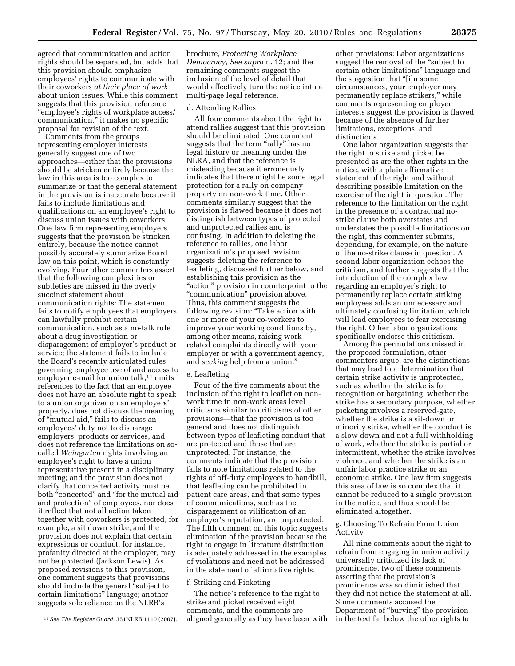agreed that communication and action rights should be separated, but adds that this provision should emphasize employees' rights to communicate with their coworkers *at their place of work*  about union issues. While this comment

suggests that this provision reference ''employee's rights of workplace access/ communication,'' it makes no specific proposal for revision of the text. Comments from the groups

representing employer interests generally suggest one of two approaches—either that the provisions should be stricken entirely because the law in this area is too complex to summarize or that the general statement in the provision is inaccurate because it fails to include limitations and qualifications on an employee's right to discuss union issues with coworkers. One law firm representing employers suggests that the provision be stricken entirely, because the notice cannot possibly accurately summarize Board law on this point, which is constantly evolving. Four other commenters assert that the following complexities or subtleties are missed in the overly succinct statement about communication rights: The statement fails to notify employees that employers can lawfully prohibit certain communication, such as a no-talk rule about a drug investigation or disparagement of employer's product or service; the statement fails to include the Board's recently articulated rules governing employee use of and access to employer e-mail for union talk,<sup>11</sup> omits references to the fact that an employee does not have an absolute right to speak to a union organizer on an employers' property, does not discuss the meaning of ''mutual aid,'' fails to discuss an employees' duty not to disparage employers' products or services, and does not reference the limitations on socalled *Weingarten* rights involving an employee's right to have a union representative present in a disciplinary meeting; and the provision does not clarify that concerted activity must be both "concerted" and "for the mutual aid and protection'' of employees, nor does it reflect that not all action taken together with coworkers is protected, for example, a sit down strike; and the provision does not explain that certain expressions or conduct, for instance, profanity directed at the employer, may not be protected (Jackson Lewis). As proposed revisions to this provision, one comment suggests that provisions should include the general "subject to certain limitations'' language; another suggests sole reliance on the NLRB's

brochure, *Protecting Workplace Democracy, See supra* n. 12; and the remaining comments suggest the inclusion of the level of detail that would effectively turn the notice into a multi-page legal reference.

#### d. Attending Rallies

All four comments about the right to attend rallies suggest that this provision should be eliminated. One comment suggests that the term "rally" has no legal history or meaning under the NLRA, and that the reference is misleading because it erroneously indicates that there might be some legal protection for a rally on company property on non-work time. Other comments similarly suggest that the provision is flawed because it does not distinguish between types of protected and unprotected rallies and is confusing. In addition to deleting the reference to rallies, one labor organization's proposed revision suggests deleting the reference to leafleting, discussed further below, and establishing this provision as the "action" provision in counterpoint to the ''communication'' provision above. Thus, this comment suggests the following revision: "Take action with one or more of your co-workers to improve your working conditions by, among other means, raising workrelated complaints directly with your employer or with a government agency, and *seeking* help from a union.''

#### e. Leafleting

Four of the five comments about the inclusion of the right to leaflet on nonwork time in non-work areas level criticisms similar to criticisms of other provisions—that the provision is too general and does not distinguish between types of leafleting conduct that are protected and those that are unprotected. For instance, the comments indicate that the provision fails to note limitations related to the rights of off-duty employees to handbill, that leafleting can be prohibited in patient care areas, and that some types of communications, such as the disparagement or vilification of an employer's reputation, are unprotected. The fifth comment on this topic suggests elimination of the provision because the right to engage in literature distribution is adequately addressed in the examples of violations and need not be addressed in the statement of affirmative rights.

#### f. Striking and Picketing

The notice's reference to the right to strike and picket received eight comments, and the comments are aligned generally as they have been with

other provisions: Labor organizations suggest the removal of the ''subject to certain other limitations'' language and the suggestion that ''[i]n some circumstances, your employer may permanently replace strikers,'' while comments representing employer interests suggest the provision is flawed because of the absence of further limitations, exceptions, and distinctions.

One labor organization suggests that the right to strike and picket be presented as are the other rights in the notice, with a plain affirmative statement of the right and without describing possible limitation on the exercise of the right in question. The reference to the limitation on the right in the presence of a contractual nostrike clause both overstates and understates the possible limitations on the right, this commenter submits, depending, for example, on the nature of the no-strike clause in question. A second labor organization echoes the criticism, and further suggests that the introduction of the complex law regarding an employer's right to permanently replace certain striking employees adds an unnecessary and ultimately confusing limitation, which will lead employees to fear exercising the right. Other labor organizations specifically endorse this criticism.

Among the permutations missed in the proposed formulation, other commenters argue, are the distinctions that may lead to a determination that certain strike activity is unprotected, such as whether the strike is for recognition or bargaining, whether the strike has a secondary purpose, whether picketing involves a reserved-gate, whether the strike is a sit-down or minority strike, whether the conduct is a slow down and not a full withholding of work, whether the strike is partial or intermittent, whether the strike involves violence, and whether the strike is an unfair labor practice strike or an economic strike. One law firm suggests this area of law is so complex that it cannot be reduced to a single provision in the notice, and thus should be eliminated altogether.

## g. Choosing To Refrain From Union Activity

All nine comments about the right to refrain from engaging in union activity universally criticized its lack of prominence, two of these comments asserting that the provision's prominence was so diminished that they did not notice the statement at all. Some comments accused the Department of ''burying'' the provision in the text far below the other rights to

<sup>11</sup>*See The Register Guard,* 351NLRB 1110 (2007).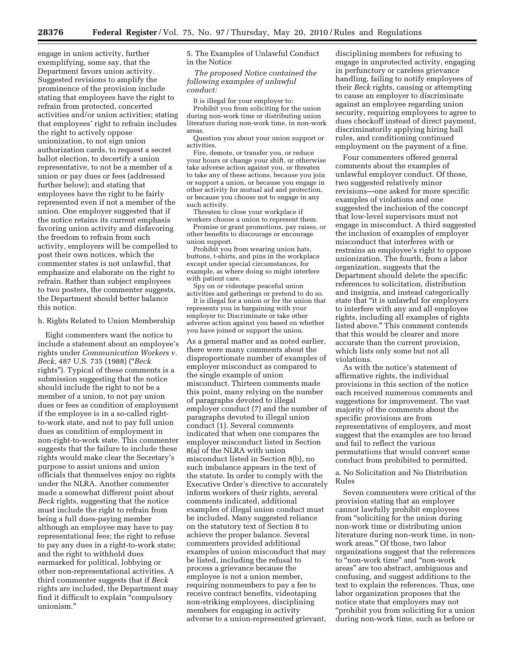engage in union activity, further exemplifying, some say, that the Department favors union activity. Suggested revisions to amplify the prominence of the provision include stating that employees have the right to refrain from protected, concerted activities and/or union activities; stating that employees' right to refrain includes the right to actively oppose unionization, to not sign union authorization cards, to request a secret ballot election, to decertify a union representative, to not be a member of a union or pay dues or fees (addressed further below); and stating that employees have the right to be fairly represented even if not a member of the union. One employer suggested that if the notice retains its current emphasis favoring union activity and disfavoring the freedom to refrain from such activity, employers will be compelled to post their own notices, which the commenter states is not unlawful, that emphasize and elaborate on the right to refrain. Rather than subject employees to two posters, the commenter suggests, the Department should better balance this notice.

#### h. Rights Related to Union Membership

Eight commenters want the notice to include a statement about an employee's rights under *Communication Workers v. Beck,* 487 U.S. 735 (1988) (''*Beck*  rights''). Typical of these comments is a submission suggesting that the notice should include the right to not be a member of a union, to not pay union dues or fees as condition of employment if the employee is in a so-called rightto-work state, and not to pay full union dues as condition of employment in non-right-to-work state. This commenter suggests that the failure to include these rights would make clear the Secretary's purpose to assist unions and union officials that themselves enjoy no rights under the NLRA. Another commenter made a somewhat different point about *Beck* rights, suggesting that the notice must include the right to refrain from being a full dues-paying member although an employee may have to pay representational fees; the right to refuse to pay any dues in a right-to-work state; and the right to withhold dues earmarked for political, lobbying or other non-representational activities. A third commenter suggests that if *Beck*  rights are included, the Department may find it difficult to explain "compulsory unionism.''

5. The Examples of Unlawful Conduct in the Notice

*The proposed Notice contained the following examples of unlawful conduct:* 

It is illegal for your employer to: Prohibit you from soliciting for the union during non-work time or distributing union literature during non-work time, in non-work areas.

Question you about your union support or activities.

Fire, demote, or transfer you, or reduce your hours or change your shift, or otherwise take adverse action against you, or threaten to take any of these actions, because you join or support a union, or because you engage in other activity for mutual aid and protection, or because you choose not to engage in any such activity.

Threaten to close your workplace if workers choose a union to represent them.

Promise or grant promotions, pay raises, or other benefits to discourage or encourage union support.

Prohibit you from wearing union hats, buttons, t-shirts, and pins in the workplace except under special circumstances, for example, as where doing so might interfere with patient care.

Spy on or videotape peaceful union activities and gatherings or pretend to do so.

It is illegal for a union or for the union that represents you in bargaining with your employer to: Discriminate or take other adverse action against you based on whether you have joined or support the union.

As a general matter and as noted earlier, there were many comments about the disproportionate number of examples of employer misconduct as compared to the single example of union misconduct. Thirteen comments made this point, many relying on the number of paragraphs devoted to illegal employer conduct (7) and the number of paragraphs devoted to illegal union conduct (1). Several comments indicated that when one compares the employer misconduct listed in Section 8(a) of the NLRA with union misconduct listed in Section 8(b), no such imbalance appears in the text of the statute. In order to comply with the Executive Order's directive to accurately inform workers of their rights, several comments indicated, additional examples of illegal union conduct must be included. Many suggested reliance on the statutory text of Section 8 to achieve the proper balance. Several commenters provided additional examples of union misconduct that may be listed, including the refusal to process a grievance because the employee is not a union member, requiring nonmembers to pay a fee to receive contract benefits, videotaping non-striking employees, disciplining members for engaging in activity adverse to a union-represented grievant,

disciplining members for refusing to engage in unprotected activity, engaging in perfunctory or careless grievance handling, failing to notify employees of their *Beck* rights, causing or attempting to cause an employer to discriminate against an employee regarding union security, requiring employees to agree to dues checkoff instead of direct payment, discriminatorily applying hiring hall rules, and conditioning continued employment on the payment of a fine.

Four commenters offered general comments about the examples of unlawful employer conduct. Of those, two suggested relatively minor revisions—one asked for more specific examples of violations and one suggested the inclusion of the concept that low-level supervisors must not engage in misconduct. A third suggested the inclusion of examples of employer misconduct that interferes with or restrains an employee's right to oppose unionization. The fourth, from a labor organization, suggests that the Department should delete the specific references to solicitation, distribution and insignia, and instead categorically state that "it is unlawful for employers to interfere with any and all employee rights, including all examples of rights listed above.'' This comment contends that this would be clearer and more accurate than the current provision, which lists only some but not all violations.

As with the notice's statement of affirmative rights, the individual provisions in this section of the notice each received numerous comments and suggestions for improvement. The vast majority of the comments about the specific provisions are from representatives of employers, and most suggest that the examples are too broad and fail to reflect the various permutations that would convert some conduct from prohibited to permitted.

## a. No Solicitation and No Distribution Rules

Seven commenters were critical of the provision stating that an employer cannot lawfully prohibit employees from "soliciting for the union during non-work time or distributing union literature during non-work time, in nonwork areas.'' Of those, two labor organizations suggest that the references to ''non-work time'' and ''non-work areas'' are too abstract, ambiguous and confusing, and suggest additions to the text to explain the references. Thus, one labor organization proposes that the notice state that employers may not ''prohibit you from soliciting for a union during non-work time, such as before or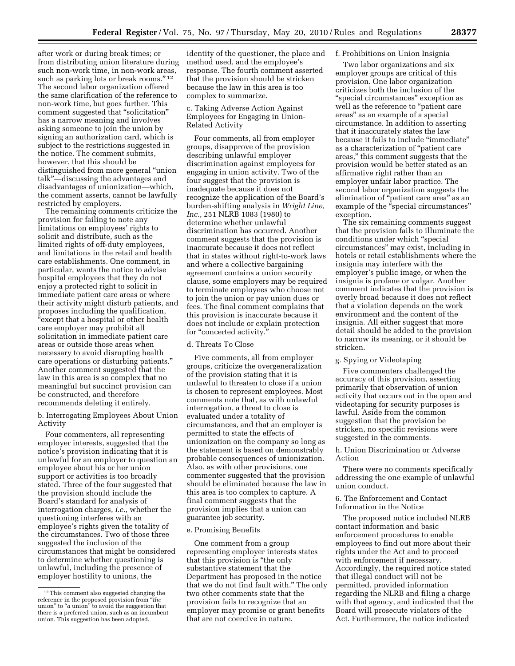after work or during break times; or from distributing union literature during such non-work time, in non-work areas, such as parking lots or break rooms."<sup>12</sup> The second labor organization offered the same clarification of the reference to non-work time, but goes further. This comment suggested that ''solicitation'' has a narrow meaning and involves asking someone to join the union by signing an authorization card, which is subject to the restrictions suggested in the notice. The comment submits, however, that this should be distinguished from more general ''union talk''—discussing the advantages and disadvantages of unionization—which, the comment asserts, cannot be lawfully restricted by employers.

The remaining comments criticize the provision for failing to note any limitations on employees' rights to solicit and distribute, such as the limited rights of off-duty employees, and limitations in the retail and health care establishments. One comment, in particular, wants the notice to advise hospital employees that they do not enjoy a protected right to solicit in immediate patient care areas or where their activity might disturb patients, and proposes including the qualification, "except that a hospital or other health care employer may prohibit all solicitation in immediate patient care areas or outside those areas when necessary to avoid disrupting health care operations or disturbing patients.'' Another comment suggested that the law in this area is so complex that no meaningful but succinct provision can be constructed, and therefore recommends deleting it entirely.

b. Interrogating Employees About Union Activity

Four commenters, all representing employer interests, suggested that the notice's provision indicating that it is unlawful for an employer to question an employee about his or her union support or activities is too broadly stated. Three of the four suggested that the provision should include the Board's standard for analysis of interrogation charges, *i.e.,* whether the questioning interferes with an employee's rights given the totality of the circumstances. Two of those three suggested the inclusion of the circumstances that might be considered to determine whether questioning is unlawful, including the presence of employer hostility to unions, the

identity of the questioner, the place and method used, and the employee's response. The fourth comment asserted that the provision should be stricken because the law in this area is too complex to summarize.

c. Taking Adverse Action Against Employees for Engaging in Union-Related Activity

Four comments, all from employer groups, disapprove of the provision describing unlawful employer discrimination against employees for engaging in union activity. Two of the four suggest that the provision is inadequate because it does not recognize the application of the Board's burden-shifting analysis in *Wright Line, Inc.,* 251 NLRB 1083 (1980) to determine whether unlawful discrimination has occurred. Another comment suggests that the provision is inaccurate because it does not reflect that in states without right-to-work laws and where a collective bargaining agreement contains a union security clause, some employers may be required to terminate employees who choose not to join the union or pay union dues or fees. The final comment complains that this provision is inaccurate because it does not include or explain protection for "concerted activity."

## d. Threats To Close

Five comments, all from employer groups, criticize the overgeneralization of the provision stating that it is unlawful to threaten to close if a union is chosen to represent employees. Most comments note that, as with unlawful interrogation, a threat to close is evaluated under a totality of circumstances, and that an employer is permitted to state the effects of unionization on the company so long as the statement is based on demonstrably probable consequences of unionization. Also, as with other provisions, one commenter suggested that the provision should be eliminated because the law in this area is too complex to capture. A final comment suggests that the provision implies that a union can guarantee job security.

## e. Promising Benefits

One comment from a group representing employer interests states that this provision is ''the only substantive statement that the Department has proposed in the notice that we do not find fault with.'' The only two other comments state that the provision fails to recognize that an employer may promise or grant benefits that are not coercive in nature.

## f. Prohibitions on Union Insignia

Two labor organizations and six employer groups are critical of this provision. One labor organization criticizes both the inclusion of the ''special circumstances'' exception as well as the reference to "patient care areas'' as an example of a special circumstance. In addition to asserting that it inaccurately states the law because it fails to include ''immediate'' as a characterization of ''patient care areas,'' this comment suggests that the provision would be better stated as an affirmative right rather than an employer unfair labor practice. The second labor organization suggests the elimination of ''patient care area'' as an example of the "special circumstances" exception.

The six remaining comments suggest that the provision fails to illuminate the conditions under which ''special circumstances'' may exist, including in hotels or retail establishments where the insignia may interfere with the employer's public image, or when the insignia is profane or vulgar. Another comment indicates that the provision is overly broad because it does not reflect that a violation depends on the work environment and the content of the insignia. All either suggest that more detail should be added to the provision to narrow its meaning, or it should be stricken.

## g. Spying or Videotaping

Five commenters challenged the accuracy of this provision, asserting primarily that observation of union activity that occurs out in the open and videotaping for security purposes is lawful. Aside from the common suggestion that the provision be stricken, no specific revisions were suggested in the comments.

## h. Union Discrimination or Adverse Action

There were no comments specifically addressing the one example of unlawful union conduct.

6. The Enforcement and Contact Information in the Notice

The proposed notice included NLRB contact information and basic enforcement procedures to enable employees to find out more about their rights under the Act and to proceed with enforcement if necessary. Accordingly, the required notice stated that illegal conduct will not be permitted, provided information regarding the NLRB and filing a charge with that agency, and indicated that the Board will prosecute violators of the Act. Furthermore, the notice indicated

 $^{\rm 12}$  This comment also suggested changing the reference in the proposed provision from ''*the*  union" to "*a* union" to avoid the suggestion that there is a preferred union, such as an incumbent union. This suggestion has been adopted.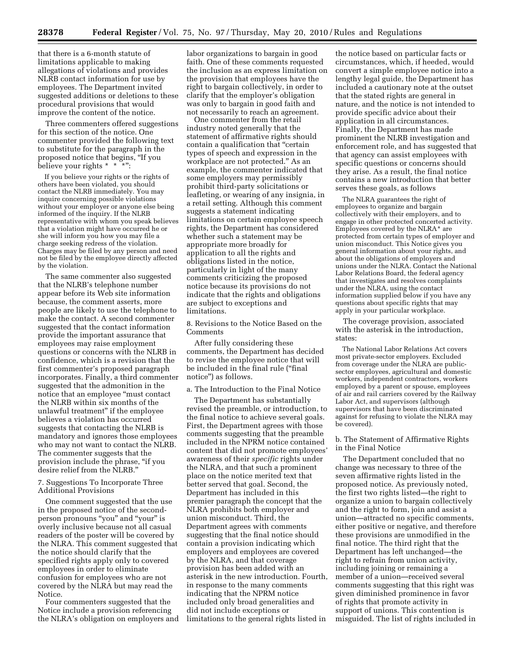that there is a 6-month statute of limitations applicable to making allegations of violations and provides NLRB contact information for use by employees. The Department invited suggested additions or deletions to these procedural provisions that would improve the content of the notice.

Three commenters offered suggestions for this section of the notice. One commenter provided the following text to substitute for the paragraph in the proposed notice that begins, ''If you believe your rights \* \* \*":

If you believe your rights or the rights of others have been violated, you should contact the NLRB immediately. You may inquire concerning possible violations without your employer or anyone else being informed of the inquiry. If the NLRB representative with whom you speak believes that a violation might have occurred he or she will inform you how you may file a charge seeking redress of the violation. Charges may be filed by any person and need not be filed by the employee directly affected by the violation.

The same commenter also suggested that the NLRB's telephone number appear before its Web site information because, the comment asserts, more people are likely to use the telephone to make the contact. A second commenter suggested that the contact information provide the important assurance that employees may raise employment questions or concerns with the NLRB in confidence, which is a revision that the first commenter's proposed paragraph incorporates. Finally, a third commenter suggested that the admonition in the notice that an employee ''must contact the NLRB within six months of the unlawful treatment'' if the employee believes a violation has occurred suggests that contacting the NLRB is mandatory and ignores those employees who may not want to contact the NLRB. The commenter suggests that the provision include the phrase, ''if you desire relief from the NLRB.''

7. Suggestions To Incorporate Three Additional Provisions

One comment suggested that the use in the proposed notice of the secondperson pronouns ''you'' and ''your'' is overly inclusive because not all casual readers of the poster will be covered by the NLRA. This comment suggested that the notice should clarify that the specified rights apply only to covered employees in order to eliminate confusion for employees who are not covered by the NLRA but may read the Notice.

Four commenters suggested that the Notice include a provision referencing the NLRA's obligation on employers and

labor organizations to bargain in good faith. One of these comments requested the inclusion as an express limitation on the provision that employees have the right to bargain collectively, in order to clarify that the employer's obligation was only to bargain in good faith and not necessarily to reach an agreement.

One commenter from the retail industry noted generally that the statement of affirmative rights should contain a qualification that ''certain types of speech and expression in the workplace are not protected.'' As an example, the commenter indicated that some employers may permissibly prohibit third-party solicitations or leafleting, or wearing of any insignia, in a retail setting. Although this comment suggests a statement indicating limitations on certain employee speech rights, the Department has considered whether such a statement may be appropriate more broadly for application to all the rights and obligations listed in the notice, particularly in light of the many comments criticizing the proposed notice because its provisions do not indicate that the rights and obligations are subject to exceptions and limitations.

8. Revisions to the Notice Based on the Comments

After fully considering these comments, the Department has decided to revise the employee notice that will be included in the final rule (''final notice'') as follows.

#### a. The Introduction to the Final Notice

The Department has substantially revised the preamble, or introduction, to the final notice to achieve several goals. First, the Department agrees with those comments suggesting that the preamble included in the NPRM notice contained content that did not promote employees' awareness of their *specific* rights under the NLRA, and that such a prominent place on the notice merited text that better served that goal. Second, the Department has included in this premier paragraph the concept that the NLRA prohibits both employer and union misconduct. Third, the Department agrees with comments suggesting that the final notice should contain a provision indicating which employers and employees are covered by the NLRA, and that coverage provision has been added with an asterisk in the new introduction. Fourth, in response to the many comments indicating that the NPRM notice included only broad generalities and did not include exceptions or limitations to the general rights listed in

the notice based on particular facts or circumstances, which, if heeded, would convert a simple employee notice into a lengthy legal guide, the Department has included a cautionary note at the outset that the stated rights are general in nature, and the notice is not intended to provide specific advice about their application in all circumstances. Finally, the Department has made prominent the NLRB investigation and enforcement role, and has suggested that that agency can assist employees with specific questions or concerns should they arise. As a result, the final notice contains a new introduction that better serves these goals, as follows

The NLRA guarantees the right of employees to organize and bargain collectively with their employers, and to engage in other protected concerted activity. Employees covered by the NLRA\* are protected from certain types of employer and union misconduct. This Notice gives you general information about your rights, and about the obligations of employers and unions under the NLRA. Contact the National Labor Relations Board, the federal agency that investigates and resolves complaints under the NLRA, using the contact information supplied below if you have any questions about specific rights that may apply in your particular workplace.

The coverage provision, associated with the asterisk in the introduction, states:

The National Labor Relations Act covers most private-sector employers. Excluded from coverage under the NLRA are publicsector employees, agricultural and domestic workers, independent contractors, workers employed by a parent or spouse, employees of air and rail carriers covered by the Railway Labor Act, and supervisors (although supervisors that have been discriminated against for refusing to violate the NLRA may be covered).

## b. The Statement of Affirmative Rights in the Final Notice

The Department concluded that no change was necessary to three of the seven affirmative rights listed in the proposed notice. As previously noted, the first two rights listed—the right to organize a union to bargain collectively and the right to form, join and assist a union—attracted no specific comments, either positive or negative, and therefore these provisions are unmodified in the final notice. The third right that the Department has left unchanged—the right to refrain from union activity, including joining or remaining a member of a union—received several comments suggesting that this right was given diminished prominence in favor of rights that promote activity in support of unions. This contention is misguided. The list of rights included in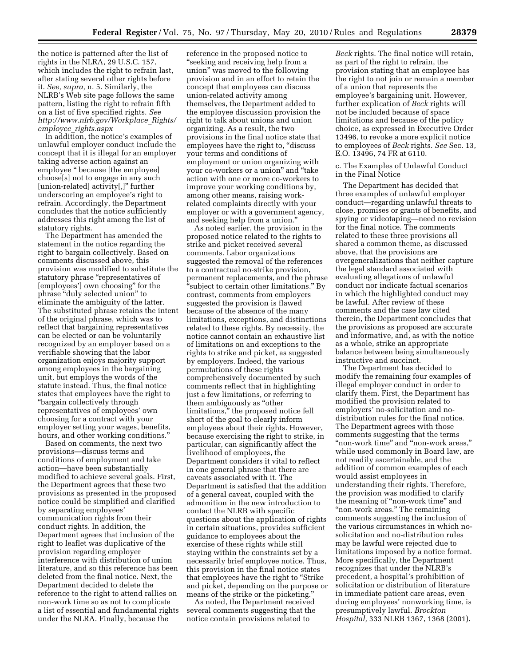the notice is patterned after the list of rights in the NLRA, 29 U.S.C. 157, which includes the right to refrain last, after stating several other rights before it. *See, supra,* n. 5. Similarly, the NLRB's Web site page follows the same pattern, listing the right to refrain fifth on a list of five specified rights. *See http://www.nlrb.gov/Workplace*\_*Rights/ employee*\_*rights.aspx* 

In addition, the notice's examples of unlawful employer conduct include the concept that it is illegal for an employer taking adverse action against an employee '' because [the employee] choose[s] not to engage in any such [union-related] activity[,]'' further underscoring an employee's right to refrain. Accordingly, the Department concludes that the notice sufficiently addresses this right among the list of statutory rights.

The Department has amended the statement in the notice regarding the right to bargain collectively. Based on comments discussed above, this provision was modified to substitute the statutory phrase "representatives of [employees'] own choosing'' for the phrase ''duly selected union'' to eliminate the ambiguity of the latter. The substituted phrase retains the intent of the original phrase, which was to reflect that bargaining representatives can be elected or can be voluntarily recognized by an employer based on a verifiable showing that the labor organization enjoys majority support among employees in the bargaining unit, but employs the words of the statute instead. Thus, the final notice states that employees have the right to ''bargain collectively through representatives of employees' own choosing for a contract with your employer setting your wages, benefits, hours, and other working conditions.''

Based on comments, the next two provisions—discuss terms and conditions of employment and take action—have been substantially modified to achieve several goals. First, the Department agrees that these two provisions as presented in the proposed notice could be simplified and clarified by separating employees' communication rights from their conduct rights. In addition, the Department agrees that inclusion of the right to leaflet was duplicative of the provision regarding employer interference with distribution of union literature, and so this reference has been deleted from the final notice. Next, the Department decided to delete the reference to the right to attend rallies on non-work time so as not to complicate a list of essential and fundamental rights under the NLRA. Finally, because the

reference in the proposed notice to ''seeking and receiving help from a union'' was moved to the following provision and in an effort to retain the concept that employees can discuss union-related activity among themselves, the Department added to the employee discussion provision the right to talk about unions and union organizing. As a result, the two provisions in the final notice state that employees have the right to, "discuss" your terms and conditions of employment or union organizing with your co-workers or a union'' and ''take action with one or more co-workers to improve your working conditions by, among other means, raising workrelated complaints directly with your employer or with a government agency, and seeking help from a union.''

As noted earlier, the provision in the proposed notice related to the rights to strike and picket received several comments. Labor organizations suggested the removal of the references to a contractual no-strike provision, permanent replacements, and the phrase ''subject to certain other limitations.'' By contrast, comments from employers suggested the provision is flawed because of the absence of the many limitations, exceptions, and distinctions related to these rights. By necessity, the notice cannot contain an exhaustive list of limitations on and exceptions to the rights to strike and picket, as suggested by employers. Indeed, the various permutations of these rights comprehensively documented by such comments reflect that in highlighting just a few limitations, or referring to them ambiguously as ''other limitations,'' the proposed notice fell short of the goal to clearly inform employees about their rights. However, because exercising the right to strike, in particular, can significantly affect the livelihood of employees, the Department considers it vital to reflect in one general phrase that there are caveats associated with it. The Department is satisfied that the addition of a general caveat, coupled with the admonition in the new introduction to contact the NLRB with specific questions about the application of rights in certain situations, provides sufficient guidance to employees about the exercise of these rights while still staying within the constraints set by a necessarily brief employee notice. Thus, this provision in the final notice states that employees have the right to "Strike and picket, depending on the purpose or means of the strike or the picketing.''

As noted, the Department received several comments suggesting that the notice contain provisions related to

*Beck* rights. The final notice will retain, as part of the right to refrain, the provision stating that an employee has the right to not join or remain a member of a union that represents the employee's bargaining unit. However, further explication of *Beck* rights will not be included because of space limitations and because of the policy choice, as expressed in Executive Order 13496, to revoke a more explicit notice to employees of *Beck* rights. *See* Sec. 13, E.O. 13496, 74 FR at 6110.

c. The Examples of Unlawful Conduct in the Final Notice

The Department has decided that three examples of unlawful employer conduct—regarding unlawful threats to close, promises or grants of benefits, and spying or videotaping—need no revision for the final notice. The comments related to these three provisions all shared a common theme, as discussed above, that the provisions are overgeneralizations that neither capture the legal standard associated with evaluating allegations of unlawful conduct nor indicate factual scenarios in which the highlighted conduct may be lawful. After review of these comments and the case law cited therein, the Department concludes that the provisions as proposed are accurate and informative, and, as with the notice as a whole, strike an appropriate balance between being simultaneously instructive and succinct.

The Department has decided to modify the remaining four examples of illegal employer conduct in order to clarify them. First, the Department has modified the provision related to employers' no-solicitation and nodistribution rules for the final notice. The Department agrees with those comments suggesting that the terms ''non-work time'' and ''non-work areas,'' while used commonly in Board law, are not readily ascertainable, and the addition of common examples of each would assist employees in understanding their rights. Therefore, the provision was modified to clarify the meaning of ''non-work time'' and "non-work areas." The remaining comments suggesting the inclusion of the various circumstances in which nosolicitation and no-distribution rules may be lawful were rejected due to limitations imposed by a notice format. More specifically, the Department recognizes that under the NLRB's precedent, a hospital's prohibition of solicitation or distribution of literature in immediate patient care areas, even during employees' nonworking time, is presumptively lawful. *Brockton Hospital,* 333 NLRB 1367, 1368 (2001).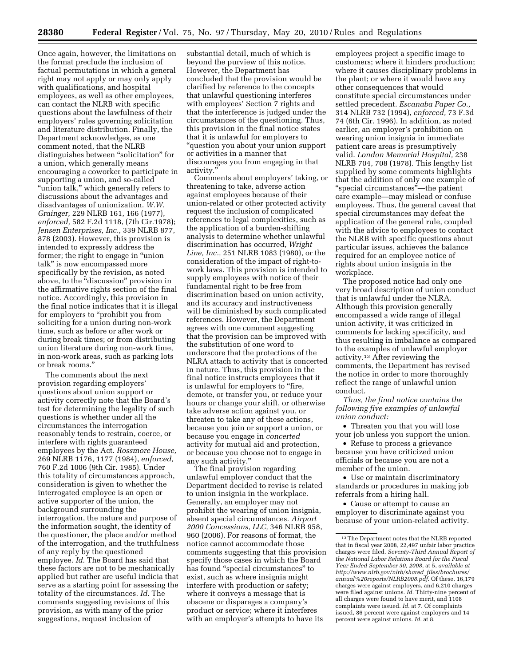Once again, however, the limitations on the format preclude the inclusion of factual permutations in which a general right may not apply or may only apply with qualifications, and hospital employees, as well as other employees, can contact the NLRB with specific questions about the lawfulness of their employers' rules governing solicitation and literature distribution. Finally, the Department acknowledges, as one comment noted, that the NLRB distinguishes between "solicitation" for a union, which generally means encouraging a coworker to participate in supporting a union, and so-called "union talk," which generally refers to discussions about the advantages and disadvantages of unionization. *W.W. Grainger,* 229 NLRB 161, 166 (1977), *enforced,* 582 F.2d 1118, (7th Cir.1978); *Jensen Enterprises, Inc.,* 339 NLRB 877, 878 (2003). However, this provision is intended to expressly address the former; the right to engage in ''union talk'' is now encompassed more specifically by the revision, as noted above, to the "discussion" provision in the affirmative rights section of the final notice. Accordingly, this provision in the final notice indicates that it is illegal for employers to "prohibit you from soliciting for a union during non-work time, such as before or after work or during break times; or from distributing union literature during non-work time, in non-work areas, such as parking lots or break rooms.''

The comments about the next provision regarding employers' questions about union support or activity correctly note that the Board's test for determining the legality of such questions is whether under all the circumstances the interrogation reasonably tends to restrain, coerce, or interfere with rights guaranteed employees by the Act. *Rossmore House,*  269 NLRB 1176, 1177 (1984), *enforced,*  760 F.2d 1006 (9th Cir. 1985). Under this totality of circumstances approach, consideration is given to whether the interrogated employee is an open or active supporter of the union, the background surrounding the interrogation, the nature and purpose of the information sought, the identity of the questioner, the place and/or method of the interrogation, and the truthfulness of any reply by the questioned employee. *Id.* The Board has said that these factors are not to be mechanically applied but rather are useful indicia that serve as a starting point for assessing the totality of the circumstances. *Id.* The comments suggesting revisions of this provision, as with many of the prior suggestions, request inclusion of

substantial detail, much of which is beyond the purview of this notice. However, the Department has concluded that the provision would be clarified by reference to the concepts that unlawful questioning interferes with employees' Section 7 rights and that the interference is judged under the circumstances of the questioning. Thus, this provision in the final notice states that it is unlawful for employers to ''question you about your union support or activities in a manner that discourages you from engaging in that activity.''

Comments about employers' taking, or threatening to take, adverse action against employees because of their union-related or other protected activity request the inclusion of complicated references to legal complexities, such as the application of a burden-shifting analysis to determine whether unlawful discrimination has occurred, *Wright Line, Inc.,* 251 NLRB 1083 (1980), or the consideration of the impact of right-towork laws. This provision is intended to supply employees with notice of their fundamental right to be free from discrimination based on union activity, and its accuracy and instructiveness will be diminished by such complicated references. However, the Department agrees with one comment suggesting that the provision can be improved with the substitution of one word to underscore that the protections of the NLRA attach to activity that is concerted in nature. Thus, this provision in the final notice instructs employees that it is unlawful for employers to "fire, demote, or transfer you, or reduce your hours or change your shift, or otherwise take adverse action against you, or threaten to take any of these actions, because you join or support a union, or because you engage in *concerted*  activity for mutual aid and protection, or because you choose not to engage in any such activity.''

The final provision regarding unlawful employer conduct that the Department decided to revise is related to union insignia in the workplace. Generally, an employer may not prohibit the wearing of union insignia, absent special circumstances. *Airport 2000 Concessions, LLC,* 346 NLRB 958, 960 (2006). For reasons of format, the notice cannot accommodate those comments suggesting that this provision specify those cases in which the Board has found ''special circumstances'' to exist, such as where insignia might interfere with production or safety; where it conveys a message that is obscene or disparages a company's product or service; where it interferes with an employer's attempts to have its

employees project a specific image to customers; where it hinders production; where it causes disciplinary problems in the plant; or where it would have any other consequences that would constitute special circumstances under settled precedent. *Escanaba Paper Co.,*  314 NLRB 732 (1994), *enforced,* 73 F.3d 74 (6th Cir. 1996). In addition, as noted earlier, an employer's prohibition on wearing union insignia in immediate patient care areas is presumptively valid. *London Memorial Hospital,* 238 NLRB 704, 708 (1978). This lengthy list supplied by some comments highlights that the addition of only one example of ''special circumstances''—the patient care example—may mislead or confuse employees. Thus, the general caveat that special circumstances may defeat the application of the general rule, coupled with the advice to employees to contact the NLRB with specific questions about particular issues, achieves the balance required for an employee notice of rights about union insignia in the workplace.

The proposed notice had only one very broad description of union conduct that is unlawful under the NLRA. Although this provision generally encompassed a wide range of illegal union activity, it was criticized in comments for lacking specificity, and thus resulting in imbalance as compared to the examples of unlawful employer activity.13 After reviewing the comments, the Department has revised the notice in order to more thoroughly reflect the range of unlawful union conduct.

*Thus, the final notice contains the following five examples of unlawful union conduct:* 

• Threaten you that you will lose your job unless you support the union.

• Refuse to process a grievance because you have criticized union officials or because you are not a member of the union.

• Use or maintain discriminatory standards or procedures in making job referrals from a hiring hall.

• Cause or attempt to cause an employer to discriminate against you because of your union-related activity.

<sup>13</sup>The Department notes that the NLRB reported that in fiscal year 2008, 22,497 unfair labor practice charges were filed. *Seventy-Third Annual Report of the National Labor Relations Board for the Fiscal Year Ended September 30, 2008,* at 5, *available at http://www.nlrb.gov/nlrb/shared*\_*files/brochures/ annual%20reports/NLRB2008.pdf.* Of these, 16,179 charges were against employers, and 6,210 charges were filed against unions. *Id.* Thirty-nine percent of all charges were found to have merit, and 1108 complaints were issued. *Id.* at 7. Of complaints issued, 86 percent were against employers and 14 percent were against unions. *Id.* at 8.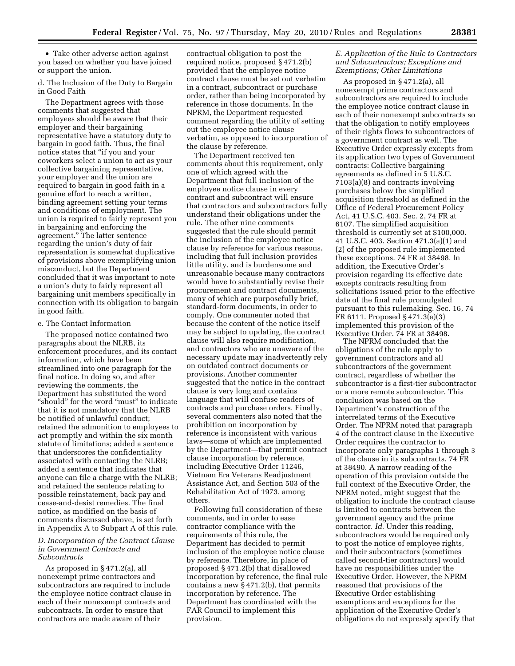• Take other adverse action against you based on whether you have joined or support the union.

d. The Inclusion of the Duty to Bargain in Good Faith

The Department agrees with those comments that suggested that employees should be aware that their employer and their bargaining representative have a statutory duty to bargain in good faith. Thus, the final notice states that ''if you and your coworkers select a union to act as your collective bargaining representative, your employer and the union are required to bargain in good faith in a genuine effort to reach a written, binding agreement setting your terms and conditions of employment. The union is required to fairly represent you in bargaining and enforcing the agreement.'' The latter sentence regarding the union's duty of fair representation is somewhat duplicative of provisions above exemplifying union misconduct, but the Department concluded that it was important to note a union's duty to fairly represent all bargaining unit members specifically in connection with its obligation to bargain in good faith.

#### e. The Contact Information

The proposed notice contained two paragraphs about the NLRB, its enforcement procedures, and its contact information, which have been streamlined into one paragraph for the final notice. In doing so, and after reviewing the comments, the Department has substituted the word "should" for the word "must" to indicate that it is not mandatory that the NLRB be notified of unlawful conduct; retained the admonition to employees to act promptly and within the six month statute of limitations; added a sentence that underscores the confidentiality associated with contacting the NLRB; added a sentence that indicates that anyone can file a charge with the NLRB; and retained the sentence relating to possible reinstatement, back pay and cease-and-desist remedies. The final notice, as modified on the basis of comments discussed above, is set forth in Appendix A to Subpart A of this rule.

## *D. Incorporation of the Contract Clause in Government Contracts and Subcontracts*

As proposed in § 471.2(a), all nonexempt prime contractors and subcontractors are required to include the employee notice contract clause in each of their nonexempt contracts and subcontracts. In order to ensure that contractors are made aware of their

contractual obligation to post the required notice, proposed § 471.2(b) provided that the employee notice contract clause must be set out verbatim in a contract, subcontract or purchase order, rather than being incorporated by reference in those documents. In the NPRM, the Department requested comment regarding the utility of setting out the employee notice clause verbatim, as opposed to incorporation of the clause by reference.

The Department received ten comments about this requirement, only one of which agreed with the Department that full inclusion of the employee notice clause in every contract and subcontract will ensure that contractors and subcontractors fully understand their obligations under the rule. The other nine comments suggested that the rule should permit the inclusion of the employee notice clause by reference for various reasons, including that full inclusion provides little utility, and is burdensome and unreasonable because many contractors would have to substantially revise their procurement and contract documents, many of which are purposefully brief, standard-form documents, in order to comply. One commenter noted that because the content of the notice itself may be subject to updating, the contract clause will also require modification, and contractors who are unaware of the necessary update may inadvertently rely on outdated contract documents or provisions. Another commenter suggested that the notice in the contract clause is very long and contains language that will confuse readers of contracts and purchase orders. Finally, several commenters also noted that the prohibition on incorporation by reference is inconsistent with various laws—some of which are implemented by the Department—that permit contract clause incorporation by reference, including Executive Order 11246, Vietnam Era Veterans Readjustment Assistance Act, and Section 503 of the Rehabilitation Act of 1973, among others.

Following full consideration of these comments, and in order to ease contractor compliance with the requirements of this rule, the Department has decided to permit inclusion of the employee notice clause by reference. Therefore, in place of proposed § 471.2(b) that disallowed incorporation by reference, the final rule contains a new § 471.2(b), that permits incorporation by reference. The Department has coordinated with the FAR Council to implement this provision.

## *E. Application of the Rule to Contractors and Subcontractors; Exceptions and Exemptions; Other Limitations*

As proposed in § 471.2(a), all nonexempt prime contractors and subcontractors are required to include the employee notice contract clause in each of their nonexempt subcontracts so that the obligation to notify employees of their rights flows to subcontractors of a government contract as well. The Executive Order expressly excepts from its application two types of Government contracts: Collective bargaining agreements as defined in 5 U.S.C. 7103(a)(8) and contracts involving purchases below the simplified acquisition threshold as defined in the Office of Federal Procurement Policy Act, 41 U.S.C. 403. Sec. 2, 74 FR at 6107. The simplified acquisition threshold is currently set at \$100,000. 41 U.S.C. 403. Section 471.3(a)(1) and (2) of the proposed rule implemented these exceptions. 74 FR at 38498. In addition, the Executive Order's provision regarding its effective date excepts contracts resulting from solicitations issued prior to the effective date of the final rule promulgated pursuant to this rulemaking. Sec. 16, 74 FR 6111. Proposed § 471.3(a)(3) implemented this provision of the Executive Order. 74 FR at 38498.

The NPRM concluded that the obligations of the rule apply to government contractors and all subcontractors of the government contract, regardless of whether the subcontractor is a first-tier subcontractor or a more remote subcontractor. This conclusion was based on the Department's construction of the interrelated terms of the Executive Order. The NPRM noted that paragraph 4 of the contract clause in the Executive Order requires the contractor to incorporate only paragraphs 1 through 3 of the clause in its subcontracts. 74 FR at 38490. A narrow reading of the operation of this provision outside the full context of the Executive Order, the NPRM noted, might suggest that the obligation to include the contract clause is limited to contracts between the government agency and the prime contractor. *Id.* Under this reading, subcontractors would be required only to post the notice of employee rights, and their subcontractors (sometimes called second-tier contractors) would have no responsibilities under the Executive Order. However, the NPRM reasoned that provisions of the Executive Order establishing exemptions and exceptions for the application of the Executive Order's obligations do not expressly specify that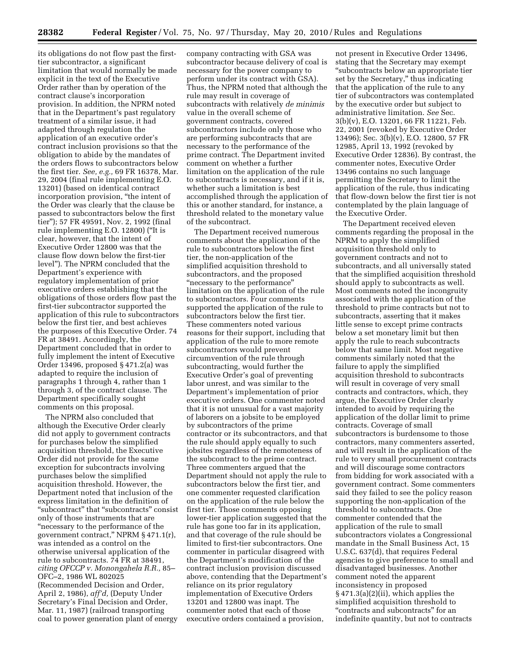its obligations do not flow past the firsttier subcontractor, a significant limitation that would normally be made explicit in the text of the Executive Order rather than by operation of the contract clause's incorporation provision. In addition, the NPRM noted that in the Department's past regulatory treatment of a similar issue, it had adapted through regulation the application of an executive order's contract inclusion provisions so that the obligation to abide by the mandates of the orders flows to subcontractors below the first tier. *See, e.g.,* 69 FR 16378, Mar. 29, 2004 (final rule implementing E.O. 13201) (based on identical contract incorporation provision, ''the intent of the Order was clearly that the clause be passed to subcontractors below the first tier''); 57 FR 49591, Nov. 2, 1992 (final rule implementing E.O. 12800) (''It is clear, however, that the intent of Executive Order 12800 was that the clause flow down below the first-tier level''). The NPRM concluded that the Department's experience with regulatory implementation of prior executive orders establishing that the obligations of those orders flow past the first-tier subcontractor supported the application of this rule to subcontractors below the first tier, and best achieves the purposes of this Executive Order. 74 FR at 38491. Accordingly, the Department concluded that in order to fully implement the intent of Executive Order 13496, proposed § 471.2(a) was adapted to require the inclusion of paragraphs 1 through 4, rather than 1 through 3, of the contract clause. The Department specifically sought comments on this proposal.

The NPRM also concluded that although the Executive Order clearly did not apply to government contracts for purchases below the simplified acquisition threshold, the Executive Order did not provide for the same exception for subcontracts involving purchases below the simplified acquisition threshold. However, the Department noted that inclusion of the express limitation in the definition of ''subcontract'' that ''subcontracts'' consist only of those instruments that are ''necessary to the performance of the government contract,'' NPRM § 471.1(r), was intended as a control on the otherwise universal application of the rule to subcontracts. 74 FR at 38491, *citing OFCCP v. Monongahela R.R.,* 85– OFC–2, 1986 WL 802025 (Recommended Decision and Order, April 2, 1986), *aff'd,* (Deputy Under Secretary's Final Decision and Order, Mar. 11, 1987) (railroad transporting coal to power generation plant of energy

company contracting with GSA was subcontractor because delivery of coal is necessary for the power company to perform under its contract with GSA). Thus, the NPRM noted that although the rule may result in coverage of subcontracts with relatively *de minimis*  value in the overall scheme of government contracts, covered subcontractors include only those who are performing subcontracts that are necessary to the performance of the prime contract. The Department invited comment on whether a further limitation on the application of the rule to subcontracts is necessary, and if it is, whether such a limitation is best accomplished through the application of this or another standard, for instance, a threshold related to the monetary value of the subcontract.

The Department received numerous comments about the application of the rule to subcontractors below the first tier, the non-application of the simplified acquisition threshold to subcontractors, and the proposed ''necessary to the performance'' limitation on the application of the rule to subcontractors. Four comments supported the application of the rule to subcontractors below the first tier. These commenters noted various reasons for their support, including that application of the rule to more remote subcontractors would prevent circumvention of the rule through subcontracting, would further the Executive Order's goal of preventing labor unrest, and was similar to the Department's implementation of prior executive orders. One commenter noted that it is not unusual for a vast majority of laborers on a jobsite to be employed by subcontractors of the prime contractor or its subcontractors, and that the rule should apply equally to such jobsites regardless of the remoteness of the subcontract to the prime contract. Three commenters argued that the Department should not apply the rule to subcontractors below the first tier, and one commenter requested clarification on the application of the rule below the first tier. Those comments opposing lower-tier application suggested that the rule has gone too far in its application, and that coverage of the rule should be limited to first-tier subcontractors. One commenter in particular disagreed with the Department's modification of the contract inclusion provision discussed above, contending that the Department's reliance on its prior regulatory implementation of Executive Orders 13201 and 12800 was inapt. The commenter noted that each of those executive orders contained a provision,

not present in Executive Order 13496, stating that the Secretary may exempt ''subcontracts below an appropriate tier set by the Secretary," thus indicating that the application of the rule to any tier of subcontractors was contemplated by the executive order but subject to administrative limitation. *See* Sec. 3(b)(v), E.O. 13201, 66 FR 11221, Feb. 22, 2001 (revoked by Executive Order 13496); Sec. 3(b)(v), E.O. 12800, 57 FR 12985, April 13, 1992 (revoked by Executive Order 12836). By contrast, the commenter notes, Executive Order 13496 contains no such language permitting the Secretary to limit the application of the rule, thus indicating that flow-down below the first tier is not contemplated by the plain language of the Executive Order.

The Department received eleven comments regarding the proposal in the NPRM to apply the simplified acquisition threshold only to government contracts and not to subcontracts, and all universally stated that the simplified acquisition threshold should apply to subcontracts as well. Most comments noted the incongruity associated with the application of the threshold to prime contracts but not to subcontracts, asserting that it makes little sense to except prime contracts below a set monetary limit but then apply the rule to reach subcontracts below that same limit. Most negative comments similarly noted that the failure to apply the simplified acquisition threshold to subcontracts will result in coverage of very small contracts and contractors, which, they argue, the Executive Order clearly intended to avoid by requiring the application of the dollar limit to prime contracts. Coverage of small subcontractors is burdensome to those contractors, many commenters asserted, and will result in the application of the rule to very small procurement contracts and will discourage some contractors from bidding for work associated with a government contract. Some commenters said they failed to see the policy reason supporting the non-application of the threshold to subcontracts. One commenter contended that the application of the rule to small subcontractors violates a Congressional mandate in the Small Business Act, 15 U.S.C. 637(d), that requires Federal agencies to give preference to small and disadvantaged businesses. Another comment noted the apparent inconsistency in proposed § 471.3(a)(2)(ii), which applies the simplified acquisition threshold to ''contracts and subcontracts'' for an indefinite quantity, but not to contracts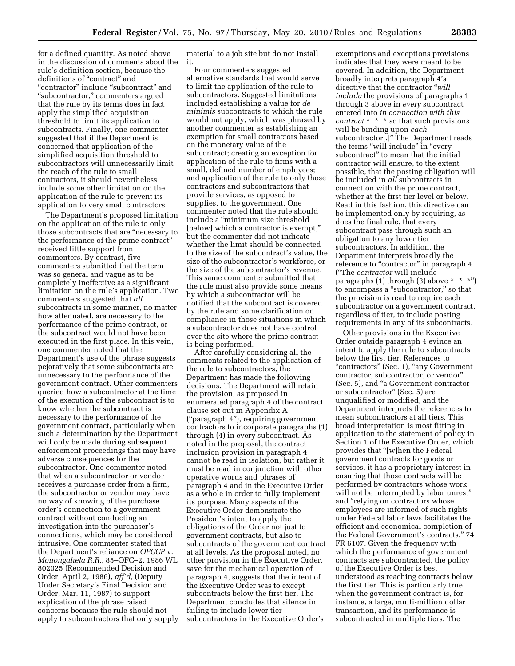for a defined quantity. As noted above in the discussion of comments about the rule's definition section, because the definitions of "contract" and "contractor" include "subcontract" and ''subcontractor,'' commenters argued that the rule by its terms does in fact apply the simplified acquisition threshold to limit its application to subcontracts. Finally, one commenter suggested that if the Department is concerned that application of the simplified acquisition threshold to subcontractors will unnecessarily limit the reach of the rule to small contractors, it should nevertheless include some other limitation on the application of the rule to prevent its application to very small contractors.

The Department's proposed limitation on the application of the rule to only those subcontracts that are ''necessary to the performance of the prime contract'' received little support from commenters. By contrast, five commenters submitted that the term was so general and vague as to be completely ineffective as a significant limitation on the rule's application. Two commenters suggested that *all*  subcontracts in some manner, no matter how attenuated, are necessary to the performance of the prime contract, or the subcontract would not have been executed in the first place. In this vein, one commenter noted that the Department's use of the phrase suggests pejoratively that some subcontracts are unnecessary to the performance of the government contract. Other commenters queried how a subcontractor at the time of the execution of the subcontract is to know whether the subcontract is necessary to the performance of the government contract, particularly when such a determination by the Department will only be made during subsequent enforcement proceedings that may have adverse consequences for the subcontractor. One commenter noted that when a subcontractor or vendor receives a purchase order from a firm, the subcontractor or vendor may have no way of knowing of the purchase order's connection to a government contract without conducting an investigation into the purchaser's connections, which may be considered intrusive. One commenter stated that the Department's reliance on *OFCCP* v. *Monongahela R.R.,* 85–OFC–2, 1986 WL 802025 (Recommended Decision and Order, April 2, 1986), *aff'd,* (Deputy Under Secretary's Final Decision and Order, Mar. 11, 1987) to support explication of the phrase raised concerns because the rule should not apply to subcontractors that only supply material to a job site but do not install it.

Four commenters suggested alternative standards that would serve to limit the application of the rule to subcontractors. Suggested limitations included establishing a value for *de minimis* subcontracts to which the rule would not apply, which was phrased by another commenter as establishing an exemption for small contractors based on the monetary value of the subcontract; creating an exception for application of the rule to firms with a small, defined number of employees; and application of the rule to only those contractors and subcontractors that provide services, as opposed to supplies, to the government. One commenter noted that the rule should include a ''minimum size threshold [below] which a contractor is exempt,'' but the commenter did not indicate whether the limit should be connected to the size of the subcontract's value, the size of the subcontractor's workforce, or the size of the subcontractor's revenue. This same commenter submitted that the rule must also provide some means by which a subcontractor will be notified that the subcontract is covered by the rule and some clarification on compliance in those situations in which a subcontractor does not have control over the site where the prime contract is being performed.

After carefully considering all the comments related to the application of the rule to subcontractors, the Department has made the following decisions. The Department will retain the provision, as proposed in enumerated paragraph 4 of the contract clause set out in Appendix A (''paragraph 4''), requiring government contractors to incorporate paragraphs (1) through (4) in every subcontract. As noted in the proposal, the contract inclusion provision in paragraph 4 cannot be read in isolation, but rather it must be read in conjunction with other operative words and phrases of paragraph 4 and in the Executive Order as a whole in order to fully implement its purpose. Many aspects of the Executive Order demonstrate the President's intent to apply the obligations of the Order not just to government contracts, but also to subcontracts of the government contract at all levels. As the proposal noted, no other provision in the Executive Order, save for the mechanical operation of paragraph 4, suggests that the intent of the Executive Order was to except subcontracts below the first tier. The Department concludes that silence in failing to include lower tier subcontractors in the Executive Order's

exemptions and exceptions provisions indicates that they were meant to be covered. In addition, the Department broadly interprets paragraph 4's directive that the contractor ''*will include* the provisions of paragraphs 1 through 3 above in *every* subcontract entered into *in connection with this contract* \* \* \* so that such provisions will be binding upon *each*  subcontractor[.]'' The Department reads the terms "will include" in "every subcontract'' to mean that the initial contractor will ensure, to the extent possible, that the posting obligation will be included in *all* subcontracts in connection with the prime contract, whether at the first tier level or below. Read in this fashion, this directive can be implemented only by requiring, as does the final rule, that every subcontract pass through such an obligation to any lower tier subcontractors. In addition, the Department interprets broadly the reference to "contractor" in paragraph 4 (''The *contractor* will include paragraphs (1) through (3) above \* \* \*'') to encompass a ''subcontractor,'' so that the provision is read to require each subcontractor on a government contract, regardless of tier, to include posting requirements in any of its subcontracts.

Other provisions in the Executive Order outside paragraph 4 evince an intent to apply the rule to subcontracts below the first tier. References to "contractors" (Sec. 1), "any Government contractor, subcontractor, or vendor'' (Sec. 5), and ''a Government contractor or subcontractor'' (Sec. 5) are unqualified or modified, and the Department interprets the references to mean subcontractors at all tiers. This broad interpretation is most fitting in application to the statement of policy in Section 1 of the Executive Order, which provides that ''[w]hen the Federal government contracts for goods or services, it has a proprietary interest in ensuring that those contracts will be performed by contractors whose work will not be interrupted by labor unrest" and ''relying on contractors whose employees are informed of such rights under Federal labor laws facilitates the efficient and economical completion of the Federal Government's contracts.'' 74 FR 6107. Given the frequency with which the performance of government contracts are subcontracted, the policy of the Executive Order is best understood as reaching contracts below the first tier. This is particularly true when the government contract is, for instance, a large, multi-million dollar transaction, and its performance is subcontracted in multiple tiers. The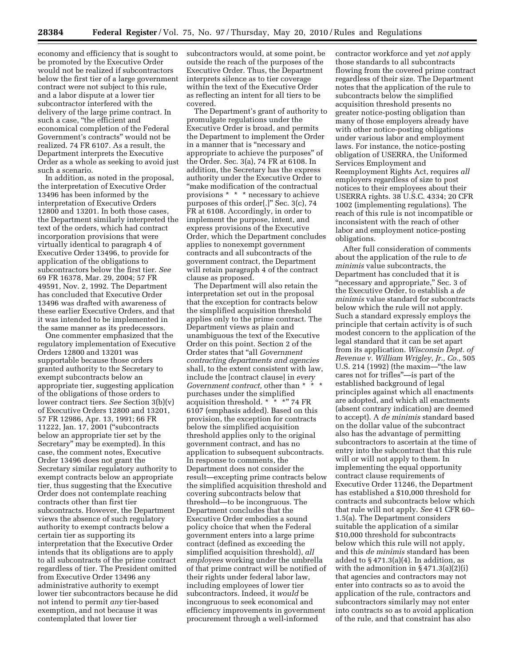economy and efficiency that is sought to be promoted by the Executive Order would not be realized if subcontractors below the first tier of a large government contract were not subject to this rule, and a labor dispute at a lower tier subcontractor interfered with the delivery of the large prime contract. In such a case, "the efficient and economical completion of the Federal Government's contracts'' would not be realized. 74 FR 6107. As a result, the Department interprets the Executive Order as a whole as seeking to avoid just such a scenario.

In addition, as noted in the proposal, the interpretation of Executive Order 13496 has been informed by the interpretation of Executive Orders 12800 and 13201. In both those cases, the Department similarly interpreted the text of the orders, which had contract incorporation provisions that were virtually identical to paragraph 4 of Executive Order 13496, to provide for application of the obligations to subcontractors below the first tier. *See*  69 FR 16378, Mar. 29, 2004; 57 FR 49591, Nov. 2, 1992. The Department has concluded that Executive Order 13496 was drafted with awareness of these earlier Executive Orders, and that it was intended to be implemented in the same manner as its predecessors.

One commenter emphasized that the regulatory implementation of Executive Orders 12800 and 13201 was supportable because those orders granted authority to the Secretary to exempt subcontracts below an appropriate tier, suggesting application of the obligations of those orders to lower contract tiers. *See* Section 3(b)(v) of Executive Orders 12800 and 13201, 57 FR 12986, Apr. 13, 1991; 66 FR 11222, Jan. 17, 2001 (''subcontracts below an appropriate tier set by the Secretary'' may be exempted). In this case, the comment notes, Executive Order 13496 does not grant the Secretary similar regulatory authority to exempt contracts below an appropriate tier, thus suggesting that the Executive Order does not contemplate reaching contracts other than first tier subcontracts. However, the Department views the absence of such regulatory authority to exempt contracts below a certain tier as supporting its interpretation that the Executive Order intends that its obligations are to apply to all subcontracts of the prime contract regardless of tier. The President omitted from Executive Order 13496 any administrative authority to exempt lower tier subcontractors because he did not intend to permit *any* tier-based exemption, and not because it was contemplated that lower tier

subcontractors would, at some point, be outside the reach of the purposes of the Executive Order. Thus, the Department interprets silence as to tier coverage within the text of the Executive Order as reflecting an intent for all tiers to be covered.

The Department's grant of authority to promulgate regulations under the Executive Order is broad, and permits the Department to implement the Order in a manner that is "necessary and appropriate to achieve the purposes'' of the Order. Sec. 3(a), 74 FR at 6108. In addition, the Secretary has the express authority under the Executive Order to ''make modification of the contractual provisions \* \* \* necessary to achieve purposes of this order[.]'' Sec. 3(c), 74 FR at 6108. Accordingly, in order to implement the purpose, intent, and express provisions of the Executive Order, which the Department concludes applies to nonexempt government contracts and all subcontracts of the government contract, the Department will retain paragraph 4 of the contract clause as proposed.

The Department will also retain the interpretation set out in the proposal that the exception for contracts below the simplified acquisition threshold applies only to the prime contract. The Department views as plain and unambiguous the text of the Executive Order on this point. Section 2 of the Order states that ''all *Government contracting departments and agencies*  shall, to the extent consistent with law, include the [contract clause] in *every Government contract,* other than \* \* \* purchases under the simplified acquisition threshold. \* \* \* \* 74 FR 6107 (emphasis added). Based on this provision, the exception for contracts below the simplified acquisition threshold applies only to the original government contract, and has no application to subsequent subcontracts. In response to comments, the Department does not consider the result—excepting prime contracts below the simplified acquisition threshold and covering subcontracts below that threshold—to be incongruous. The Department concludes that the Executive Order embodies a sound policy choice that when the Federal government enters into a large prime contract (defined as exceeding the simplified acquisition threshold), *all employees* working under the umbrella of that prime contract will be notified of their rights under federal labor law, including employees of lower tier subcontractors. Indeed, it *would* be incongruous to seek economical and efficiency improvements in government procurement through a well-informed

contractor workforce and yet *not* apply those standards to all subcontracts flowing from the covered prime contract regardless of their size. The Department notes that the application of the rule to subcontracts below the simplified acquisition threshold presents no greater notice-posting obligation than many of those employers already have with other notice-posting obligations under various labor and employment laws. For instance, the notice-posting obligation of USERRA, the Uniformed Services Employment and Reemployment Rights Act, requires *all*  employers regardless of size to post notices to their employees about their USERRA rights. 38 U.S.C. 4334; 20 CFR 1002 (implementing regulations). The reach of this rule is not incompatible or inconsistent with the reach of other labor and employment notice-posting obligations.

After full consideration of comments about the application of the rule to *de minimis* value subcontracts, the Department has concluded that it is "necessary and appropriate," Sec. 3 of the Executive Order, to establish a *de minimis* value standard for subcontracts below which the rule will not apply. Such a standard expressly employs the principle that certain activity is of such modest concern to the application of the legal standard that it can be set apart from its application. *Wisconsin Dept. of Revenue v. William Wrigley, Jr., Co.,* 505 U.S. 214 (1992) (the maxim—''the law cares not for trifles''—is part of the established background of legal principles against which all enactments are adopted, and which all enactments (absent contrary indication) are deemed to accept). A *de minimis* standard based on the dollar value of the subcontract also has the advantage of permitting subcontractors to ascertain at the time of entry into the subcontract that this rule will or will not apply to them. In implementing the equal opportunity contract clause requirements of Executive Order 11246, the Department has established a \$10,000 threshold for contracts and subcontracts below which that rule will not apply. *See* 41 CFR 60– 1.5(a). The Department considers suitable the application of a similar \$10,000 threshold for subcontracts below which this rule will not apply, and this *de minimis* standard has been added to  $\S 471.3(a)(4)$ . In addition, as with the admonition in  $\S 471.3(a)(2)(i)$ that agencies and contractors may not enter into contracts so as to avoid the application of the rule, contractors and subcontractors similarly may not enter into contracts so as to avoid application of the rule, and that constraint has also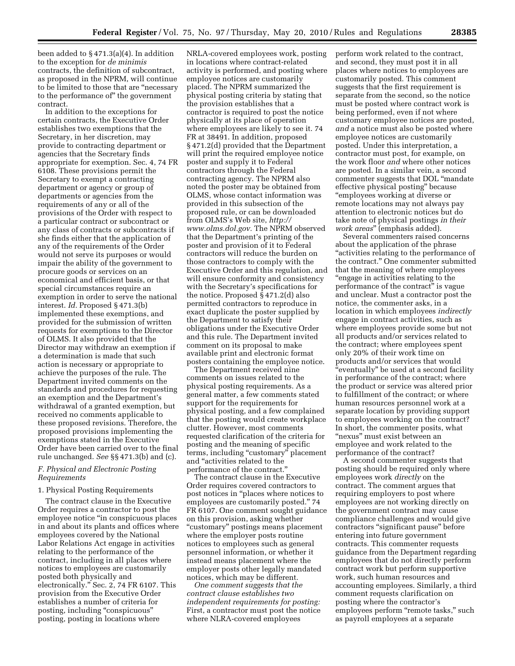been added to § 471.3(a)(4). In addition to the exception for *de minimis*  contracts, the definition of subcontract, as proposed in the NPRM, will continue to be limited to those that are ''necessary to the performance of'' the government contract.

In addition to the exceptions for certain contracts, the Executive Order establishes two exemptions that the Secretary, in her discretion, may provide to contracting department or agencies that the Secretary finds appropriate for exemption. Sec. 4, 74 FR 6108. These provisions permit the Secretary to exempt a contracting department or agency or group of departments or agencies from the requirements of any or all of the provisions of the Order with respect to a particular contract or subcontract or any class of contracts or subcontracts if she finds either that the application of any of the requirements of the Order would not serve its purposes or would impair the ability of the government to procure goods or services on an economical and efficient basis, or that special circumstances require an exemption in order to serve the national interest. *Id.* Proposed § 471.3(b) implemented these exemptions, and provided for the submission of written requests for exemptions to the Director of OLMS. It also provided that the Director may withdraw an exemption if a determination is made that such action is necessary or appropriate to achieve the purposes of the rule. The Department invited comments on the standards and procedures for requesting an exemption and the Department's withdrawal of a granted exemption, but received no comments applicable to these proposed revisions. Therefore, the proposed provisions implementing the exemptions stated in the Executive Order have been carried over to the final rule unchanged. *See* §§ 471.3(b) and (c).

## *F. Physical and Electronic Posting Requirements*

## 1. Physical Posting Requirements

The contract clause in the Executive Order requires a contractor to post the employee notice ''in conspicuous places in and about its plants and offices where employees covered by the National Labor Relations Act engage in activities relating to the performance of the contract, including in all places where notices to employees are customarily posted both physically and electronically." Sec. 2, 74 FR 6107. This provision from the Executive Order establishes a number of criteria for posting, including "conspicuous" posting, posting in locations where

NRLA-covered employees work, posting in locations where contract-related activity is performed, and posting where employee notices are customarily placed. The NPRM summarized the physical posting criteria by stating that the provision establishes that a contractor is required to post the notice physically at its place of operation where employees are likely to see it. 74 FR at 38491. In addition, proposed § 471.2(d) provided that the Department will print the required employee notice poster and supply it to Federal contractors through the Federal contracting agency. The NPRM also noted the poster may be obtained from OLMS, whose contact information was provided in this subsection of the proposed rule, or can be downloaded from OLMS's Web site, *http:// www.olms.dol.gov.* The NPRM observed that the Department's printing of the poster and provision of it to Federal contractors will reduce the burden on those contractors to comply with the Executive Order and this regulation, and will ensure conformity and consistency with the Secretary's specifications for the notice. Proposed § 471.2(d) also permitted contractors to reproduce in exact duplicate the poster supplied by the Department to satisfy their obligations under the Executive Order and this rule. The Department invited comment on its proposal to make available print and electronic format posters containing the employee notice.

The Department received nine comments on issues related to the physical posting requirements. As a general matter, a few comments stated support for the requirements for physical posting, and a few complained that the posting would create workplace clutter. However, most comments requested clarification of the criteria for posting and the meaning of specific terms, including "customary" placement and ''activities related to the performance of the contract.''

The contract clause in the Executive Order requires covered contractors to post notices in ''places where notices to employees are customarily posted.'' 74 FR 6107. One comment sought guidance on this provision, asking whether ''customary'' postings means placement where the employer posts routine notices to employees such as general personnel information, or whether it instead means placement where the employer posts other legally mandated notices, which may be different.

*One comment suggests that the contract clause establishes two independent requirements for posting:*  First, a contractor must post the notice where NLRA-covered employees

perform work related to the contract, and second, they must post it in all places where notices to employees are customarily posted. This comment suggests that the first requirement is separate from the second, so the notice must be posted where contract work is being performed, even if not where customary employee notices are posted, *and* a notice must also be posted where employee notices are customarily posted. Under this interpretation, a contractor must post, for example, on the work floor *and* where other notices are posted. In a similar vein, a second commenter suggests that DOL ''mandate effective physical posting'' because ''employees working at diverse or remote locations may not always pay attention to electronic notices but do take note of physical postings *in their work areas*'' (emphasis added).

Several commenters raised concerns about the application of the phrase ''activities relating to the performance of the contract.'' One commenter submitted that the meaning of where employees ''engage in activities relating to the performance of the contract'' is vague and unclear. Must a contractor post the notice, the commenter asks, in a location in which employees *indirectly*  engage in contract activities, such as where employees provide some but not all products and/or services related to the contract; where employees spent only 20% of their work time on products and/or services that would ''eventually'' be used at a second facility in performance of the contract; where the product or service was altered prior to fulfillment of the contract; or where human resources personnel work at a separate location by providing support to employees working on the contract? In short, the commenter posits, what ''nexus'' must exist between an employee and work related to the performance of the contract?

A second commenter suggests that posting should be required only where employees work *directly* on the contract. The comment argues that requiring employers to post where employees are not working directly on the government contract may cause compliance challenges and would give contractors ''significant pause'' before entering into future government contracts. This commenter requests guidance from the Department regarding employees that do not directly perform contract work but perform supportive work, such human resources and accounting employees. Similarly, a third comment requests clarification on posting where the contractor's employees perform "remote tasks," such as payroll employees at a separate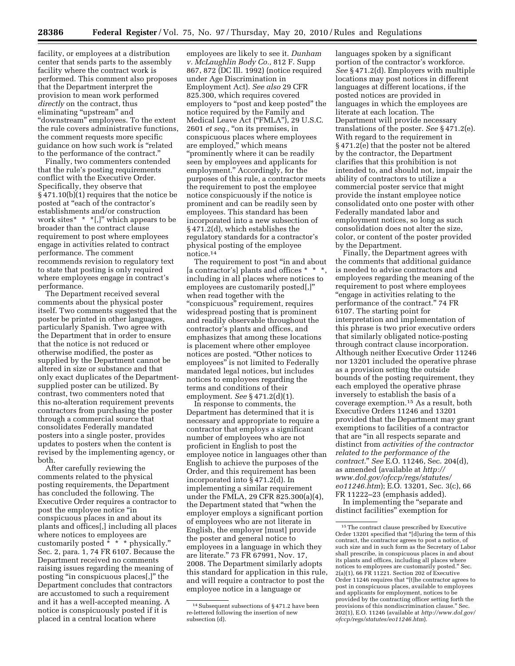facility, or employees at a distribution center that sends parts to the assembly facility where the contract work is performed. This comment also proposes that the Department interpret the provision to mean work performed *directly* on the contract, thus eliminating ''upstream'' and "downstream" employees. To the extent the rule covers administrative functions, the comment requests more specific guidance on how such work is ''related to the performance of the contract.''

Finally, two commenters contended that the rule's posting requirements conflict with the Executive Order. Specifically, they observe that § 471.10(b)(1) requires that the notice be posted at ''each of the contractor's establishments and/or construction work sites\*  $*$  \* [,]" which appears to be broader than the contract clause requirement to post where employees engage in activities related to contract performance. The comment recommends revision to regulatory text to state that posting is only required where employees engage in contract's performance.

The Department received several comments about the physical poster itself. Two comments suggested that the poster be printed in other languages, particularly Spanish. Two agree with the Department that in order to ensure that the notice is not reduced or otherwise modified, the poster as supplied by the Department cannot be altered in size or substance and that only exact duplicates of the Departmentsupplied poster can be utilized. By contrast, two commenters noted that this no-alteration requirement prevents contractors from purchasing the poster through a commercial source that consolidates Federally mandated posters into a single poster, provides updates to posters when the content is revised by the implementing agency, or both.

After carefully reviewing the comments related to the physical posting requirements, the Department has concluded the following. The Executive Order requires a contractor to post the employee notice ''in conspicuous places in and about its plants and offices[,] including all places where notices to employees are customarily posted \* \* \* physically.'' Sec. 2, para. 1, 74 FR 6107. Because the Department received no comments raising issues regarding the meaning of posting ''in conspicuous places[,]'' the Department concludes that contractors are accustomed to such a requirement and it has a well-accepted meaning. A notice is conspicuously posted if it is placed in a central location where

employees are likely to see it. *Dunham v. McLaughlin Body Co.,* 812 F. Supp 867, 872 (DC Ill. 1992) (notice required under Age Discrimination in Employment Act). *See also* 29 CFR 825.300, which requires covered employers to ''post and keep posted'' the notice required by the Family and Medical Leave Act (''FMLA''), 29 U.S.C. 2601 *et seq.*, "on its premises, in conspicuous places where employees are employed,'' which means ''prominently where it can be readily seen by employees and applicants for employment.'' Accordingly, for the purposes of this rule, a contractor meets the requirement to post the employee notice conspicuously if the notice is prominent and can be readily seen by employees. This standard has been incorporated into a new subsection of § 471.2(d), which establishes the regulatory standards for a contractor's physical posting of the employee notice.14

The requirement to post ''in and about [a contractor's] plants and offices \* \* \*, including in all places where notices to employees are customarily posted[,]'' when read together with the ''conspicuous'' requirement, requires widespread posting that is prominent and readily observable throughout the contractor's plants and offices, and emphasizes that among these locations is placement where other employee notices are posted. ''Other notices to employees" is not limited to Federally mandated legal notices, but includes notices to employees regarding the terms and conditions of their employment. *See* § 471.2(d)(1).

In response to comments, the Department has determined that it is necessary and appropriate to require a contractor that employs a significant number of employees who are not proficient in English to post the employee notice in languages other than English to achieve the purposes of the Order, and this requirement has been incorporated into § 471.2(d). In implementing a similar requirement under the FMLA, 29 CFR 825.300(a)(4), the Department stated that ''when the employer employs a significant portion of employees who are not literate in English, the employer [must] provide the poster and general notice to employees in a language in which they are literate.'' 73 FR 67991, Nov. 17, 2008. The Department similarly adopts this standard for application in this rule, and will require a contractor to post the employee notice in a language or

languages spoken by a significant portion of the contractor's workforce. *See* § 471.2(d). Employers with multiple locations may post notices in different languages at different locations, if the posted notices are provided in languages in which the employees are literate at each location. The Department will provide necessary translations of the poster. *See* § 471.2(e). With regard to the requirement in § 471.2(e) that the poster not be altered by the contractor, the Department clarifies that this prohibition is not intended to, and should not, impair the ability of contractors to utilize a commercial poster service that might provide the instant employee notice consolidated onto one poster with other Federally mandated labor and employment notices, so long as such consolidation does not alter the size, color, or content of the poster provided by the Department.

Finally, the Department agrees with the comments that additional guidance is needed to advise contractors and employees regarding the meaning of the requirement to post where employees ''engage in activities relating to the performance of the contract.'' 74 FR 6107. The starting point for interpretation and implementation of this phrase is two prior executive orders that similarly obligated notice-posting through contract clause incorporation. Although neither Executive Order 11246 nor 13201 included the operative phrase as a provision setting the outside bounds of the posting requirement, they each employed the operative phrase inversely to establish the basis of a coverage exemption.15 As a result, both Executive Orders 11246 and 13201 provided that the Department may grant exemptions to facilities of a contractor that are ''in all respects separate and distinct from *activities of the contractor related to the performance of the contract.*'' *See* E.O. 11246, Sec. 204(d), as amended (available at *http:// www.dol.gov/ofccp/regs/statutes/ eo11246.htm*); E.O. 13201, Sec. 3(c), 66 FR 11222–23 (emphasis added).

In implementing the ''separate and distinct facilities'' exemption for

<sup>14</sup>Subsequent subsections of § 471.2 have been re-lettered following the insertion of new subsection (d).

<sup>15</sup>The contract clause prescribed by Executive Order 13201 specified that ''[d]uring the term of this contract, the contractor agrees to post a notice, of such size and in such form as the Secretary of Labor shall prescribe, in conspicuous places in and about its plants and offices, including all places where notices to employees are customarily posted.'' Sec. 2(a)(1), 66 FR 11221. Section 202 of Executive Order 11246 requires that ''[t]he contractor agrees to post in conspicuous places, available to employees and applicants for employment, notices to be provided by the contracting officer setting forth the provisions of this nondiscrimination clause.'' Sec. 202(1), E.O. 11246 (available at *http://www.dol.gov/ ofccp/regs/statutes/eo11246.htm*).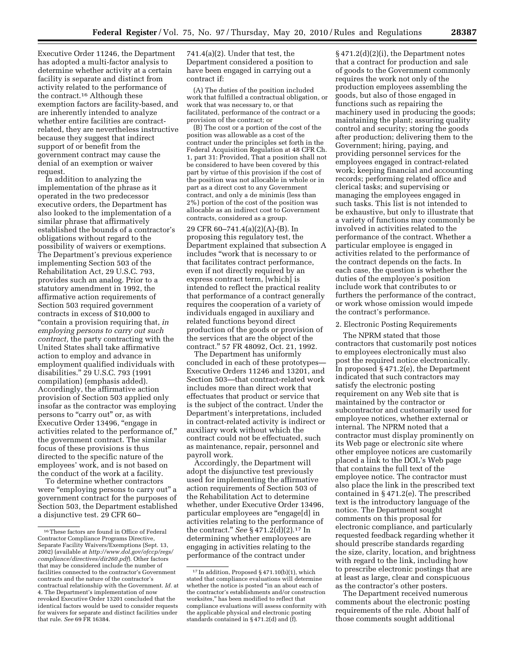Executive Order 11246, the Department has adopted a multi-factor analysis to determine whether activity at a certain facility is separate and distinct from activity related to the performance of the contract.16 Although these exemption factors are facility-based, and are inherently intended to analyze whether entire facilities are contractrelated, they are nevertheless instructive because they suggest that indirect support of or benefit from the government contract may cause the denial of an exemption or waiver request.

In addition to analyzing the implementation of the phrase as it operated in the two predecessor executive orders, the Department has also looked to the implementation of a similar phrase that affirmatively established the bounds of a contractor's obligations without regard to the possibility of waivers or exemptions. The Department's previous experience implementing Section 503 of the Rehabilitation Act, 29 U.S.C. 793, provides such an analog. Prior to a statutory amendment in 1992, the affirmative action requirements of Section 503 required government contracts in excess of \$10,000 to ''contain a provision requiring that, *in employing persons to carry out such contract,* the party contracting with the United States shall take affirmative action to employ and advance in employment qualified individuals with disabilities.'' 29 U.S.C. 793 (1991 compilation) (emphasis added). Accordingly, the affirmative action provision of Section 503 applied only insofar as the contractor was employing persons to "carry out" or, as with Executive Order 13496, "engage in activities related to the performance of,'' the government contract. The similar focus of these provisions is thus directed to the specific nature of the employees' work, and is not based on the conduct of the work at a facility.

To determine whether contractors were "employing persons to carry out" a government contract for the purposes of Section 503, the Department established a disjunctive test. 29 CFR 60–

741.4(a)(2). Under that test, the Department considered a position to have been engaged in carrying out a contract if:

(A) The duties of the position included work that fulfilled a contractual obligation, or work that was necessary to, or that facilitated, performance of the contract or a provision of the contract; or

(B) The cost or a portion of the cost of the position was allowable as a cost of the contract under the principles set forth in the Federal Acquisition Regulation at 48 CFR Ch. 1, part 31: Provided, That a position shall not be considered to have been covered by this part by virtue of this provision if the cost of the position was not allocable in whole or in part as a direct cost to any Government contract, and only a de minimis (less than 2%) portion of the cost of the position was allocable as an indirect cost to Government contracts, considered as a group.

29 CFR 60–741.4(a)(2)(A)-(B). In proposing this regulatory test, the Department explained that subsection A includes ''work that is necessary to or that facilitates contract performance, even if not directly required by an express contract term, [which] is intended to reflect the practical reality that performance of a contract generally requires the cooperation of a variety of individuals engaged in auxiliary and related functions beyond direct production of the goods or provision of the services that are the object of the contract.'' 57 FR 48092, Oct. 21, 1992.

The Department has uniformly concluded in each of these prototypes— Executive Orders 11246 and 13201, and Section 503—that contract-related work includes more than direct work that effectuates that product or service that is the subject of the contract. Under the Department's interpretations, included in contract-related activity is indirect or auxiliary work without which the contract could not be effectuated, such as maintenance, repair, personnel and payroll work.

Accordingly, the Department will adopt the disjunctive test previously used for implementing the affirmative action requirements of Section 503 of the Rehabilitation Act to determine whether, under Executive Order 13496, particular employees are "engage[d] in activities relating to the performance of the contract.'' *See* § 471.2(d)(2).17 In determining whether employees are engaging in activities relating to the performance of the contract under

§ 471.2(d)(2)(i), the Department notes that a contract for production and sale of goods to the Government commonly requires the work not only of the production employees assembling the goods, but also of those engaged in functions such as repairing the machinery used in producing the goods; maintaining the plant; assuring quality control and security; storing the goods after production; delivering them to the Government; hiring, paying, and providing personnel services for the employees engaged in contract-related work; keeping financial and accounting records; performing related office and clerical tasks; and supervising or managing the employees engaged in such tasks. This list is not intended to be exhaustive, but only to illustrate that a variety of functions may commonly be involved in activities related to the performance of the contract. Whether a particular employee is engaged in activities related to the performance of the contract depends on the facts. In each case, the question is whether the duties of the employee's position include work that contributes to or furthers the performance of the contract, or work whose omission would impede the contract's performance.

#### 2. Electronic Posting Requirements

The NPRM stated that those contractors that customarily post notices to employees electronically must also post the required notice electronically. In proposed § 471.2(e), the Department indicated that such contractors may satisfy the electronic posting requirement on any Web site that is maintained by the contractor or subcontractor and customarily used for employee notices, whether external or internal. The NPRM noted that a contractor must display prominently on its Web page or electronic site where other employee notices are customarily placed a link to the DOL's Web page that contains the full text of the employee notice. The contractor must also place the link in the prescribed text contained in § 471.2(e). The prescribed text is the introductory language of the notice. The Department sought comments on this proposal for electronic compliance, and particularly requested feedback regarding whether it should prescribe standards regarding the size, clarity, location, and brightness with regard to the link, including how to prescribe electronic postings that are at least as large, clear and conspicuous as the contractor's other posters.

The Department received numerous comments about the electronic posting requirements of the rule. About half of those comments sought additional

 $^{\rm 16}$  These factors are found in Office of Federal Contractor Compliance Programs Directive, Separate Facility Waivers/Exemptions (Sept. 13, 2002) (available at *http://www.dol.gov/ofccp/regs/ compliance/directives/dir260.pdf*). Other factors that may be considered include the number of facilities connected to the contractor's Government contracts and the nature of the contractor's contractual relationship with the Government. *Id.* at 4. The Department's implementation of now revoked Executive Order 13201 concluded that the identical factors would be used to consider requests for waivers for separate and distinct facilities under that rule. *See* 69 FR 16384.

<sup>17</sup> In addition, Proposed § 471.10(b)(1), which stated that compliance evaluations will determine whether the notice is posted ''in an about each of the contractor's establishments and/or construction worksites,'' has been modified to reflect that compliance evaluations will assess conformity with the applicable physical and electronic posting standards contained in § 471.2(d) and (f).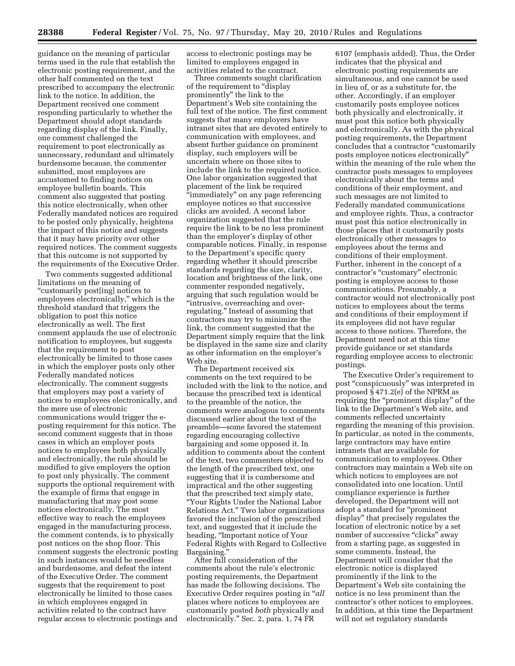guidance on the meaning of particular terms used in the rule that establish the electronic posting requirement, and the other half commented on the text prescribed to accompany the electronic link to the notice. In addition, the Department received one comment responding particularly to whether the Department should adopt standards regarding display of the link. Finally, one comment challenged the requirement to post electronically as unnecessary, redundant and ultimately burdensome because, the commenter submitted, most employees are accustomed to finding notices on employee bulletin boards. This comment also suggested that posting this notice electronically, when other Federally mandated notices are required to be posted only physically, heightens the impact of this notice and suggests that it may have priority over other required notices. The comment suggests that this outcome is not supported by the requirements of the Executive Order.

Two comments suggested additional limitations on the meaning of ''customarily post[ing] notices to employees electronically,'' which is the threshold standard that triggers the obligation to post this notice electronically as well. The first comment applauds the use of electronic notification to employees, but suggests that the requirement to post electronically be limited to those cases in which the employer posts only other Federally mandated notices electronically. The comment suggests that employers may post a variety of notices to employees electronically, and the mere use of electronic communications would trigger the eposting requirement for this notice. The second comment suggests that in those cases in which an employer posts notices to employees both physically and electronically, the rule should be modified to give employers the option to post only physically. The comment supports the optional requirement with the example of firms that engage in manufacturing that may post some notices electronically. The most effective way to reach the employees engaged in the manufacturing process, the comment contends, is to physically post notices on the shop floor. This comment suggests the electronic posting in such instances would be needless and burdensome, and defeat the intent of the Executive Order. The comment suggests that the requirement to post electronically be limited to those cases in which employees engaged in activities related to the contract have regular access to electronic postings and

access to electronic postings may be limited to employees engaged in activities related to the contract.

Three comments sought clarification of the requirement to "display" prominently'' the link to the Department's Web site containing the full text of the notice. The first comment suggests that many employers have intranet sites that are devoted entirely to communication with employees, and absent further guidance on prominent display, such employers will be uncertain where on those sites to include the link to the required notice. One labor organization suggested that placement of the link be required ''immediately'' on any page referencing employee notices so that successive clicks are avoided. A second labor organization suggested that the rule require the link to be no less prominent than the employer's display of other comparable notices. Finally, in response to the Department's specific query regarding whether it should prescribe standards regarding the size, clarity, location and brightness of the link, one commenter responded negatively, arguing that such regulation would be ''intrusive, overreaching and overregulating.'' Instead of assuming that contractors may try to minimize the link, the comment suggested that the Department simply require that the link be displayed in the same size and clarity as other information on the employer's Web site.

The Department received six comments on the text required to be included with the link to the notice, and because the prescribed text is identical to the preamble of the notice, the comments were analogous to comments discussed earlier about the text of the preamble—some favored the statement regarding encouraging collective bargaining and some opposed it. In addition to comments about the content of the text, two commenters objected to the length of the prescribed text, one suggesting that it is cumbersome and impractical and the other suggesting that the prescribed text simply state, ''Your Rights Under the National Labor Relations Act.'' Two labor organizations favored the inclusion of the prescribed text, and suggested that it include the heading, ''Important notice of Your Federal Rights with Regard to Collective Bargaining.''

After full consideration of the comments about the rule's electronic posting requirements, the Department has made the following decisions. The Executive Order requires posting in ''*all*  places where notices to employees are customarily posted *both* physically and electronically.'' Sec. 2, para. 1, 74 FR

6107 (emphasis added). Thus, the Order indicates that the physical and electronic posting requirements are simultaneous, and one cannot be used in lieu of, or as a substitute for, the other. Accordingly, if an employer customarily posts employee notices both physically and electronically, it must post this notice both physically and electronically. As with the physical posting requirements, the Department concludes that a contractor ''customarily posts employee notices electronically'' within the meaning of the rule when the contractor posts messages to employees electronically about the terms and conditions of their employment, and such messages are not limited to Federally mandated communications and employee rights. Thus, a contractor must post this notice electronically in those places that it customarily posts electronically other messages to employees about the terms and conditions of their employment. Further, inherent in the concept of a contractor's ''customary'' electronic posting is employee access to those communications. Presumably, a contractor would not electronically post notices to employees about the terms and conditions of their employment if its employees did not have regular access to those notices. Therefore, the Department need not at this time provide guidance or set standards regarding employee access to electronic postings.

The Executive Order's requirement to post ''conspicuously'' was interpreted in proposed § 471.2(e) of the NPRM as requiring the ''prominent display'' of the link to the Department's Web site, and comments reflected uncertainty regarding the meaning of this provision. In particular, as noted in the comments, large contractors may have entire intranets that are available for communication to employees. Other contractors may maintain a Web site on which notices to employees are not consolidated into one location. Until compliance experience is further developed, the Department will not adopt a standard for ''prominent display'' that precisely regulates the location of electronic notice by a set number of successive "clicks" away from a starting page, as suggested in some comments. Instead, the Department will consider that the electronic notice is displayed prominently if the link to the Department's Web site containing the notice is no less prominent than the contractor's other notices to employees. In addition, at this time the Department will not set regulatory standards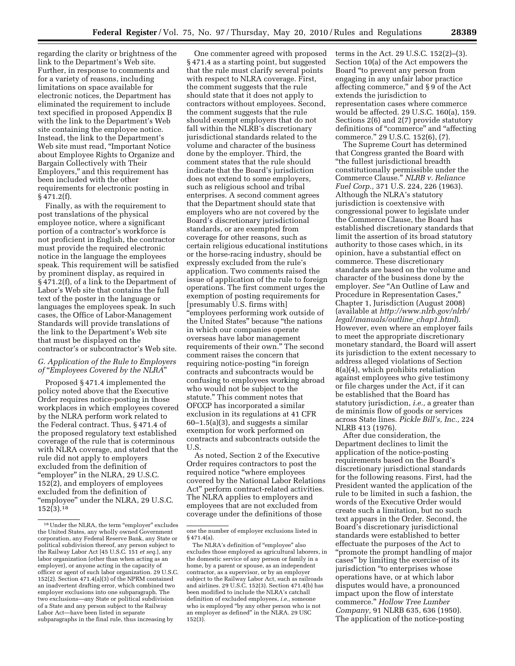regarding the clarity or brightness of the link to the Department's Web site. Further, in response to comments and for a variety of reasons, including limitations on space available for electronic notices, the Department has eliminated the requirement to include text specified in proposed Appendix B with the link to the Department's Web site containing the employee notice. Instead, the link to the Department's Web site must read, ''Important Notice about Employee Rights to Organize and Bargain Collectively with Their Employers,'' and this requirement has been included with the other requirements for electronic posting in  $§$  471.2(f).

Finally, as with the requirement to post translations of the physical employee notice, where a significant portion of a contractor's workforce is not proficient in English, the contractor must provide the required electronic notice in the language the employees speak. This requirement will be satisfied by prominent display, as required in § 471.2(f), of a link to the Department of Labor's Web site that contains the full text of the poster in the language or languages the employees speak. In such cases, the Office of Labor-Management Standards will provide translations of the link to the Department's Web site that must be displayed on the contractor's or subcontractor's Web site.

## *G. Application of the Rule to Employers of* ''*Employees Covered by the NLRA*''

Proposed § 471.4 implemented the policy noted above that the Executive Order requires notice-posting in those workplaces in which employees covered by the NLRA perform work related to the Federal contract. Thus, § 471.4 of the proposed regulatory text established coverage of the rule that is coterminous with NLRA coverage, and stated that the rule did not apply to employers excluded from the definition of "employer" in the NLRA, 29 U.S.C. 152(2), and employers of employees excluded from the definition of "employee" under the NLRA, 29 U.S.C. 152(3).18

One commenter agreed with proposed § 471.4 as a starting point, but suggested that the rule must clarify several points with respect to NLRA coverage. First, the comment suggests that the rule should state that it does not apply to contractors without employees. Second, the comment suggests that the rule should exempt employers that do not fall within the NLRB's discretionary jurisdictional standards related to the volume and character of the business done by the employer. Third, the comment states that the rule should indicate that the Board's jurisdiction does not extend to some employers, such as religious school and tribal enterprises. A second comment agrees that the Department should state that employers who are not covered by the Board's discretionary jurisdictional standards, or are exempted from coverage for other reasons, such as certain religious educational institutions or the horse-racing industry, should be expressly excluded from the rule's application. Two comments raised the issue of application of the rule to foreign operations. The first comment urges the exemption of posting requirements for [presumably U.S. firms with] ''employees performing work outside of the United States'' because ''the nations in which our companies operate overseas have labor management requirements of their own.'' The second comment raises the concern that requiring notice-posting ''in foreign contracts and subcontracts would be confusing to employees working abroad who would not be subject to the statute.'' This comment notes that OFCCP has incorporated a similar exclusion in its regulations at 41 CFR 60–1.5(a)(3), and suggests a similar exemption for work performed on contracts and subcontracts outside the U.S.

As noted, Section 2 of the Executive Order requires contractors to post the required notice ''where employees covered by the National Labor Relations Act'' perform contract-related activities. The NLRA applies to employers and employees that are not excluded from coverage under the definitions of those

terms in the Act. 29 U.S.C. 152(2)–(3). Section 10(a) of the Act empowers the Board ''to prevent any person from engaging in any unfair labor practice affecting commerce,'' and § 9 of the Act extends the jurisdiction to representation cases where commerce would be affected. 29 U.S.C. 160(a), 159. Sections 2(6) and 2(7) provide statutory definitions of "commerce" and "affecting commerce.'' 29 U.S.C. 152(6), (7).

The Supreme Court has determined that Congress granted the Board with ''the fullest jurisdictional breadth constitutionally permissible under the Commerce Clause.'' *NLRB v. Reliance Fuel Corp.,* 371 U.S. 224, 226 (1963). Although the NLRA's statutory jurisdiction is coextensive with congressional power to legislate under the Commerce Clause, the Board has established discretionary standards that limit the assertion of its broad statutory authority to those cases which, in its opinion, have a substantial effect on commerce. These discretionary standards are based on the volume and character of the business done by the employer. *See* "An Outline of Law and Procedure in Representation Cases,'' Chapter 1, Jurisdiction (August 2008) (available at *http://www.nlrb.gov/nlrb/ legal/manuals/outline*\_*chap1.html*). However, even where an employer fails to meet the appropriate discretionary monetary standard, the Board will assert its jurisdiction to the extent necessary to address alleged violations of Section 8(a)(4), which prohibits retaliation against employees who give testimony or file charges under the Act, if it can be established that the Board has statutory jurisdiction, *i.e.,* a greater than de minimis flow of goods or services across State lines. *Pickle Bill's, Inc.,* 224 NLRB 413 (1976).

After due consideration, the Department declines to limit the application of the notice-posting requirements based on the Board's discretionary jurisdictional standards for the following reasons. First, had the President wanted the application of the rule to be limited in such a fashion, the words of the Executive Order would create such a limitation, but no such text appears in the Order. Second, the Board's discretionary jurisdictional standards were established to better effectuate the purposes of the Act to ''promote the prompt handling of major cases'' by limiting the exercise of its jurisdiction ''to enterprises whose operations have, or at which labor disputes would have, a pronounced impact upon the flow of interstate commerce.'' *Hollow Tree Lumber Company,* 91 NLRB 635, 636 (1950). The application of the notice-posting

<sup>&</sup>lt;sup>18</sup> Under the NLRA, the term "employer" excludes the United States, any wholly owned Government corporation, any Federal Reserve Bank, any State or political subdivision thereof, any person subject to the Railway Labor Act [45 U.S.C. 151 *et seq.*], any labor organization (other than when acting as an employer), or anyone acting in the capacity of officer or agent of such labor organization. 29 U.S.C. 152(2). Section 471.4(a)(3) of the NPRM contained an inadvertent drafting error, which combined two employer exclusions into one subparagraph. The two exclusions—any State or political subdivision of a State and any person subject to the Railway Labor Act—have been listed in separate subparagraphs in the final rule, thus increasing by

one the number of employer exclusions listed in § 471.4(a).

The NLRA's definition of "employee" also excludes those employed as agricultural laborers, in the domestic service of any person or family in a home, by a parent or spouse, as an independent contractor, as a supervisor, or by an employer subject to the Railway Labor Act, such as railroads and airlines. 29 U.S.C. 152(3). Section 471.4(b) has been modified to include the NLRA's catchall definition of excluded employees, *i.e.,* someone who is employed ''by any other person who is not an employer as defined'' in the NLRA. 29 USC 152(3).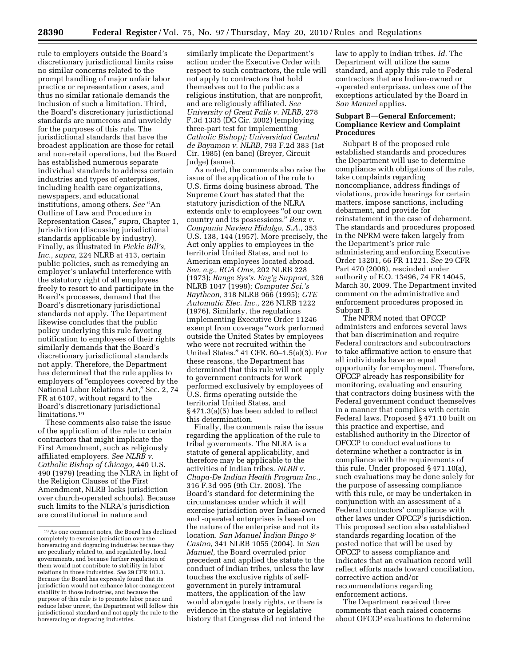rule to employers outside the Board's discretionary jurisdictional limits raise no similar concerns related to the prompt handling of major unfair labor practice or representation cases, and thus no similar rationale demands the inclusion of such a limitation. Third, the Board's discretionary jurisdictional standards are numerous and unwieldy for the purposes of this rule. The jurisdictional standards that have the broadest application are those for retail and non-retail operations, but the Board has established numerous separate individual standards to address certain industries and types of enterprises, including health care organizations, newspapers, and educational institutions, among others. *See* ''An Outline of Law and Procedure in Representation Cases,'' *supra,* Chapter 1, Jurisdiction (discussing jurisdictional standards applicable by industry). Finally, as illustrated in *Pickle Bill's, Inc., supra,* 224 NLRB at 413, certain public policies, such as remedying an employer's unlawful interference with the statutory right of all employees freely to resort to and participate in the Board's processes, demand that the Board's discretionary jurisdictional standards not apply. The Department likewise concludes that the public policy underlying this rule favoring notification to employees of their rights similarly demands that the Board's discretionary jurisdictional standards not apply. Therefore, the Department has determined that the rule applies to employers of ''employees covered by the National Labor Relations Act,'' Sec. 2, 74 FR at 6107, without regard to the Board's discretionary jurisdictional limitations.19

These comments also raise the issue of the application of the rule to certain contractors that might implicate the First Amendment, such as religiously affiliated employers. *See NLRB v. Catholic Bishop of Chicago,* 440 U.S. 490 (1979) (reading the NLRA in light of the Religion Clauses of the First Amendment, NLRB lacks jurisdiction over church-operated schools). Because such limits to the NLRA's jurisdiction are constitutional in nature and

similarly implicate the Department's action under the Executive Order with respect to such contractors, the rule will not apply to contractors that hold themselves out to the public as a religious institution, that are nonprofit, and are religiously affiliated. *See University of Great Falls v. NLRB,* 278 F.3d 1335 (DC Cir. 2002) (employing three-part test for implementing *Catholic Bishop); Universidad Central de Bayamon v. NLRB,* 793 F.2d 383 (1st Cir. 1985) (en banc) (Breyer, Circuit Judge) (same).

As noted, the comments also raise the issue of the application of the rule to U.S. firms doing business abroad. The Supreme Court has stated that the statutory jurisdiction of the NLRA extends only to employees ''of our own country and its possessions.'' *Benz v. Compania Naviera Hidalgo, S.A.,* 353 U.S. 138, 144 (1957). More precisely, the Act only applies to employees in the territorial United States, and not to American employees located abroad. *See, e.g., RCA Oms,* 202 NLRB 228 (1973); *Range Sys's. Eng'g Support,* 326 NLRB 1047 (1998); *Computer Sci.'s Raytheon,* 318 NLRB 966 (1995); *GTE Automatic Elec. Inc.,* 226 NLRB 1222 (1976). Similarly, the regulations implementing Executive Order 11246 exempt from coverage "work performed outside the United States by employees who were not recruited within the United States.'' 41 CFR. 60–1.5(a)(3). For these reasons, the Department has determined that this rule will not apply to government contracts for work performed exclusively by employees of U.S. firms operating outside the territorial United States, and § 471.3(a)(5) has been added to reflect this determination.

Finally, the comments raise the issue regarding the application of the rule to tribal governments. The NLRA is a statute of general applicability, and therefore may be applicable to the activities of Indian tribes. *NLRB v. Chapa-De Indian Health Program Inc.,*  316 F.3d 995 (9th Cir. 2003). The Board's standard for determining the circumstances under which it will exercise jurisdiction over Indian-owned and -operated enterprises is based on the nature of the enterprise and not its location. *San Manuel Indian Bingo & Casino,* 341 NLRB 1055 (2004). In *San Manuel,* the Board overruled prior precedent and applied the statute to the conduct of Indian tribes, unless the law touches the exclusive rights of selfgovernment in purely intramural matters, the application of the law would abrogate treaty rights, or there is evidence in the statute or legislative history that Congress did not intend the

law to apply to Indian tribes. *Id.* The Department will utilize the same standard, and apply this rule to Federal contractors that are Indian-owned or -operated enterprises, unless one of the exceptions articulated by the Board in *San Manuel* applies.

## **Subpart B—General Enforcement; Compliance Review and Complaint Procedures**

Subpart B of the proposed rule established standards and procedures the Department will use to determine compliance with obligations of the rule, take complaints regarding noncompliance, address findings of violations, provide hearings for certain matters, impose sanctions, including debarment, and provide for reinstatement in the case of debarment. The standards and procedures proposed in the NPRM were taken largely from the Department's prior rule administering and enforcing Executive Order 13201, 66 FR 11221. *See* 29 CFR Part 470 (2008), rescinded under authority of E.O. 13496, 74 FR 14045, March 30, 2009. The Department invited comment on the administrative and enforcement procedures proposed in Subpart B.

The NPRM noted that OFCCP administers and enforces several laws that ban discrimination and require Federal contractors and subcontractors to take affirmative action to ensure that all individuals have an equal opportunity for employment. Therefore, OFCCP already has responsibility for monitoring, evaluating and ensuring that contractors doing business with the Federal government conduct themselves in a manner that complies with certain Federal laws. Proposed § 471.10 built on this practice and expertise, and established authority in the Director of OFCCP to conduct evaluations to determine whether a contractor is in compliance with the requirements of this rule. Under proposed § 471.10(a), such evaluations may be done solely for the purpose of assessing compliance with this rule, or may be undertaken in conjunction with an assessment of a Federal contractors' compliance with other laws under OFCCP's jurisdiction. This proposed section also established standards regarding location of the posted notice that will be used by OFCCP to assess compliance and indicates that an evaluation record will reflect efforts made toward conciliation, corrective action and/or recommendations regarding enforcement actions.

The Department received three comments that each raised concerns about OFCCP evaluations to determine

<sup>19</sup>As one comment notes, the Board has declined completely to exercise jurisdiction over the horseracing and dogracing industries because they are peculiarly related to, and regulated by, local governments, and because further regulation of them would not contribute to stability in labor relations in those industries. See 29 CFR 103.3. Because the Board has expressly found that its jurisdiction would not enhance labor-management stability in those industries, and because the purpose of this rule is to promote labor peace and reduce labor unrest, the Department will follow this jurisdictional standard and not apply the rule to the horseracing or dogracing industries.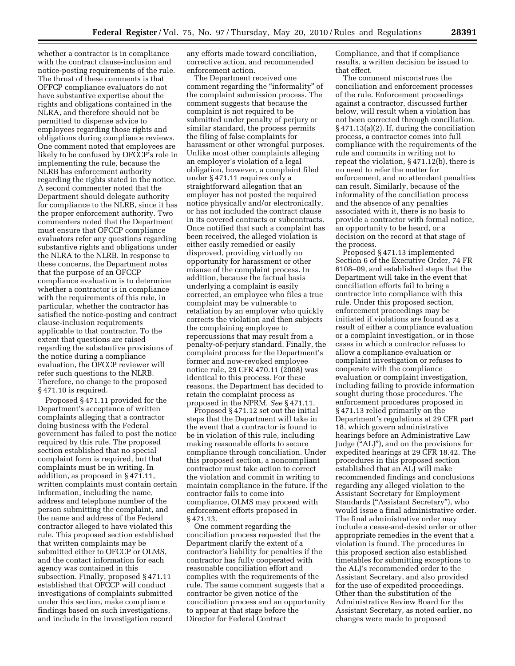whether a contractor is in compliance with the contract clause-inclusion and notice-posting requirements of the rule. The thrust of these comments is that OFFCP compliance evaluators do not have substantive expertise about the rights and obligations contained in the NLRA, and therefore should not be permitted to dispense advice to employees regarding those rights and obligations during compliance reviews. One comment noted that employees are likely to be confused by OFCCP's role in implementing the rule, because the NLRB has enforcement authority regarding the rights stated in the notice. A second commenter noted that the Department should delegate authority for compliance to the NLRB, since it has the proper enforcement authority. Two commenters noted that the Department must ensure that OFCCP compliance evaluators refer any questions regarding substantive rights and obligations under the NLRA to the NLRB. In response to these concerns, the Department notes that the purpose of an OFCCP compliance evaluation is to determine whether a contractor is in compliance with the requirements of this rule, in particular, whether the contractor has satisfied the notice-posting and contract clause-inclusion requirements applicable to that contractor. To the extent that questions are raised regarding the substantive provisions of the notice during a compliance evaluation, the OFCCP reviewer will refer such questions to the NLRB. Therefore, no change to the proposed § 471.10 is required.

Proposed § 471.11 provided for the Department's acceptance of written complaints alleging that a contractor doing business with the Federal government has failed to post the notice required by this rule. The proposed section established that no special complaint form is required, but that complaints must be in writing. In addition, as proposed in § 471.11, written complaints must contain certain information, including the name, address and telephone number of the person submitting the complaint, and the name and address of the Federal contractor alleged to have violated this rule. This proposed section established that written complaints may be submitted either to OFCCP or OLMS, and the contact information for each agency was contained in this subsection. Finally, proposed § 471.11 established that OFCCP will conduct investigations of complaints submitted under this section, make compliance findings based on such investigations, and include in the investigation record

any efforts made toward conciliation, corrective action, and recommended enforcement action.

The Department received one comment regarding the ''informality'' of the complaint submission process. The comment suggests that because the complaint is not required to be submitted under penalty of perjury or similar standard, the process permits the filing of false complaints for harassment or other wrongful purposes. Unlike most other complaints alleging an employer's violation of a legal obligation, however, a complaint filed under § 471.11 requires only a straightforward allegation that an employer has not posted the required notice physically and/or electronically, or has not included the contract clause in its covered contracts or subcontracts. Once notified that such a complaint has been received, the alleged violation is either easily remedied or easily disproved, providing virtually no opportunity for harassment or other misuse of the complaint process. In addition, because the factual basis underlying a complaint is easily corrected, an employee who files a true complaint may be vulnerable to retaliation by an employer who quickly corrects the violation and then subjects the complaining employee to repercussions that may result from a penalty-of-perjury standard. Finally, the complaint process for the Department's former and now-revoked employee notice rule, 29 CFR 470.11 (2008) was identical to this process. For these reasons, the Department has decided to retain the complaint process as proposed in the NPRM. *See* § 471.11.

Proposed § 471.12 set out the initial steps that the Department will take in the event that a contractor is found to be in violation of this rule, including making reasonable efforts to secure compliance through conciliation. Under this proposed section, a noncompliant contractor must take action to correct the violation and commit in writing to maintain compliance in the future. If the contractor fails to come into compliance, OLMS may proceed with enforcement efforts proposed in § 471.13.

One comment regarding the conciliation process requested that the Department clarify the extent of a contractor's liability for penalties if the contractor has fully cooperated with reasonable conciliation effort and complies with the requirements of the rule. The same comment suggests that a contractor be given notice of the conciliation process and an opportunity to appear at that stage before the Director for Federal Contract

Compliance, and that if compliance results, a written decision be issued to that effect.

The comment misconstrues the conciliation and enforcement processes of the rule. Enforcement proceedings against a contractor, discussed further below, will result when a violation has not been corrected through conciliation. § 471.13(a)(2). If, during the conciliation process, a contractor comes into full compliance with the requirements of the rule and commits in writing not to repeat the violation, § 471.12(b), there is no need to refer the matter for enforcement, and no attendant penalties can result. Similarly, because of the informality of the conciliation process and the absence of any penalties associated with it, there is no basis to provide a contractor with formal notice, an opportunity to be heard, or a decision on the record at that stage of the process.

Proposed § 471.13 implemented Section 6 of the Executive Order, 74 FR 6108–09, and established steps that the Department will take in the event that conciliation efforts fail to bring a contractor into compliance with this rule. Under this proposed section, enforcement proceedings may be initiated if violations are found as a result of either a compliance evaluation or a complaint investigation, or in those cases in which a contractor refuses to allow a compliance evaluation or complaint investigation or refuses to cooperate with the compliance evaluation or complaint investigation, including failing to provide information sought during those procedures. The enforcement procedures proposed in § 471.13 relied primarily on the Department's regulations at 29 CFR part 18, which govern administrative hearings before an Administrative Law Judge (''ALJ''), and on the provisions for expedited hearings at 29 CFR 18.42. The procedures in this proposed section established that an ALJ will make recommended findings and conclusions regarding any alleged violation to the Assistant Secretary for Employment Standards (''Assistant Secretary''), who would issue a final administrative order. The final administrative order may include a cease-and-desist order or other appropriate remedies in the event that a violation is found. The procedures in this proposed section also established timetables for submitting exceptions to the ALJ's recommended order to the Assistant Secretary, and also provided for the use of expedited proceedings. Other than the substitution of the Administrative Review Board for the Assistant Secretary, as noted earlier, no changes were made to proposed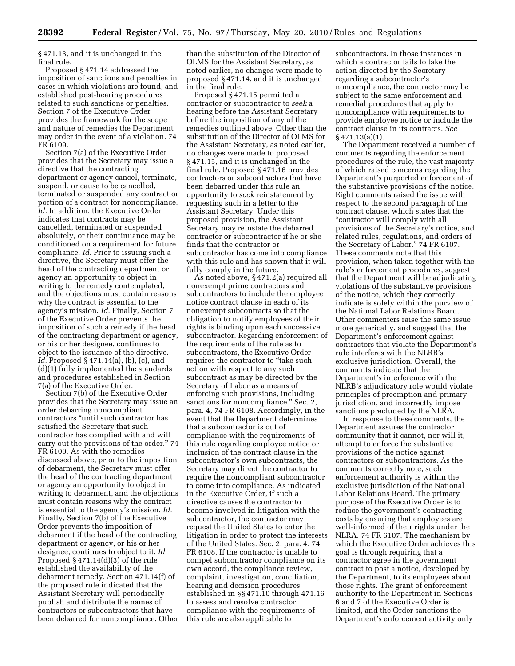§ 471.13, and it is unchanged in the final rule.

Proposed § 471.14 addressed the imposition of sanctions and penalties in cases in which violations are found, and established post-hearing procedures related to such sanctions or penalties. Section 7 of the Executive Order provides the framework for the scope and nature of remedies the Department may order in the event of a violation. 74 FR 6109.

Section 7(a) of the Executive Order provides that the Secretary may issue a directive that the contracting department or agency cancel, terminate, suspend, or cause to be cancelled, terminated or suspended any contract or portion of a contract for noncompliance. *Id.* In addition, the Executive Order indicates that contracts may be cancelled, terminated or suspended absolutely, or their continuance may be conditioned on a requirement for future compliance. *Id.* Prior to issuing such a directive, the Secretary must offer the head of the contracting department or agency an opportunity to object in writing to the remedy contemplated, and the objections must contain reasons why the contract is essential to the agency's mission. *Id.* Finally, Section 7 of the Executive Order prevents the imposition of such a remedy if the head of the contracting department or agency, or his or her designee, continues to object to the issuance of the directive. *Id.* Proposed § 471.14(a), (b), (c), and (d)(1) fully implemented the standards and procedures established in Section 7(a) of the Executive Order.

Section 7(b) of the Executive Order provides that the Secretary may issue an order debarring noncompliant contractors ''until such contractor has satisfied the Secretary that such contractor has complied with and will carry out the provisions of the order.'' 74 FR 6109. As with the remedies discussed above, prior to the imposition of debarment, the Secretary must offer the head of the contracting department or agency an opportunity to object in writing to debarment, and the objections must contain reasons why the contract is essential to the agency's mission. *Id.*  Finally, Section 7(b) of the Executive Order prevents the imposition of debarment if the head of the contracting department or agency, or his or her designee, continues to object to it. *Id.*  Proposed  $\S 471.14(d)(3)$  of the rule established the availability of the debarment remedy. Section 471.14(f) of the proposed rule indicated that the Assistant Secretary will periodically publish and distribute the names of contractors or subcontractors that have been debarred for noncompliance. Other than the substitution of the Director of OLMS for the Assistant Secretary, as noted earlier, no changes were made to proposed § 471.14, and it is unchanged in the final rule.

Proposed § 471.15 permitted a contractor or subcontractor to *seek* a hearing before the Assistant Secretary before the imposition of any of the remedies outlined above. Other than the substitution of the Director of OLMS for the Assistant Secretary, as noted earlier, no changes were made to proposed § 471.15, and it is unchanged in the final rule. Proposed § 471.16 provides contractors or subcontractors that have been debarred under this rule an opportunity to *seek* reinstatement by requesting such in a letter to the Assistant Secretary. Under this proposed provision, the Assistant Secretary may reinstate the debarred contractor or subcontractor if he or she finds that the contractor or subcontractor has come into compliance with this rule and has shown that it will fully comply in the future.

As noted above, § 471.2(a) required all nonexempt prime contractors and subcontractors to include the employee notice contract clause in each of its nonexempt subcontracts so that the obligation to notify employees of their rights is binding upon each successive subcontractor. Regarding enforcement of the requirements of the rule as to subcontractors, the Executive Order requires the contractor to "take such action with respect to any such subcontract as may be directed by the Secretary of Labor as a means of enforcing such provisions, including sanctions for noncompliance." Sec. 2, para. 4, 74 FR 6108. Accordingly, in the event that the Department determines that a subcontractor is out of compliance with the requirements of this rule regarding employee notice or inclusion of the contract clause in the subcontractor's own subcontracts, the Secretary may direct the contractor to require the noncompliant subcontractor to come into compliance. As indicated in the Executive Order, if such a directive causes the contractor to become involved in litigation with the subcontractor, the contractor may request the United States to enter the litigation in order to protect the interests of the United States. Sec. 2, para. 4, 74 FR 6108. If the contractor is unable to compel subcontractor compliance on its own accord, the compliance review, complaint, investigation, conciliation, hearing and decision procedures established in §§ 471.10 through 471.16 to assess and resolve contractor compliance with the requirements of this rule are also applicable to

subcontractors. In those instances in which a contractor fails to take the action directed by the Secretary regarding a subcontractor's noncompliance, the contractor may be subject to the same enforcement and remedial procedures that apply to noncompliance with requirements to provide employee notice or include the contract clause in its contracts. *See*  § 471.13(a)(1).

The Department received a number of comments regarding the enforcement procedures of the rule, the vast majority of which raised concerns regarding the Department's purported enforcement of the substantive provisions of the notice. Eight comments raised the issue with respect to the second paragraph of the contract clause, which states that the ''contractor will comply with all provisions of the Secretary's notice, and related rules, regulations, and orders of the Secretary of Labor.'' 74 FR 6107. These comments note that this provision, when taken together with the rule's enforcement procedures, suggest that the Department will be adjudicating violations of the substantive provisions of the notice, which they correctly indicate is solely within the purview of the National Labor Relations Board. Other commenters raise the same issue more generically, and suggest that the Department's enforcement against contractors that violate the Department's rule interferes with the NLRB's exclusive jurisdiction. Overall, the comments indicate that the Department's interference with the NLRB's adjudicatory role would violate principles of preemption and primary jurisdiction, and incorrectly impose sanctions precluded by the NLRA.

In response to these comments, the Department assures the contractor community that it cannot, nor will it, attempt to enforce the substantive provisions of the notice against contractors or subcontractors. As the comments correctly note, such enforcement authority is within the exclusive jurisdiction of the National Labor Relations Board. The primary purpose of the Executive Order is to reduce the government's contracting costs by ensuring that employees are well-informed of their rights under the NLRA. 74 FR 6107. The mechanism by which the Executive Order achieves this goal is through requiring that a contractor agree in the government contract to post a notice, developed by the Department, to its employees about those rights. The grant of enforcement authority to the Department in Sections 6 and 7 of the Executive Order is limited, and the Order sanctions the Department's enforcement activity only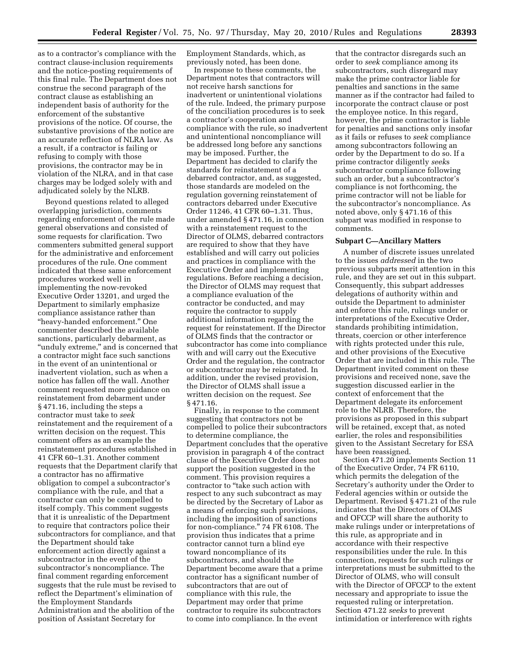as to a contractor's compliance with the contract clause-inclusion requirements and the notice-posting requirements of this final rule. The Department does not construe the second paragraph of the contract clause as establishing an independent basis of authority for the enforcement of the substantive provisions of the notice. Of course, the substantive provisions of the notice are an accurate reflection of NLRA law. As a result, if a contractor is failing or refusing to comply with those provisions, the contractor may be in violation of the NLRA, and in that case charges may be lodged solely with and adjudicated solely by the NLRB.

Beyond questions related to alleged overlapping jurisdiction, comments regarding enforcement of the rule made general observations and consisted of some requests for clarification. Two commenters submitted general support for the administrative and enforcement procedures of the rule. One comment indicated that these same enforcement procedures worked well in implementing the now-revoked Executive Order 13201, and urged the Department to similarly emphasize compliance assistance rather than ''heavy-handed enforcement.'' One commenter described the available sanctions, particularly debarment, as "unduly extreme," and is concerned that a contractor might face such sanctions in the event of an unintentional or inadvertent violation, such as when a notice has fallen off the wall. Another comment requested more guidance on reinstatement from debarment under § 471.16, including the steps a contractor must take to *seek*  reinstatement and the requirement of a written decision on the request. This comment offers as an example the reinstatement procedures established in 41 CFR 60–1.31. Another comment requests that the Department clarify that a contractor has no affirmative obligation to compel a subcontractor's compliance with the rule, and that a contractor can only be compelled to itself comply. This comment suggests that it is unrealistic of the Department to require that contractors police their subcontractors for compliance, and that the Department should take enforcement action directly against a subcontractor in the event of the subcontractor's noncompliance. The final comment regarding enforcement suggests that the rule must be revised to reflect the Department's elimination of the Employment Standards Administration and the abolition of the position of Assistant Secretary for

Employment Standards, which, as previously noted, has been done.

In response to these comments, the Department notes that contractors will not receive harsh sanctions for inadvertent or unintentional violations of the rule. Indeed, the primary purpose of the conciliation procedures is to seek a contractor's cooperation and compliance with the rule, so inadvertent and unintentional noncompliance will be addressed long before any sanctions may be imposed. Further, the Department has decided to clarify the standards for reinstatement of a debarred contractor, and, as suggested, those standards are modeled on the regulation governing reinstatement of contractors debarred under Executive Order 11246, 41 CFR 60–1.31. Thus, under amended § 471.16, in connection with a reinstatement request to the Director of OLMS, debarred contractors are required to show that they have established and will carry out policies and practices in compliance with the Executive Order and implementing regulations. Before reaching a decision, the Director of OLMS may request that a compliance evaluation of the contractor be conducted, and may require the contractor to supply additional information regarding the request for reinstatement. If the Director of OLMS finds that the contractor or subcontractor has come into compliance with and will carry out the Executive Order and the regulation, the contractor or subcontractor may be reinstated. In addition, under the revised provision, the Director of OLMS shall issue a written decision on the request. *See*  § 471.16.

Finally, in response to the comment suggesting that contractors not be compelled to police their subcontractors to determine compliance, the Department concludes that the operative provision in paragraph 4 of the contract clause of the Executive Order does not support the position suggested in the comment. This provision requires a contractor to ''take such action with respect to any such subcontract as may be directed by the Secretary of Labor as a means of enforcing such provisions, including the imposition of sanctions for non-compliance.'' 74 FR 6108. The provision thus indicates that a prime contractor cannot turn a blind eye toward noncompliance of its subcontractors, and should the Department become aware that a prime contractor has a significant number of subcontractors that are out of compliance with this rule, the Department may order that prime contractor to require its subcontractors to come into compliance. In the event

that the contractor disregards such an order to *seek* compliance among its subcontractors, such disregard may make the prime contractor liable for penalties and sanctions in the same manner as if the contractor had failed to incorporate the contract clause or post the employee notice. In this regard, however, the prime contractor is liable for penalties and sanctions only insofar as it fails or refuses to *seek* compliance among subcontractors following an order by the Department to do so. If a prime contractor diligently *seek*s subcontractor compliance following such an order, but a subcontractor's compliance is not forthcoming, the prime contractor will not be liable for the subcontractor's noncompliance. As noted above, only § 471.16 of this subpart was modified in response to comments.

#### **Subpart C—Ancillary Matters**

A number of discrete issues unrelated to the issues *addressed* in the two previous subparts merit attention in this rule, and they are set out in this subpart. Consequently, this subpart addresses delegations of authority within and outside the Department to administer and enforce this rule, rulings under or interpretations of the Executive Order, standards prohibiting intimidation, threats, coercion or other interference with rights protected under this rule, and other provisions of the Executive Order that are included in this rule. The Department invited comment on these provisions and received none, save the suggestion discussed earlier in the context of enforcement that the Department delegate its enforcement role to the NLRB. Therefore, the provisions as proposed in this subpart will be retained, except that, as noted earlier, the roles and responsibilities given to the Assistant Secretary for ESA have been reassigned.

Section 471.20 implements Section 11 of the Executive Order, 74 FR 6110, which permits the delegation of the Secretary's authority under the Order to Federal agencies within or outside the Department. Revised § 471.21 of the rule indicates that the Directors of OLMS and OFCCP will share the authority to make rulings under or interpretations of this rule, as appropriate and in accordance with their respective responsibilities under the rule. In this connection, requests for such rulings or interpretations must be submitted to the Director of OLMS, who will consult with the Director of OFCCP to the extent necessary and appropriate to issue the requested ruling or interpretation. Section 471.22 *seeks* to prevent intimidation or interference with rights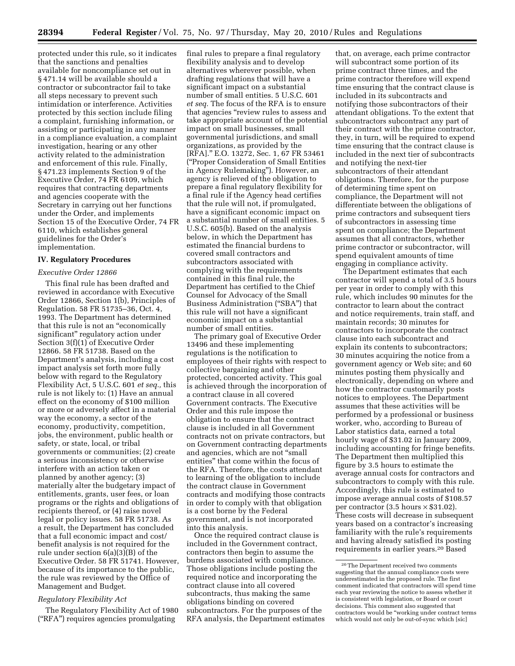protected under this rule, so it indicates that the sanctions and penalties available for noncompliance set out in § 471.14 will be available should a contractor or subcontractor fail to take all steps necessary to prevent such intimidation or interference. Activities protected by this section include filing a complaint, furnishing information, or assisting or participating in any manner in a compliance evaluation, a complaint investigation, hearing or any other activity related to the administration and enforcement of this rule. Finally, § 471.23 implements Section 9 of the Executive Order, 74 FR 6109, which requires that contracting departments and agencies cooperate with the Secretary in carrying out her functions under the Order, and implements Section 15 of the Executive Order, 74 FR 6110, which establishes general guidelines for the Order's implementation.

## **IV. Regulatory Procedures**

## *Executive Order 12866*

This final rule has been drafted and reviewed in accordance with Executive Order 12866, Section 1(b), Principles of Regulation. 58 FR 51735–36, Oct. 4, 1993. The Department has determined that this rule is not an ''economically significant'' regulatory action under Section 3(f)(1) of Executive Order 12866. 58 FR 51738. Based on the Department's analysis, including a cost impact analysis set forth more fully below with regard to the Regulatory Flexibility Act, 5 U.S.C. 601 *et seq.,* this rule is not likely to: (1) Have an annual effect on the economy of \$100 million or more or adversely affect in a material way the economy, a sector of the economy, productivity, competition, jobs, the environment, public health or safety, or state, local, or tribal governments or communities; (2) create a serious inconsistency or otherwise interfere with an action taken or planned by another agency; (3) materially alter the budgetary impact of entitlements, grants, user fees, or loan programs or the rights and obligations of recipients thereof, or (4) raise novel legal or policy issues. 58 FR 51738. As a result, the Department has concluded that a full economic impact and cost/ benefit analysis is not required for the rule under section 6(a)(3)(B) of the Executive Order. 58 FR 51741. However, because of its importance to the public, the rule was reviewed by the Office of Management and Budget.

## *Regulatory Flexibility Act*

The Regulatory Flexibility Act of 1980 (''RFA'') requires agencies promulgating

final rules to prepare a final regulatory flexibility analysis and to develop alternatives wherever possible, when drafting regulations that will have a significant impact on a substantial number of small entities. 5 U.S.C. 601 *et seq.* The focus of the RFA is to ensure that agencies ''review rules to assess and take appropriate account of the potential impact on small businesses, small governmental jurisdictions, and small organizations, as provided by the [RFA].'' E.O. 13272, Sec. 1, 67 FR 53461 (''Proper Consideration of Small Entities in Agency Rulemaking''). However, an agency is relieved of the obligation to prepare a final regulatory flexibility for a final rule if the Agency head certifies that the rule will not, if promulgated, have a significant economic impact on a substantial number of small entities. 5 U.S.C. 605(b). Based on the analysis below, in which the Department has estimated the financial burdens to covered small contractors and subcontractors associated with complying with the requirements contained in this final rule, the Department has certified to the Chief Counsel for Advocacy of the Small Business Administration ("SBA") that this rule will not have a significant economic impact on a substantial number of small entities.

The primary goal of Executive Order 13496 and these implementing regulations is the notification to employees of their rights with respect to collective bargaining and other protected, concerted activity. This goal is achieved through the incorporation of a contract clause in all covered Government contracts. The Executive Order and this rule impose the obligation to ensure that the contract clause is included in all Government contracts not on private contractors, but on Government contracting departments and agencies, which are not ''small entities'' that come within the focus of the RFA. Therefore, the costs attendant to learning of the obligation to include the contract clause in Government contracts and modifying those contracts in order to comply with that obligation is a cost borne by the Federal government, and is not incorporated into this analysis.

Once the required contract clause is included in the Government contract, contractors then begin to assume the burdens associated with compliance. Those obligations include posting the required notice and incorporating the contract clause into all covered subcontracts, thus making the same obligations binding on covered subcontractors. For the purposes of the RFA analysis, the Department estimates

that, on average, each prime contractor will subcontract some portion of its prime contract three times, and the prime contractor therefore will expend time ensuring that the contract clause is included in its subcontracts and notifying those subcontractors of their attendant obligations. To the extent that subcontractors subcontract any part of their contract with the prime contractor, they, in turn, will be required to expend time ensuring that the contract clause is included in the next tier of subcontracts and notifying the next-tier subcontractors of their attendant obligations. Therefore, for the purpose of determining time spent on compliance, the Department will not differentiate between the obligations of prime contractors and subsequent tiers of subcontractors in assessing time spent on compliance; the Department assumes that all contractors, whether prime contractor or subcontractor, will spend equivalent amounts of time engaging in compliance activity.

The Department estimates that each contractor will spend a total of 3.5 hours per year in order to comply with this rule, which includes 90 minutes for the contractor to learn about the contract and notice requirements, train staff, and maintain records; 30 minutes for contractors to incorporate the contract clause into each subcontract and explain its contents to subcontractors; 30 minutes acquiring the notice from a government agency or Web site; and 60 minutes posting them physically and electronically, depending on where and how the contractor customarily posts notices to employees. The Department assumes that these activities will be performed by a professional or business worker, who, according to Bureau of Labor statistics data, earned a total hourly wage of \$31.02 in January 2009, including accounting for fringe benefits. The Department then multiplied this figure by 3.5 hours to estimate the average annual costs for contractors and subcontractors to comply with this rule. Accordingly, this rule is estimated to impose average annual costs of \$108.57 per contractor  $(3.5 \text{ hours} \times \$31.02)$ . These costs will decrease in subsequent years based on a contractor's increasing familiarity with the rule's requirements and having already satisfied its posting requirements in earlier years.20 Based

<sup>20</sup>The Department received two comments suggesting that the annual compliance costs were underestimated in the proposed rule. The first comment indicated that contractors will spend time each year reviewing the notice to assess whether it is consistent with legislation, or Board or court decisions. This comment also suggested that contractors would be ''working under contract terms which would not only be out-of-sync which [sic]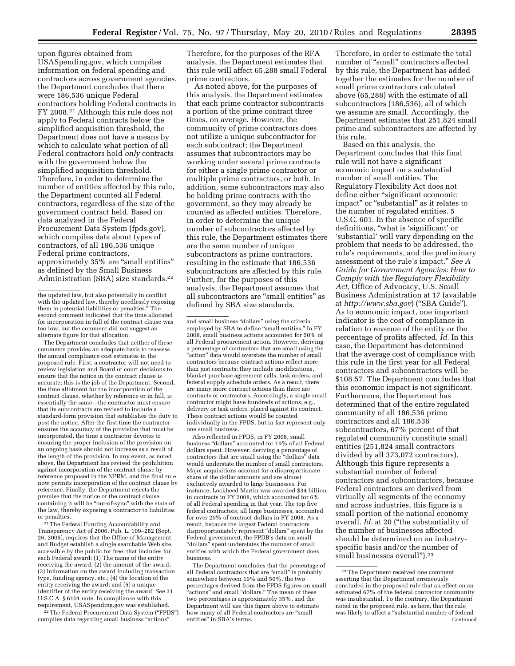upon figures obtained from USASpending.gov, which compiles information on federal spending and contractors across government agencies, the Department concludes that there were 186,536 unique Federal contractors holding Federal contracts in FY 2008.21 Although this rule does not apply to Federal contracts below the simplified acquisition threshold, the Department does not have a means by which to calculate what portion of all Federal contractors hold *only* contracts with the government below the simplified acquisition threshold. Therefore, in order to determine the number of entities affected by this rule, the Department counted all Federal contractors, regardless of the size of the government contract held. Based on data analyzed in the Federal Procurement Data System (fpds.gov), which compiles data about types of contractors, of all 186,536 unique Federal prime contractors, approximately 35% are "small entities" as defined by the Small Business Administration (SBA) size standards.<sup>22</sup>

The Department concludes that neither of these comments provides an adequate basis to reassess the annual compliance cost estimates in the proposed rule. First, a contractor will not need to review legislation and Board or court decisions to ensure that the notice in the contract clause is accurate; this is the job of the Department. Second, the time allotment for the incorporation of the contract clause, whether by reference or in full, is essentially the same—the contractor must ensure that its subcontracts are revised to include a standard-form provision that establishes the duty to post the notice. After the first time the contractor ensures the accuracy of the provision that must be incorporated, the time a contractor devotes to ensuring the proper inclusion of the provision on an ongoing basis should not increase as a result of the length of the provision. In any event, as noted above, the Department has revised the prohibition against incorporation of the contract clause by reference proposed in the NPRM, and the final rule now permits incorporation of the contract clause by reference. Finally, the Department rejects the premise that the notice or the contract clause containing it will be "out-of-sync" with the state of the law, thereby exposing a contractor to liabilities or penalties.

21The Federal Funding Accountability and Transparency Act of 2006, Pub. L. 109-282 (Sept. 26, 2006), requires that the Office of Management and Budget establish a single searchable Web site, accessible by the public for free, that includes for each Federal award: (1) The name of the entity receiving the award; (2) the amount of the award; (3) information on the award including transaction type, funding agency, etc.; (4) the location of the entity receiving the award; and (5) a unique identifier of the entity receiving the award. *See* 31 U.S.C.A. § 6101 note. In compliance with this requirement, USASpending.gov was established.

<sup>22</sup> The Federal Procurement Data System ("FPDS") compiles data regarding small business ''actions''

Therefore, for the purposes of the RFA analysis, the Department estimates that this rule will affect 65,288 small Federal prime contractors.

As noted above, for the purposes of this analysis, the Department estimates that each prime contractor subcontracts a portion of the prime contract three times, on average. However, the community of prime contractors does not utilize a unique subcontractor for each subcontract; the Department assumes that subcontractors may be working under several prime contracts for either a single prime contractor or multiple prime contractors, or both. In addition, some subcontractors may also be holding prime contracts with the government, so they may already be counted as affected entities. Therefore, in order to determine the unique number of subcontractors affected by this rule, the Department estimates there are the same number of unique subcontractors as prime contractors, resulting in the estimate that 186,536 subcontractors are affected by this rule. Further, for the purposes of this analysis, the Department assumes that all subcontractors are ''small entities'' as defined by SBA size standards.

Also reflected in FPDS, in FY 2008, small business ''dollars'' accounted for 19% of all Federal dollars spent. However, deriving a percentage of contractors that are small using the ''dollars'' data would understate the number of small contractors. Major acquisitions account for a disproportionate share of the dollar amounts and are almost exclusively awarded to large businesses. For instance, Lockheed Martin was awarded \$34 billion in contracts in FY 2008, which accounted for 6% of all Federal spending in that year. The top five federal contractors, all large businesses, accounted for over 20% of contract dollars in FY 2008. As a result, because the largest Federal contractors disproportionately represent "dollars" spent by the Federal government, the FPDB's data on small ''dollars'' spent understates the number of small entities with which the Federal government does business.

The Department concludes that the percentage of all Federal contractors that are ''small'' is probably somewhere between 19% and 50%, the two percentages derived from the FPDS figures on small ''actions'' and small ''dollars.'' The mean of these two percentages is approximately 35%, and the Department will use this figure above to estimate how many of all Federal contractors are ''small entities'' in SBA's terms.

Therefore, in order to estimate the total number of ''small'' contractors affected by this rule, the Department has added together the estimates for the number of small prime contractors calculated above (65,288) with the estimate of all subcontractors (186,536), all of which we assume are small. Accordingly, the Department estimates that 251,824 small prime and subcontractors are affected by this rule.

Based on this analysis, the Department concludes that this final rule will not have a significant economic impact on a substantial number of small entities. The Regulatory Flexibility Act does not define either "significant economic impact'' or ''substantial'' as it relates to the number of regulated entities. 5 U.S.C. 601. In the absence of specific definitions, ''what is 'significant' or 'substantial' will vary depending on the problem that needs to be addressed, the rule's requirements, and the preliminary assessment of the rule's impact.'' *See A Guide for Government Agencies: How to Comply with the Regulatory Flexibility Act,* Office of Advocacy, U.S. Small Business Administration at 17 (available at *http://www.sba.gov*) (''SBA Guide''). As to economic impact, one important indicator is the cost of compliance in relation to revenue of the entity or the percentage of profits affected. *Id.* In this case, the Department has determined that the average cost of compliance with this rule in the first year for all Federal contractors and subcontractors will be \$108.57. The Department concludes that this economic impact is not significant. Furthermore, the Department has determined that of the entire regulated community of all 186,536 prime contractors and all 186,536 subcontractors, 67% percent of that regulated community constitute small entities (251,824 small contractors divided by all 373,072 contractors). Although this figure represents a substantial number of federal contractors and subcontractors, because Federal contractors are derived from virtually all segments of the economy and across industries, this figure is a small portion of the national economy overall. *Id.* at 20 (''the substantiality of the number of businesses affected should be determined on an industryspecific basis and/or the number of small businesses overall").<sup>23</sup>

the updated law, but also potentially in conflict with the updated law, thereby needlessly exposing them to potential liabilities or penalties.'' The second comment indicated that the time allocated for incorporation in full of the contract clause was too low, but the comment did not suggest an alternate figure for that allocation.

and small business ''dollars'' using the criteria employed by SBA to define "small entities." In FY 2008, small business actions accounted for 50% of all Federal procurement action. However, deriving a percentage of contractors that are small using the "action" data would overstate the number of small contractors because contract actions reflect more than just contracts; they include modifications, blanket purchase agreement calls, task orders, and federal supply schedule orders. As a result, there are many more contract actions than there are contracts or contractors. Accordingly, a single small contractor might have hundreds of actions, e.g., delivery or task orders, placed against its contract. These contract actions would be counted individually in the FPDS, but in fact represent only one small business.

<sup>23</sup>The Department received one comment asserting that the Department erroneously concluded in the proposed rule that an effect on an estimated 67% of the federal contractor community was insubstantial. To the contrary, the Department noted in the proposed rule, as here, that the rule was likely to affect a ''substantial number of federal Continued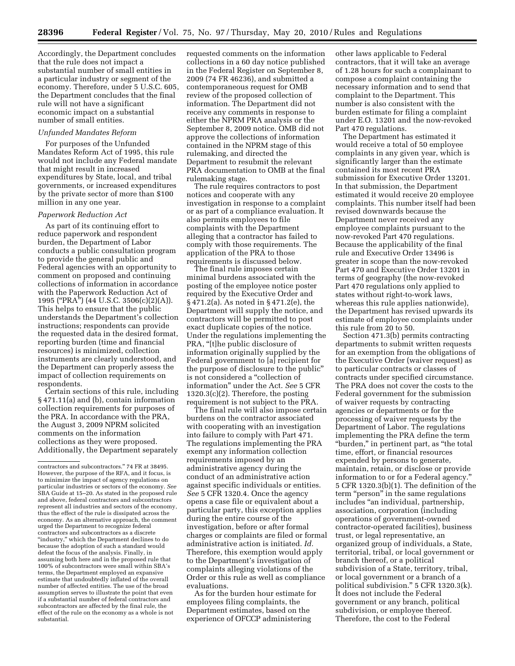Accordingly, the Department concludes that the rule does not impact a substantial number of small entities in a particular industry or segment of the economy. Therefore, under 5 U.S.C. 605, the Department concludes that the final rule will not have a significant economic impact on a substantial number of small entities.

## *Unfunded Mandates Reform*

For purposes of the Unfunded Mandates Reform Act of 1995, this rule would not include any Federal mandate that might result in increased expenditures by State, local, and tribal governments, or increased expenditures by the private sector of more than \$100 million in any one year.

#### *Paperwork Reduction Act*

As part of its continuing effort to reduce paperwork and respondent burden, the Department of Labor conducts a public consultation program to provide the general public and Federal agencies with an opportunity to comment on proposed and continuing collections of information in accordance with the Paperwork Reduction Act of 1995 (''PRA'') (44 U.S.C. 3506(c)(2)(A)). This helps to ensure that the public understands the Department's collection instructions; respondents can provide the requested data in the desired format, reporting burden (time and financial resources) is minimized, collection instruments are clearly understood, and the Department can properly assess the impact of collection requirements on respondents.

Certain sections of this rule, including § 471.11(a) and (b), contain information collection requirements for purposes of the PRA. In accordance with the PRA, the August 3, 2009 NPRM solicited comments on the information collections as they were proposed. Additionally, the Department separately

requested comments on the information collections in a 60 day notice published in the Federal Register on September 8, 2009 (74 FR 46236), and submitted a contemporaneous request for OMB review of the proposed collection of information. The Department did not receive any comments in response to either the NPRM PRA analysis or the September 8, 2009 notice. OMB did not approve the collections of information contained in the NPRM stage of this rulemaking, and directed the Department to resubmit the relevant PRA documentation to OMB at the final rulemaking stage.

The rule requires contractors to post notices and cooperate with any investigation in response to a complaint or as part of a compliance evaluation. It also permits employees to file complaints with the Department alleging that a contractor has failed to comply with those requirements. The application of the PRA to those requirements is discussed below.

The final rule imposes certain minimal burdens associated with the posting of the employee notice poster required by the Executive Order and § 471.2(a). As noted in § 471.2(e), the Department will supply the notice, and contractors will be permitted to post exact duplicate copies of the notice. Under the regulations implementing the PRA, ''[t]he public disclosure of information originally supplied by the Federal government to [a] recipient for the purpose of disclosure to the public'' is not considered a ''collection of information'' under the Act. *See* 5 CFR 1320.3(c)(2). Therefore, the posting requirement is not subject to the PRA.

The final rule will also impose certain burdens on the contractor associated with cooperating with an investigation into failure to comply with Part 471. The regulations implementing the PRA exempt any information collection requirements imposed by an administrative agency during the conduct of an administrative action against specific individuals or entities. *See* 5 CFR 1320.4. Once the agency opens a case file or equivalent about a particular party, this exception applies during the entire course of the investigation, before or after formal charges or complaints are filed or formal administrative action is initiated. *Id.*  Therefore, this exemption would apply to the Department's investigation of complaints alleging violations of the Order or this rule as well as compliance evaluations.

As for the burden hour estimate for employees filing complaints, the Department estimates, based on the experience of OFCCP administering

other laws applicable to Federal contractors, that it will take an average of 1.28 hours for such a complainant to compose a complaint containing the necessary information and to send that complaint to the Department. This number is also consistent with the burden estimate for filing a complaint under E.O. 13201 and the now-revoked Part 470 regulations.

The Department has estimated it would receive a total of 50 employee complaints in any given year, which is significantly larger than the estimate contained its most recent PRA submission for Executive Order 13201. In that submission, the Department estimated it would receive 20 employee complaints. This number itself had been revised downwards because the Department never received any employee complaints pursuant to the now-revoked Part 470 regulations. Because the applicability of the final rule and Executive Order 13496 is greater in scope than the now-revoked Part 470 and Executive Order 13201 in terms of geography (the now-revoked Part 470 regulations only applied to states without right-to-work laws, whereas this rule applies nationwide), the Department has revised upwards its estimate of employee complaints under this rule from 20 to 50.

Section 471.3(b) permits contracting departments to submit written requests for an exemption from the obligations of the Executive Order (waiver request) as to particular contracts or classes of contracts under specified circumstance. The PRA does not cover the costs to the Federal government for the submission of waiver requests by contracting agencies or departments or for the processing of waiver requests by the Department of Labor. The regulations implementing the PRA define the term ''burden,'' in pertinent part, as ''the total time, effort, or financial resources expended by persons to generate, maintain, retain, or disclose or provide information to or for a Federal agency.'' 5 CFR 1320.3(b)(1). The definition of the term "person" in the same regulations includes ''an individual, partnership, association, corporation (including operations of government-owned contractor-operated facilities), business trust, or legal representative, an organized group of individuals, a State, territorial, tribal, or local government or branch thereof, or a political subdivision of a State, territory, tribal, or local government or a branch of a political subdivision.'' 5 CFR 1320.3(k). It does not include the Federal government or any branch, political subdivision, or employee thereof. Therefore, the cost to the Federal

contractors and subcontractors.'' 74 FR at 38495. However, the purpose of the RFA, and it focus, is to minimize the impact of agency regulations on particular industries or sectors of the economy. *See*  SBA Guide at 15–20. As stated in the proposed rule and above, federal contractors and subcontractors represent all industries and sectors of the economy, thus the effect of the rule is dissipated across the economy. As an alternative approach, the comment urged the Department to recognize federal contractors and subcontractors as a discrete "industry," which the Department declines to do because the adoption of such a standard would defeat the focus of the analysis. Finally, in assuming both here and in the proposed rule that 100% of subcontractors were small within SBA's terms, the Department employed an expansive estimate that undoubtedly inflated of the overall number of affected entities. The use of the broad assumption serves to illustrate the point that even if a substantial number of federal contractors and subcontractors are affected by the final rule, the effect of the rule on the economy as a whole is not substantial.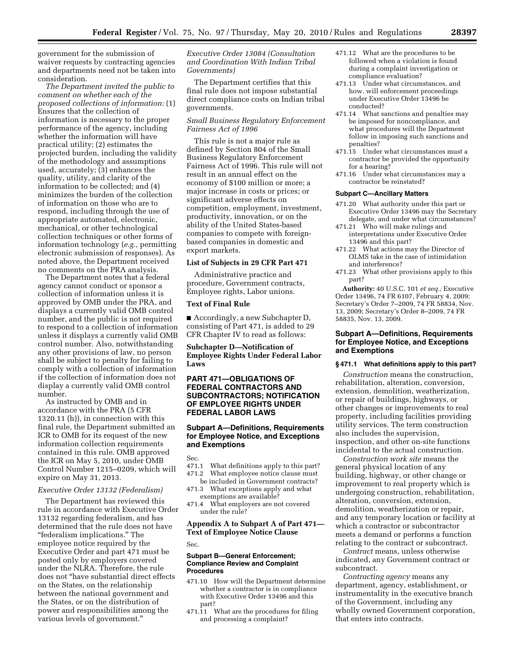government for the submission of waiver requests by contracting agencies and departments need not be taken into consideration.

*The Department invited the public to comment on whether each of the proposed collections of information:* (1) Ensures that the collection of information is necessary to the proper performance of the agency, including whether the information will have practical utility; (2) estimates the projected burden, including the validity of the methodology and assumptions used, accurately; (3) enhances the quality, utility, and clarity of the information to be collected; and (4) minimizes the burden of the collection of information on those who are to respond, including through the use of appropriate automated, electronic, mechanical, or other technological collection techniques or other forms of information technology (*e.g.,* permitting electronic submission of responses). As noted above, the Department received no comments on the PRA analysis.

The Department notes that a federal agency cannot conduct or sponsor a collection of information unless it is approved by OMB under the PRA, and displays a currently valid OMB control number, and the public is not required to respond to a collection of information unless it displays a currently valid OMB control number. Also, notwithstanding any other provisions of law, no person shall be subject to penalty for failing to comply with a collection of information if the collection of information does not display a currently valid OMB control number.

As instructed by OMB and in accordance with the PRA (5 CFR 1320.11 (h)), in connection with this final rule, the Department submitted an ICR to OMB for its request of the new information collection requirements contained in this rule. OMB approved the ICR on May 5, 2010, under OMB Control Number 1215–0209, which will expire on May 31, 2013.

## *Executive Order 13132 (Federalism)*

The Department has reviewed this rule in accordance with Executive Order 13132 regarding federalism, and has determined that the rule does not have ''federalism implications.'' The employee notice required by the Executive Order and part 471 must be posted only by employers covered under the NLRA. Therefore, the rule does not ''have substantial direct effects on the States, on the relationship between the national government and the States, or on the distribution of power and responsibilities among the various levels of government.''

*Executive Order 13084 (Consultation and Coordination With Indian Tribal Governments)* 

The Department certifies that this final rule does not impose substantial direct compliance costs on Indian tribal governments.

## *Small Business Regulatory Enforcement Fairness Act of 1996*

This rule is not a major rule as defined by Section 804 of the Small Business Regulatory Enforcement Fairness Act of 1996. This rule will not result in an annual effect on the economy of \$100 million or more; a major increase in costs or prices; or significant adverse effects on competition, employment, investment, productivity, innovation, or on the ability of the United States-based companies to compete with foreignbased companies in domestic and export markets.

## **List of Subjects in 29 CFR Part 471**

Administrative practice and procedure, Government contracts, Employee rights, Labor unions.

## **Text of Final Rule**

■ Accordingly, a new Subchapter D, consisting of Part 471, is added to 29 CFR Chapter IV to read as follows:

**Subchapter D—Notification of Employee Rights Under Federal Labor Laws** 

## **PART 471—OBLIGATIONS OF FEDERAL CONTRACTORS AND SUBCONTRACTORS; NOTIFICATION OF EMPLOYEE RIGHTS UNDER FEDERAL LABOR LAWS**

## **Subpart A—Definitions, Requirements for Employee Notice, and Exceptions and Exemptions**

- Sec.<br>471.1 What definitions apply to this part?
- 471.2 What employee notice clause must be included in Government contracts?
- 471.3 What exceptions apply and what exemptions are available?
- 471.4 What employers are not covered under the rule?

## **Appendix A to Subpart A of Part 471— Text of Employee Notice Clause**

## Sec.

## **Subpart B—General Enforcement; Compliance Review and Complaint Procedures**

- 471.10 How will the Department determine whether a contractor is in compliance with Executive Order 13496 and this part?
- 471.11 What are the procedures for filing and processing a complaint?
- 471.12 What are the procedures to be followed when a violation is found during a complaint investigation or compliance evaluation?
- 471.13 Under what circumstances, and how, will enforcement proceedings under Executive Order 13496 be conducted?
- 471.14 What sanctions and penalties may be imposed for noncompliance, and what procedures will the Department follow in imposing such sanctions and penalties?
- 471.15 Under what circumstances must a contractor be provided the opportunity for a hearing?
- 471.16 Under what circumstances may a contractor be reinstated?

## **Subpart C—Ancillary Matters**

- 471.20 What authority under this part or Executive Order 13496 may the Secretary delegate, and under what circumstances?
- 471.21 Who will make rulings and interpretations under Executive Order 13496 and this part?
- 471.22 What actions may the Director of OLMS take in the case of intimidation and interference?
- 471.23 What other provisions apply to this part?

**Authority:** 40 U.S.C. 101 *et seq.;* Executive Order 13496, 74 FR 6107, February 4, 2009; Secretary's Order 7–2009, 74 FR 58834, Nov. 13, 2009; Secretary's Order 8–2009, 74 FR 58835, Nov. 13, 2009.

## **Subpart A—Definitions, Requirements for Employee Notice, and Exceptions and Exemptions**

#### **§ 471.1 What definitions apply to this part?**

*Construction* means the construction, rehabilitation, alteration, conversion, extension, demolition, weatherization, or repair of buildings, highways, or other changes or improvements to real property, including facilities providing utility services. The term construction also includes the supervision, inspection, and other on-site functions incidental to the actual construction.

*Construction work site* means the general physical location of any building, highway, or other change or improvement to real property which is undergoing construction, rehabilitation, alteration, conversion, extension, demolition, weatherization or repair, and any temporary location or facility at which a contractor or subcontractor meets a demand or performs a function relating to the contract or subcontract.

*Contract* means, unless otherwise indicated, any Government contract or subcontract.

*Contracting agency* means any department, agency, establishment, or instrumentality in the executive branch of the Government, including any wholly owned Government corporation, that enters into contracts.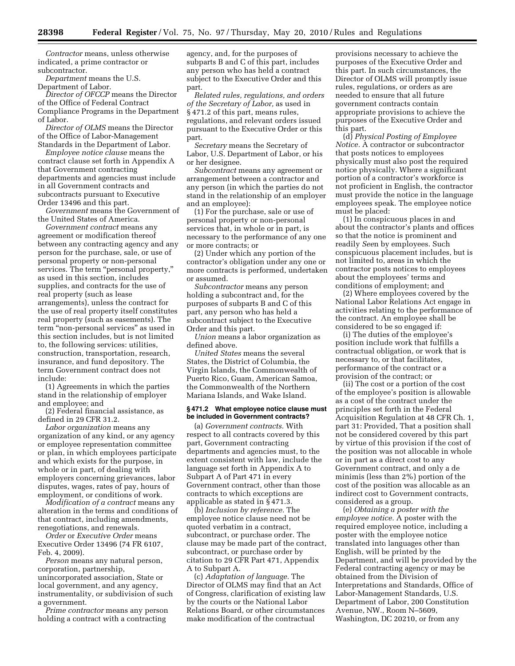*Contractor* means, unless otherwise indicated, a prime contractor or subcontractor.

*Department* means the U.S. Department of Labor.

*Director of OFCCP* means the Director of the Office of Federal Contract Compliance Programs in the Department of Labor.

*Director of OLMS* means the Director of the Office of Labor-Management Standards in the Department of Labor.

*Employee notice clause* means the contract clause set forth in Appendix A that Government contracting departments and agencies must include in all Government contracts and subcontracts pursuant to Executive Order 13496 and this part.

*Government* means the Government of the United States of America.

*Government contract* means any agreement or modification thereof between any contracting agency and any person for the purchase, sale, or use of personal property or non-personal services. The term "personal property," as used in this section, includes supplies, and contracts for the use of real property (such as lease arrangements), unless the contract for the use of real property itself constitutes real property (such as easements). The term ''non-personal services'' as used in this section includes, but is not limited to, the following services: utilities, construction, transportation, research, insurance, and fund depository. The term Government contract does not include:

(1) Agreements in which the parties stand in the relationship of employer and employee; and

(2) Federal financial assistance, as defined in 29 CFR 31.2.

*Labor organization* means any organization of any kind, or any agency or employee representation committee or plan, in which employees participate and which exists for the purpose, in whole or in part, of dealing with employers concerning grievances, labor disputes, wages, rates of pay, hours of employment, or conditions of work.

*Modification of a contract* means any alteration in the terms and conditions of that contract, including amendments, renegotiations, and renewals.

*Order* or *Executive Order* means Executive Order 13496 (74 FR 6107, Feb. 4, 2009).

*Person* means any natural person, corporation, partnership, unincorporated association, State or local government, and any agency, instrumentality, or subdivision of such a government.

*Prime contractor* means any person holding a contract with a contracting

agency, and, for the purposes of subparts B and C of this part, includes any person who has held a contract subject to the Executive Order and this part.

*Related rules, regulations, and orders of the Secretary of Labor,* as used in § 471.2 of this part, means rules, regulations, and relevant orders issued pursuant to the Executive Order or this part.

*Secretary* means the Secretary of Labor, U.S. Department of Labor, or his or her designee.

*Subcontract* means any agreement or arrangement between a contractor and any person (in which the parties do not stand in the relationship of an employer and an employee):

(1) For the purchase, sale or use of personal property or non-personal services that, in whole or in part, is necessary to the performance of any one or more contracts; or

(2) Under which any portion of the contractor's obligation under any one or more contracts is performed, undertaken or assumed.

*Subcontractor* means any person holding a subcontract and, for the purposes of subparts B and C of this part, any person who has held a subcontract subject to the Executive Order and this part.

*Union* means a labor organization as defined above.

*United States* means the several States, the District of Columbia, the Virgin Islands, the Commonwealth of Puerto Rico, Guam, American Samoa, the Commonwealth of the Northern Mariana Islands, and Wake Island.

#### **§ 471.2 What employee notice clause must be included in Government contracts?**

(a) *Government contracts.* With respect to all contracts covered by this part, Government contracting departments and agencies must, to the extent consistent with law, include the language set forth in Appendix A to Subpart A of Part 471 in every Government contract, other than those contracts to which exceptions are applicable as stated in § 471.3.

(b) *Inclusion by reference.* The employee notice clause need not be quoted verbatim in a contract, subcontract, or purchase order. The clause may be made part of the contract, subcontract, or purchase order by citation to 29 CFR Part 471, Appendix A to Subpart A.

(c) *Adaptation of language.* The Director of OLMS may find that an Act of Congress, clarification of existing law by the courts or the National Labor Relations Board, or other circumstances make modification of the contractual

provisions necessary to achieve the purposes of the Executive Order and this part. In such circumstances, the Director of OLMS will promptly issue rules, regulations, or orders as are needed to ensure that all future government contracts contain appropriate provisions to achieve the purposes of the Executive Order and this part.

(d) *Physical Posting of Employee Notice.* A contractor or subcontractor that posts notices to employees physically must also post the required notice physically. Where a significant portion of a contractor's workforce is not proficient in English, the contractor must provide the notice in the language employees speak. The employee notice must be placed:

(1) In conspicuous places in and about the contractor's plants and offices so that the notice is prominent and readily *See*n by employees. Such conspicuous placement includes, but is not limited to, areas in which the contractor posts notices to employees about the employees' terms and conditions of employment; and

(2) Where employees covered by the National Labor Relations Act engage in activities relating to the performance of the contract. An employee shall be considered to be so engaged if:

(i) The duties of the employee's position include work that fulfills a contractual obligation, or work that is necessary to, or that facilitates, performance of the contract or a provision of the contract; or

(ii) The cost or a portion of the cost of the employee's position is allowable as a cost of the contract under the principles set forth in the Federal Acquisition Regulation at 48 CFR Ch. 1, part 31: Provided, That a position shall not be considered covered by this part by virtue of this provision if the cost of the position was not allocable in whole or in part as a direct cost to any Government contract, and only a de minimis (less than 2%) portion of the cost of the position was allocable as an indirect cost to Government contracts, considered as a group.

(e) *Obtaining a poster with the employee notice.* A poster with the required employee notice, including a poster with the employee notice translated into languages other than English, will be printed by the Department, and will be provided by the Federal contracting agency or may be obtained from the Division of Interpretations and Standards, Office of Labor-Management Standards, U.S. Department of Labor, 200 Constitution Avenue, NW., Room N–5609, Washington, DC 20210, or from any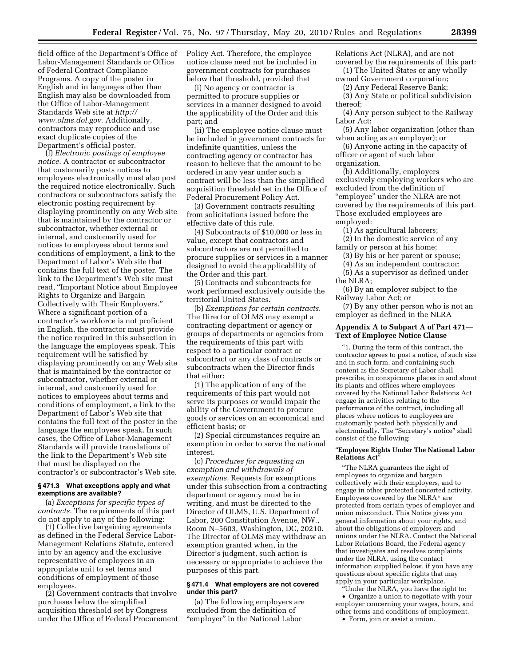field office of the Department's Office of Labor-Management Standards or Office of Federal Contract Compliance Programs. A copy of the poster in English and in languages other than English may also be downloaded from the Office of Labor-Management Standards Web site at *http:// www.olms.dol.gov*. Additionally, contractors may reproduce and use exact duplicate copies of the Department's official poster.

(f) *Electronic postings of employee notice.* A contractor or subcontractor that customarily posts notices to employees electronically must also post the required notice electronically. Such contractors or subcontractors satisfy the electronic posting requirement by displaying prominently on any Web site that is maintained by the contractor or subcontractor, whether external or internal, and customarily used for notices to employees about terms and conditions of employment, a link to the Department of Labor's Web site that contains the full text of the poster. The link to the Department's Web site must read, ''Important Notice about Employee Rights to Organize and Bargain Collectively with Their Employers.'' Where a significant portion of a contractor's workforce is not proficient in English, the contractor must provide the notice required in this subsection in the language the employees speak. This requirement will be satisfied by displaying prominently on any Web site that is maintained by the contractor or subcontractor, whether external or internal, and customarily used for notices to employees about terms and conditions of employment, a link to the Department of Labor's Web site that contains the full text of the poster in the language the employees speak. In such cases, the Office of Labor-Management Standards will provide translations of the link to the Department's Web site that must be displayed on the contractor's or subcontractor's Web site.

#### **§ 471.3 What exceptions apply and what exemptions are available?**

(a) *Exceptions for specific types of contracts.* The requirements of this part do not apply to any of the following:

(1) Collective bargaining agreements as defined in the Federal Service Labor-Management Relations Statute, entered into by an agency and the exclusive representative of employees in an appropriate unit to set terms and conditions of employment of those employees.

(2) Government contracts that involve purchases below the simplified acquisition threshold set by Congress under the Office of Federal Procurement Policy Act. Therefore, the employee notice clause need not be included in government contracts for purchases below that threshold, provided that

(i) No agency or contractor is permitted to procure supplies or services in a manner designed to avoid the applicability of the Order and this part; and

(ii) The employee notice clause must be included in government contracts for indefinite quantities, unless the contracting agency or contractor has reason to believe that the amount to be ordered in any year under such a contract will be less than the simplified acquisition threshold set in the Office of Federal Procurement Policy Act.

(3) Government contracts resulting from solicitations issued before the effective date of this rule.

(4) Subcontracts of \$10,000 or less in value, except that contractors and subcontractors are not permitted to procure supplies or services in a manner designed to avoid the applicability of the Order and this part.

(5) Contracts and subcontracts for work performed exclusively outside the territorial United States.

(b) *Exemptions for certain contracts.*  The Director of OLMS may exempt a contracting department or agency or groups of departments or agencies from the requirements of this part with respect to a particular contract or subcontract or any class of contracts or subcontracts when the Director finds that either:

(1) The application of any of the requirements of this part would not serve its purposes or would impair the ability of the Government to procure goods or services on an economical and efficient basis; or

(2) Special circumstances require an exemption in order to serve the national interest.

(c) *Procedures for requesting an exemption and withdrawals of exemptions.* Requests for exemptions under this subsection from a contracting department or agency must be in writing, and must be directed to the Director of OLMS, U.S. Department of Labor, 200 Constitution Avenue, NW., Room N–5603, Washington, DC, 20210. The Director of OLMS may withdraw an exemption granted when, in the Director's judgment, such action is necessary or appropriate to achieve the purposes of this part.

## **§ 471.4 What employers are not covered under this part?**

(a) The following employers are excluded from the definition of "employer" in the National Labor

Relations Act (NLRA), and are not covered by the requirements of this part:

(1) The United States or any wholly owned Government corporation;

(2) Any Federal Reserve Bank;

- (3) Any State or political subdivision thereof;
- (4) Any person subject to the Railway Labor Act;
- (5) Any labor organization (other than when acting as an employer); or

(6) Anyone acting in the capacity of officer or agent of such labor organization.

(b) Additionally, employers exclusively employing workers who are excluded from the definition of ''employee'' under the NLRA are not covered by the requirements of this part. Those excluded employees are employed:

(1) As agricultural laborers;

(2) In the domestic service of any family or person at his home;

(3) By his or her parent or spouse;

- (4) As an independent contractor;
- (5) As a supervisor as defined under
- the NLRA;
- (6) By an employer subject to the Railway Labor Act; or

(7) By any other person who is not an employer as defined in the NLRA

## **Appendix A to Subpart A of Part 471— Text of Employee Notice Clause**

''1. During the term of this contract, the contractor agrees to post a notice, of such size and in such form, and containing such content as the Secretary of Labor shall prescribe, in conspicuous places in and about its plants and offices where employees covered by the National Labor Relations Act engage in activities relating to the performance of the contract, including all places where notices to employees are customarily posted both physically and electronically. The ''Secretary's notice'' shall consist of the following:

#### ''**Employee Rights Under The National Labor Relations Act**''

''The NLRA guarantees the right of employees to organize and bargain collectively with their employers, and to engage in other protected concerted activity. Employees covered by the NLRA\* are protected from certain types of employer and union misconduct. This Notice gives you general information about your rights, and about the obligations of employers and unions under the NLRA. Contact the National Labor Relations Board, the Federal agency that investigates and resolves complaints under the NLRA, using the contact information supplied below, if you have any questions about specific rights that may apply in your particular workplace.

''Under the NLRA, you have the right to: • Organize a union to negotiate with your employer concerning your wages, hours, and other terms and conditions of employment.

• Form, join or assist a union.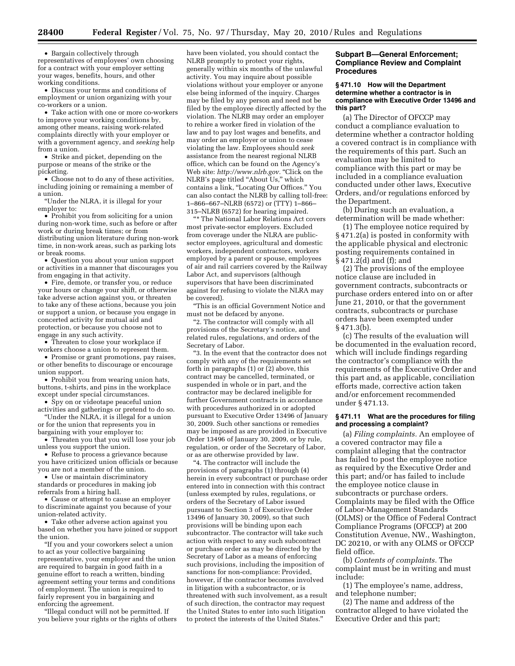• Bargain collectively through representatives of employees' own choosing for a contract with your employer setting your wages, benefits, hours, and other working conditions.

• Discuss your terms and conditions of employment or union organizing with your co-workers or a union.

• Take action with one or more co-workers to improve your working conditions by, among other means, raising work-related complaints directly with your employer or with a government agency, and *seeking* help from a union.

• Strike and picket, depending on the purpose or means of the strike or the picketing.

• Choose not to do any of these activities, including joining or remaining a member of a union.

''Under the NLRA, it is illegal for your employer to:

• Prohibit you from soliciting for a union during non-work time, such as before or after work or during break times; or from distributing union literature during non-work time, in non-work areas, such as parking lots or break rooms.

• Question you about your union support or activities in a manner that discourages you from engaging in that activity.

• Fire, demote, or transfer you, or reduce your hours or change your shift, or otherwise take adverse action against you, or threaten to take any of these actions, because you join or support a union, or because you engage in concerted activity for mutual aid and protection, or because you choose not to engage in any such activity.

• Threaten to close your workplace if workers choose a union to represent them.

• Promise or grant promotions, pay raises, or other benefits to discourage or encourage union support.

• Prohibit you from wearing union hats, buttons, t-shirts, and pins in the workplace except under special circumstances.

• Spy on or videotape peaceful union activities and gatherings or pretend to do so.

''Under the NLRA, it is illegal for a union or for the union that represents you in bargaining with your employer to:

• Threaten you that you will lose your job unless you support the union.

• Refuse to process a grievance because you have criticized union officials or because you are not a member of the union.

• Use or maintain discriminatory standards or procedures in making job referrals from a hiring hall.

• Cause or attempt to cause an employer to discriminate against you because of your union-related activity.

• Take other adverse action against you based on whether you have joined or support the union.

''If you and your coworkers select a union to act as your collective bargaining representative, your employer and the union are required to bargain in good faith in a genuine effort to reach a written, binding agreement setting your terms and conditions of employment. The union is required to fairly represent you in bargaining and enforcing the agreement.

''Illegal conduct will not be permitted. If you believe your rights or the rights of others

have been violated, you should contact the NLRB promptly to protect your rights, generally within six months of the unlawful activity. You may inquire about possible violations without your employer or anyone else being informed of the inquiry. Charges may be filed by any person and need not be filed by the employee directly affected by the violation. The NLRB may order an employer to rehire a worker fired in violation of the law and to pay lost wages and benefits, and may order an employer or union to cease violating the law. Employees should *seek*  assistance from the nearest regional NLRB office, which can be found on the Agency's Web site: http://www.nlrb.gov. "Click on the NLRB's page titled "About Us," which contains a link, ''Locating Our Offices.'' You can also contact the NLRB by calling toll-free: 1–866–667–NLRB (6572) or (TTY) 1–866– 315–NLRB (6572) for hearing impaired.

''\* The National Labor Relations Act covers most private-sector employers. Excluded from coverage under the NLRA are publicsector employees, agricultural and domestic workers, independent contractors, workers employed by a parent or spouse, employees of air and rail carriers covered by the Railway Labor Act, and supervisors (although supervisors that have been discriminated against for refusing to violate the NLRA may be covered).

''This is an official Government Notice and must not be defaced by anyone.

''2. The contractor will comply with all provisions of the Secretary's notice, and related rules, regulations, and orders of the Secretary of Labor.

''3. In the event that the contractor does not comply with any of the requirements set forth in paragraphs (1) or (2) above, this contract may be cancelled, terminated, or suspended in whole or in part, and the contractor may be declared ineligible for further Government contracts in accordance with procedures authorized in or adopted pursuant to Executive Order 13496 of January 30, 2009. Such other sanctions or remedies may be imposed as are provided in Executive Order 13496 of January 30, 2009, or by rule, regulation, or order of the Secretary of Labor, or as are otherwise provided by law.

"4. The contractor will include the provisions of paragraphs (1) through (4) herein in every subcontract or purchase order entered into in connection with this contract (unless exempted by rules, regulations, or orders of the Secretary of Labor issued pursuant to Section 3 of Executive Order 13496 of January 30, 2009), so that such provisions will be binding upon each subcontractor. The contractor will take such action with respect to any such subcontract or purchase order as may be directed by the Secretary of Labor as a means of enforcing such provisions, including the imposition of sanctions for non-compliance: Provided, however, if the contractor becomes involved in litigation with a subcontractor, or is threatened with such involvement, as a result of such direction, the contractor may request the United States to enter into such litigation to protect the interests of the United States.''

## **Subpart B—General Enforcement; Compliance Review and Complaint Procedures**

#### **§ 471.10 How will the Department determine whether a contractor is in compliance with Executive Order 13496 and this part?**

(a) The Director of OFCCP may conduct a compliance evaluation to determine whether a contractor holding a covered contract is in compliance with the requirements of this part. Such an evaluation may be limited to compliance with this part or may be included in a compliance evaluation conducted under other laws, Executive Orders, and/or regulations enforced by the Department.

(b) During such an evaluation, a determination will be made whether:

(1) The employee notice required by § 471.2(a) is posted in conformity with the applicable physical and electronic posting requirements contained in § 471.2(d) and (f); and

(2) The provisions of the employee notice clause are included in government contracts, subcontracts or purchase orders entered into on or after June 21, 2010, or that the government contracts, subcontracts or purchase orders have been exempted under § 471.3(b).

(c) The results of the evaluation will be documented in the evaluation record, which will include findings regarding the contractor's compliance with the requirements of the Executive Order and this part and, as applicable, conciliation efforts made, corrective action taken and/or enforcement recommended under § 471.13.

## **§ 471.11 What are the procedures for filing and processing a complaint?**

(a) *Filing complaints.* An employee of a covered contractor may file a complaint alleging that the contractor has failed to post the employee notice as required by the Executive Order and this part; and/or has failed to include the employee notice clause in subcontracts or purchase orders. Complaints may be filed with the Office of Labor-Management Standards (OLMS) or the Office of Federal Contract Compliance Programs (OFCCP) at 200 Constitution Avenue, NW., Washington, DC 20210, or with any OLMS or OFCCP field office.

(b) *Contents of complaints.* The complaint must be in writing and must include:

(1) The employee's name, address, and telephone number;

(2) The name and address of the contractor alleged to have violated the Executive Order and this part;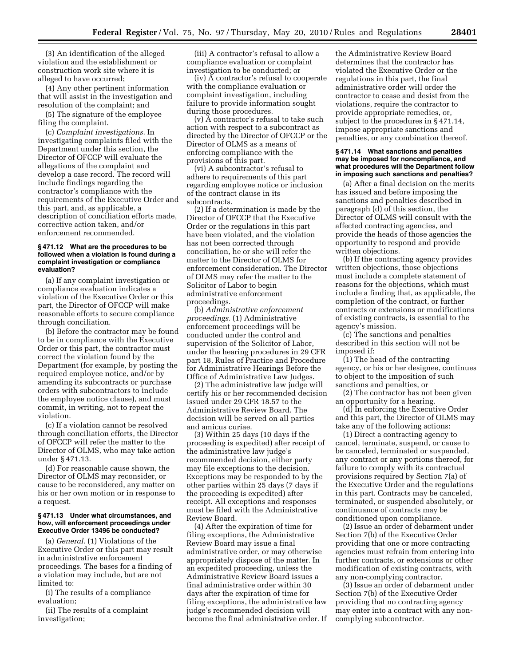(3) An identification of the alleged violation and the establishment or construction work site where it is alleged to have occurred;

(4) Any other pertinent information that will assist in the investigation and resolution of the complaint; and

(5) The signature of the employee filing the complaint.

(c) *Complaint investigations.* In investigating complaints filed with the Department under this section, the Director of OFCCP will evaluate the allegations of the complaint and develop a case record. The record will include findings regarding the contractor's compliance with the requirements of the Executive Order and this part, and, as applicable, a description of conciliation efforts made, corrective action taken, and/or enforcement recommended.

### **§ 471.12 What are the procedures to be followed when a violation is found during a complaint investigation or compliance evaluation?**

(a) If any complaint investigation or compliance evaluation indicates a violation of the Executive Order or this part, the Director of OFCCP will make reasonable efforts to secure compliance through conciliation.

(b) Before the contractor may be found to be in compliance with the Executive Order or this part, the contractor must correct the violation found by the Department (for example, by posting the required employee notice, and/or by amending its subcontracts or purchase orders with subcontractors to include the employee notice clause), and must commit, in writing, not to repeat the violation.

(c) If a violation cannot be resolved through conciliation efforts, the Director of OFCCP will refer the matter to the Director of OLMS, who may take action under § 471.13.

(d) For reasonable cause shown, the Director of OLMS may reconsider, or cause to be reconsidered, any matter on his or her own motion or in response to a request.

#### **§ 471.13 Under what circumstances, and how, will enforcement proceedings under Executive Order 13496 be conducted?**

(a) *General.* (1) Violations of the Executive Order or this part may result in administrative enforcement proceedings. The bases for a finding of a violation may include, but are not limited to:

(i) The results of a compliance evaluation;

(ii) The results of a complaint investigation;

(iii) A contractor's refusal to allow a compliance evaluation or complaint investigation to be conducted; or

(iv) A contractor's refusal to cooperate with the compliance evaluation or complaint investigation, including failure to provide information sought during those procedures.

(v) A contractor's refusal to take such action with respect to a subcontract as directed by the Director of OFCCP or the Director of OLMS as a means of enforcing compliance with the provisions of this part.

(vi) A subcontractor's refusal to adhere to requirements of this part regarding employee notice or inclusion of the contract clause in its subcontracts.

(2) If a determination is made by the Director of OFCCP that the Executive Order or the regulations in this part have been violated, and the violation has not been corrected through conciliation, he or she will refer the matter to the Director of OLMS for enforcement consideration. The Director of OLMS may refer the matter to the Solicitor of Labor to begin administrative enforcement proceedings.

(b) *Administrative enforcement proceedings.* (1) Administrative enforcement proceedings will be conducted under the control and supervision of the Solicitor of Labor, under the hearing procedures in 29 CFR part 18, Rules of Practice and Procedure for Administrative Hearings Before the Office of Administrative Law Judges.

(2) The administrative law judge will certify his or her recommended decision issued under 29 CFR 18.57 to the Administrative Review Board. The decision will be served on all parties and amicus curiae.

(3) Within 25 days (10 days if the proceeding is expedited) after receipt of the administrative law judge's recommended decision, either party may file exceptions to the decision. Exceptions may be responded to by the other parties within 25 days (7 days if the proceeding is expedited) after receipt. All exceptions and responses must be filed with the Administrative Review Board.

(4) After the expiration of time for filing exceptions, the Administrative Review Board may issue a final administrative order, or may otherwise appropriately dispose of the matter. In an expedited proceeding, unless the Administrative Review Board issues a final administrative order within 30 days after the expiration of time for filing exceptions, the administrative law judge's recommended decision will become the final administrative order. If

the Administrative Review Board determines that the contractor has violated the Executive Order or the regulations in this part, the final administrative order will order the contractor to cease and desist from the violations, require the contractor to provide appropriate remedies, or, subject to the procedures in § 471.14, impose appropriate sanctions and penalties, or any combination thereof.

## **§ 471.14 What sanctions and penalties may be imposed for noncompliance, and what procedures will the Department follow in imposing such sanctions and penalties?**

(a) After a final decision on the merits has issued and before imposing the sanctions and penalties described in paragraph (d) of this section, the Director of OLMS will consult with the affected contracting agencies, and provide the heads of those agencies the opportunity to respond and provide written objections.

(b) If the contracting agency provides written objections, those objections must include a complete statement of reasons for the objections, which must include a finding that, as applicable, the completion of the contract, or further contracts or extensions or modifications of existing contracts, is essential to the agency's mission.

(c) The sanctions and penalties described in this section will not be imposed if:

(1) The head of the contracting agency, or his or her designee, continues to object to the imposition of such sanctions and penalties, or

(2) The contractor has not been given an opportunity for a hearing.

(d) In enforcing the Executive Order and this part, the Director of OLMS may take any of the following actions:

(1) Direct a contracting agency to cancel, terminate, suspend, or cause to be canceled, terminated or suspended, any contract or any portions thereof, for failure to comply with its contractual provisions required by Section 7(a) of the Executive Order and the regulations in this part. Contracts may be canceled, terminated, or suspended absolutely, or continuance of contracts may be conditioned upon compliance.

(2) Issue an order of debarment under Section 7(b) of the Executive Order providing that one or more contracting agencies must refrain from entering into further contracts, or extensions or other modification of existing contracts, with any non-complying contractor.

(3) Issue an order of debarment under Section 7(b) of the Executive Order providing that no contracting agency may enter into a contract with any noncomplying subcontractor.